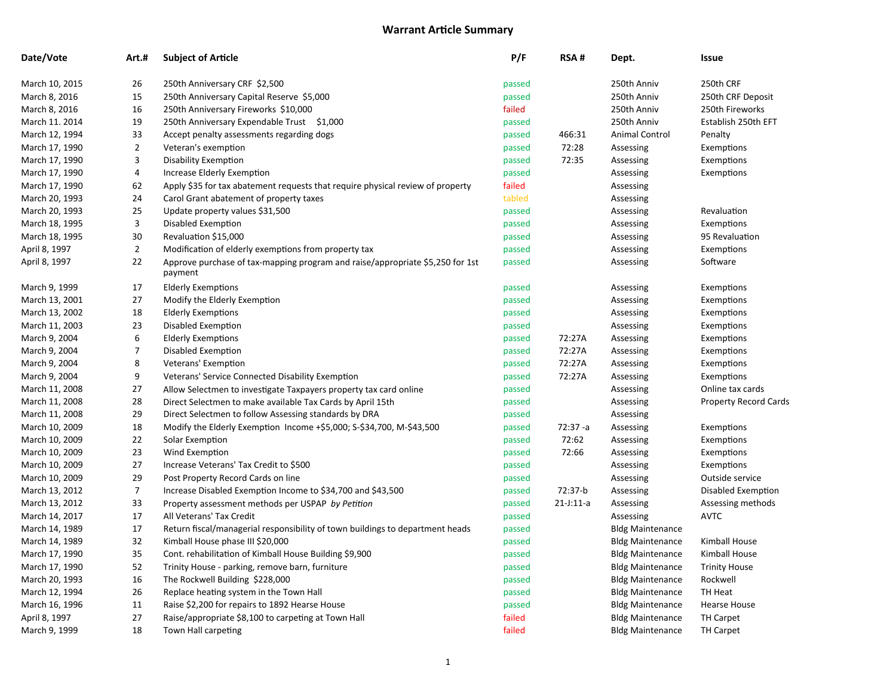| Date/Vote      | Art.#          | <b>Subject of Article</b>                                                                | P/F    | RSA#        | Dept.                   | Issue                        |
|----------------|----------------|------------------------------------------------------------------------------------------|--------|-------------|-------------------------|------------------------------|
| March 10, 2015 | 26             | 250th Anniversary CRF \$2,500                                                            | passed |             | 250th Anniv             | 250th CRF                    |
| March 8, 2016  | 15             | 250th Anniversary Capital Reserve \$5,000                                                | passed |             | 250th Anniv             | 250th CRF Deposit            |
| March 8, 2016  | 16             | 250th Anniversary Fireworks \$10,000                                                     | failed |             | 250th Anniv             | 250th Fireworks              |
| March 11. 2014 | 19             | 250th Anniversary Expendable Trust \$1,000                                               | passed |             | 250th Anniv             | Establish 250th EFT          |
| March 12, 1994 | 33             | Accept penalty assessments regarding dogs                                                | passed | 466:31      | Animal Control          | Penalty                      |
| March 17, 1990 | $\overline{2}$ | Veteran's exemption                                                                      | passed | 72:28       | Assessing               | Exemptions                   |
| March 17, 1990 | 3              | <b>Disability Exemption</b>                                                              | passed | 72:35       | Assessing               | Exemptions                   |
| March 17, 1990 | 4              | Increase Elderly Exemption                                                               | passed |             | Assessing               | Exemptions                   |
| March 17, 1990 | 62             | Apply \$35 for tax abatement requests that require physical review of property           | failed |             | Assessing               |                              |
| March 20, 1993 | 24             | Carol Grant abatement of property taxes                                                  | tabled |             | Assessing               |                              |
| March 20, 1993 | 25             | Update property values \$31,500                                                          | passed |             | Assessing               | Revaluation                  |
| March 18, 1995 | 3              | Disabled Exemption                                                                       | passed |             | Assessing               | Exemptions                   |
| March 18, 1995 | 30             | Revaluation \$15,000                                                                     | passed |             | Assessing               | 95 Revaluation               |
| April 8, 1997  | $\overline{2}$ | Modification of elderly exemptions from property tax                                     | passed |             | Assessing               | Exemptions                   |
| April 8, 1997  | 22             | Approve purchase of tax-mapping program and raise/appropriate \$5,250 for 1st<br>payment | passed |             | Assessing               | Software                     |
| March 9, 1999  | 17             | <b>Elderly Exemptions</b>                                                                | passed |             | Assessing               | Exemptions                   |
| March 13, 2001 | 27             | Modify the Elderly Exemption                                                             | passed |             | Assessing               | Exemptions                   |
| March 13, 2002 | 18             | <b>Elderly Exemptions</b>                                                                | passed |             | Assessing               | Exemptions                   |
| March 11, 2003 | 23             | Disabled Exemption                                                                       | passed |             | Assessing               | Exemptions                   |
| March 9, 2004  | 6              | <b>Elderly Exemptions</b>                                                                | passed | 72:27A      | Assessing               | Exemptions                   |
| March 9, 2004  | $\overline{7}$ | Disabled Exemption                                                                       | passed | 72:27A      | Assessing               | Exemptions                   |
| March 9, 2004  | 8              | Veterans' Exemption                                                                      | passed | 72:27A      | Assessing               | Exemptions                   |
| March 9, 2004  | 9              | Veterans' Service Connected Disability Exemption                                         | passed | 72:27A      | Assessing               | Exemptions                   |
| March 11, 2008 | 27             | Allow Selectmen to investigate Taxpayers property tax card online                        | passed |             | Assessing               | Online tax cards             |
| March 11, 2008 | 28             | Direct Selectmen to make available Tax Cards by April 15th                               | passed |             | Assessing               | <b>Property Record Cards</b> |
| March 11, 2008 | 29             | Direct Selectmen to follow Assessing standards by DRA                                    | passed |             | Assessing               |                              |
| March 10, 2009 | 18             | Modify the Elderly Exemption Income +\$5,000; S-\$34,700, M-\$43,500                     | passed | $72:37 - a$ | Assessing               | Exemptions                   |
| March 10, 2009 | 22             | Solar Exemption                                                                          | passed | 72:62       | Assessing               | Exemptions                   |
| March 10, 2009 | 23             | Wind Exemption                                                                           | passed | 72:66       | Assessing               | Exemptions                   |
| March 10, 2009 | 27             | Increase Veterans' Tax Credit to \$500                                                   | passed |             | Assessing               | Exemptions                   |
| March 10, 2009 | 29             | Post Property Record Cards on line                                                       | passed |             | Assessing               | Outside service              |
| March 13, 2012 | $\overline{7}$ | Increase Disabled Exemption Income to \$34,700 and \$43,500                              | passed | 72:37-b     | Assessing               | Disabled Exemption           |
| March 13, 2012 | 33             | Property assessment methods per USPAP by Petition                                        | passed | $21-J:11-a$ | Assessing               | Assessing methods            |
| March 14, 2017 | 17             | All Veterans' Tax Credit                                                                 | passed |             | Assessing               | <b>AVTC</b>                  |
| March 14, 1989 | 17             | Return fiscal/managerial responsibility of town buildings to department heads            | passed |             | <b>Bldg Maintenance</b> |                              |
| March 14, 1989 | 32             | Kimball House phase III \$20,000                                                         | passed |             | <b>Bldg Maintenance</b> | Kimball House                |
| March 17, 1990 | 35             | Cont. rehabilitation of Kimball House Building \$9,900                                   | passed |             | <b>Bldg Maintenance</b> | Kimball House                |
| March 17, 1990 | 52             | Trinity House - parking, remove barn, furniture                                          | passed |             | <b>Bldg Maintenance</b> | <b>Trinity House</b>         |
| March 20, 1993 | 16             | The Rockwell Building \$228,000                                                          | passed |             | <b>Bldg Maintenance</b> | Rockwell                     |
| March 12, 1994 | 26             | Replace heating system in the Town Hall                                                  | passed |             | <b>Bldg Maintenance</b> | TH Heat                      |
| March 16, 1996 | 11             | Raise \$2,200 for repairs to 1892 Hearse House                                           | passed |             | <b>Bldg Maintenance</b> | Hearse House                 |
| April 8, 1997  | 27             | Raise/appropriate \$8,100 to carpeting at Town Hall                                      | failed |             | <b>Bldg Maintenance</b> | <b>TH Carpet</b>             |
| March 9, 1999  | 18             | Town Hall carpeting                                                                      | failed |             | <b>Bldg Maintenance</b> | <b>TH Carpet</b>             |
|                |                |                                                                                          |        |             |                         |                              |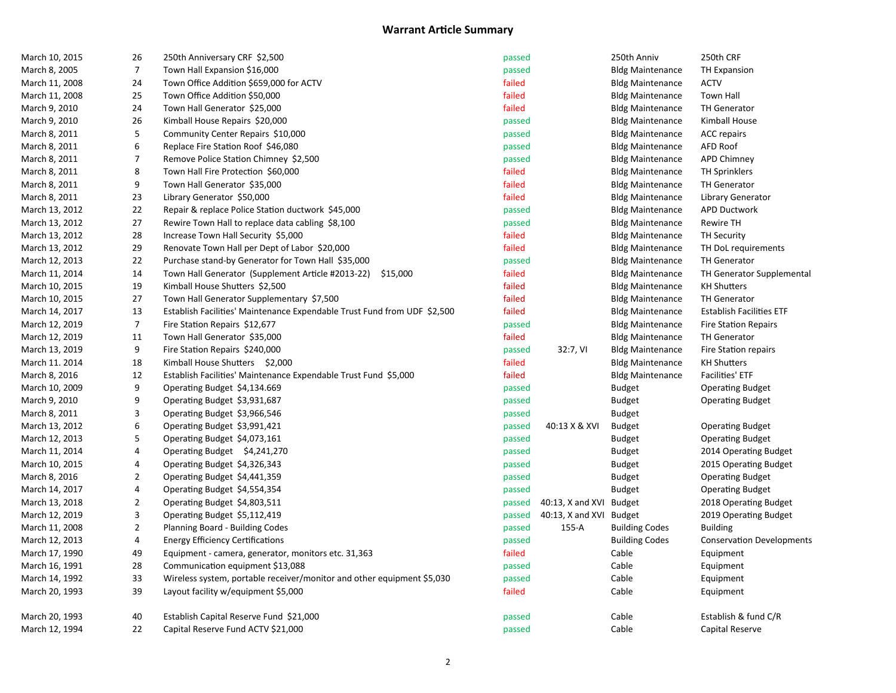| March 10, 2015 | 26                       | 250th Anniversary CRF \$2,500                                            | passed |                         | 250th Anniv             | 250th CRF                        |
|----------------|--------------------------|--------------------------------------------------------------------------|--------|-------------------------|-------------------------|----------------------------------|
| March 8, 2005  | $\overline{7}$           | Town Hall Expansion \$16,000                                             | passed |                         | <b>Bldg Maintenance</b> | <b>TH Expansion</b>              |
| March 11, 2008 | 24                       | Town Office Addition \$659,000 for ACTV                                  | failed |                         | <b>Bldg Maintenance</b> | <b>ACTV</b>                      |
| March 11, 2008 | 25                       | Town Office Addition \$50,000                                            | failed |                         | <b>Bldg Maintenance</b> | Town Hall                        |
| March 9, 2010  | 24                       | Town Hall Generator \$25,000                                             | failed |                         | <b>Bldg Maintenance</b> | <b>TH Generator</b>              |
| March 9, 2010  | 26                       | Kimball House Repairs \$20,000                                           | passed |                         | <b>Bldg Maintenance</b> | Kimball House                    |
| March 8, 2011  | 5                        | Community Center Repairs \$10,000                                        | passed |                         | <b>Bldg Maintenance</b> | <b>ACC</b> repairs               |
| March 8, 2011  | 6                        | Replace Fire Station Roof \$46,080                                       | passed |                         | <b>Bldg Maintenance</b> | <b>AFD Roof</b>                  |
| March 8, 2011  | $\overline{\mathcal{I}}$ | Remove Police Station Chimney \$2,500                                    | passed |                         | <b>Bldg Maintenance</b> | APD Chimney                      |
| March 8, 2011  | 8                        | Town Hall Fire Protection \$60,000                                       | failed |                         | <b>Bldg Maintenance</b> | <b>TH Sprinklers</b>             |
| March 8, 2011  | 9                        | Town Hall Generator \$35,000                                             | failed |                         | <b>Bldg Maintenance</b> | <b>TH Generator</b>              |
| March 8, 2011  | 23                       | Library Generator \$50,000                                               | failed |                         | <b>Bldg Maintenance</b> | Library Generator                |
| March 13, 2012 | 22                       | Repair & replace Police Station ductwork \$45,000                        | passed |                         | <b>Bldg Maintenance</b> | <b>APD Ductwork</b>              |
| March 13, 2012 | 27                       | Rewire Town Hall to replace data cabling \$8,100                         | passed |                         | <b>Bldg Maintenance</b> | <b>Rewire TH</b>                 |
| March 13, 2012 | 28                       | Increase Town Hall Security \$5,000                                      | failed |                         | <b>Bldg Maintenance</b> | <b>TH Security</b>               |
| March 13, 2012 | 29                       | Renovate Town Hall per Dept of Labor \$20,000                            | failed |                         | <b>Bldg Maintenance</b> | TH DoL requirements              |
| March 12, 2013 | 22                       | Purchase stand-by Generator for Town Hall \$35,000                       | passed |                         | <b>Bldg Maintenance</b> | <b>TH Generator</b>              |
| March 11, 2014 | 14                       | Town Hall Generator (Supplement Article #2013-22) \$15,000               | failed |                         | <b>Bldg Maintenance</b> | TH Generator Supplemental        |
| March 10, 2015 | 19                       | Kimball House Shutters \$2,500                                           | failed |                         | <b>Bldg Maintenance</b> | <b>KH Shutters</b>               |
| March 10, 2015 | 27                       | Town Hall Generator Supplementary \$7,500                                | failed |                         | <b>Bldg Maintenance</b> | <b>TH Generator</b>              |
| March 14, 2017 | 13                       | Establish Facilities' Maintenance Expendable Trust Fund from UDF \$2,500 | failed |                         | <b>Bldg Maintenance</b> | <b>Establish Facilities ETF</b>  |
| March 12, 2019 | $\overline{7}$           | Fire Station Repairs \$12,677                                            | passed |                         | <b>Bldg Maintenance</b> | <b>Fire Station Repairs</b>      |
| March 12, 2019 | 11                       | Town Hall Generator \$35,000                                             | failed |                         | <b>Bldg Maintenance</b> | <b>TH Generator</b>              |
| March 13, 2019 | 9                        | Fire Station Repairs \$240,000                                           | passed | 32:7, VI                | <b>Bldg Maintenance</b> | Fire Station repairs             |
| March 11. 2014 | 18                       | Kimball House Shutters \$2,000                                           | failed |                         | <b>Bldg Maintenance</b> | <b>KH Shutters</b>               |
| March 8, 2016  | 12                       | Establish Facilities' Maintenance Expendable Trust Fund \$5,000          | failed |                         | <b>Bldg Maintenance</b> | Facilities' ETF                  |
| March 10, 2009 | 9                        | Operating Budget \$4,134.669                                             | passed |                         | <b>Budget</b>           | <b>Operating Budget</b>          |
| March 9, 2010  | 9                        | Operating Budget \$3,931,687                                             | passed |                         | <b>Budget</b>           | <b>Operating Budget</b>          |
| March 8, 2011  | 3                        | Operating Budget \$3,966,546                                             | passed |                         | <b>Budget</b>           |                                  |
| March 13, 2012 | 6                        | Operating Budget \$3,991,421                                             | passed | 40:13 X & XVI           | <b>Budget</b>           | <b>Operating Budget</b>          |
| March 12, 2013 | 5                        | Operating Budget \$4,073,161                                             | passed |                         | <b>Budget</b>           | <b>Operating Budget</b>          |
| March 11, 2014 | 4                        | Operating Budget \$4,241,270                                             | passed |                         | <b>Budget</b>           | 2014 Operating Budget            |
| March 10, 2015 | 4                        | Operating Budget \$4,326,343                                             | passed |                         | <b>Budget</b>           | 2015 Operating Budget            |
| March 8, 2016  | $\overline{2}$           | Operating Budget \$4,441,359                                             | passed |                         | <b>Budget</b>           | <b>Operating Budget</b>          |
| March 14, 2017 | 4                        | Operating Budget \$4,554,354                                             | passed |                         | <b>Budget</b>           | <b>Operating Budget</b>          |
| March 13, 2018 | $\overline{\mathbf{c}}$  | Operating Budget \$4,803,511                                             | passed | 40:13, X and XVI Budget |                         | 2018 Operating Budget            |
| March 12, 2019 | 3                        | Operating Budget \$5,112,419                                             | passed | 40:13, X and XVI Budget |                         | 2019 Operating Budget            |
| March 11, 2008 | $\overline{2}$           | Planning Board - Building Codes                                          | passed | 155-A                   | <b>Building Codes</b>   | <b>Building</b>                  |
| March 12, 2013 | 4                        | <b>Energy Efficiency Certifications</b>                                  | passed |                         | <b>Building Codes</b>   | <b>Conservation Developments</b> |
| March 17, 1990 | 49                       | Equipment - camera, generator, monitors etc. 31,363                      | failed |                         | Cable                   | Equipment                        |
| March 16, 1991 | 28                       | Communication equipment \$13,088                                         | passed |                         | Cable                   | Equipment                        |
| March 14, 1992 | 33                       | Wireless system, portable receiver/monitor and other equipment \$5,030   | passed |                         | Cable                   | Equipment                        |
| March 20, 1993 | 39                       | Layout facility w/equipment \$5,000                                      | failed |                         | Cable                   | Equipment                        |
| March 20, 1993 | 40                       | Establish Capital Reserve Fund \$21,000                                  | passed |                         | Cable                   | Establish & fund C/R             |
| March 12, 1994 | 22                       | Capital Reserve Fund ACTV \$21,000                                       | passed |                         | Cable                   | Capital Reserve                  |
|                |                          |                                                                          |        |                         |                         |                                  |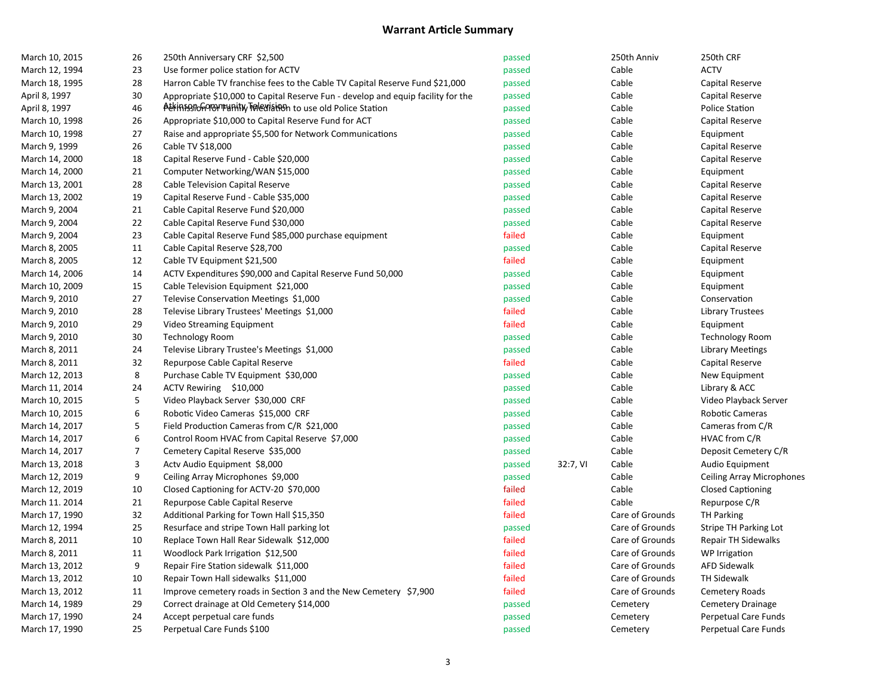| March 10, 2015 | 26               | 250th Anniversary CRF \$2,500                                                    | passed |          | 250th Anniv     | 250th CRF                   |
|----------------|------------------|----------------------------------------------------------------------------------|--------|----------|-----------------|-----------------------------|
| March 12, 1994 | 23               | Use former police station for ACTV                                               | passed |          | Cable           | <b>ACTV</b>                 |
| March 18, 1995 | 28               | Harron Cable TV franchise fees to the Cable TV Capital Reserve Fund \$21,000     | passed |          | Cable           | Capital Reserve             |
| April 8, 1997  | 30               | Appropriate \$10,000 to Capital Reserve Fun - develop and equip facility for the | passed |          | Cable           | Capital Reserve             |
| April 8, 1997  | 46               | A EXPLOSION THAN MEXIS TO use old Police Station                                 | passed |          | Cable           | Police Station              |
| March 10, 1998 | 26               | Appropriate \$10,000 to Capital Reserve Fund for ACT                             | passed |          | Cable           | Capital Reserve             |
| March 10, 1998 | 27               | Raise and appropriate \$5,500 for Network Communications                         | passed |          | Cable           | Equipment                   |
| March 9, 1999  | 26               | Cable TV \$18,000                                                                | passed |          | Cable           | Capital Reserve             |
| March 14, 2000 | 18               | Capital Reserve Fund - Cable \$20,000                                            | passed |          | Cable           | Capital Reserve             |
| March 14, 2000 | 21               | Computer Networking/WAN \$15,000                                                 | passed |          | Cable           | Equipment                   |
| March 13, 2001 | 28               | Cable Television Capital Reserve                                                 | passed |          | Cable           | Capital Reserve             |
| March 13, 2002 | 19               | Capital Reserve Fund - Cable \$35,000                                            | passed |          | Cable           | Capital Reserve             |
| March 9, 2004  | 21               | Cable Capital Reserve Fund \$20,000                                              | passed |          | Cable           | Capital Reserve             |
| March 9, 2004  | 22               | Cable Capital Reserve Fund \$30,000                                              | passed |          | Cable           | Capital Reserve             |
| March 9, 2004  | 23               | Cable Capital Reserve Fund \$85,000 purchase equipment                           | failed |          | Cable           | Equipment                   |
| March 8, 2005  | 11               | Cable Capital Reserve \$28,700                                                   | passed |          | Cable           | Capital Reserve             |
| March 8, 2005  | 12               | Cable TV Equipment \$21,500                                                      | failed |          | Cable           | Equipment                   |
| March 14, 2006 | 14               | ACTV Expenditures \$90,000 and Capital Reserve Fund 50,000                       | passed |          | Cable           | Equipment                   |
| March 10, 2009 | 15               | Cable Television Equipment \$21,000                                              | passed |          | Cable           | Equipment                   |
| March 9, 2010  | 27               | Televise Conservation Meetings \$1,000                                           | passed |          | Cable           | Conservation                |
| March 9, 2010  | 28               | Televise Library Trustees' Meetings \$1,000                                      | failed |          | Cable           | <b>Library Trustees</b>     |
| March 9, 2010  | 29               | Video Streaming Equipment                                                        | failed |          | Cable           | Equipment                   |
| March 9, 2010  | 30               | <b>Technology Room</b>                                                           | passed |          | Cable           | <b>Technology Room</b>      |
| March 8, 2011  | 24               | Televise Library Trustee's Meetings \$1,000                                      | passed |          | Cable           | Library Meetings            |
| March 8, 2011  | 32               | Repurpose Cable Capital Reserve                                                  | failed |          | Cable           | Capital Reserve             |
| March 12, 2013 | 8                | Purchase Cable TV Equipment \$30,000                                             | passed |          | Cable           | New Equipment               |
| March 11, 2014 | 24               | ACTV Rewiring \$10,000                                                           | passed |          | Cable           | Library & ACC               |
| March 10, 2015 | 5                | Video Playback Server \$30,000 CRF                                               | passed |          | Cable           | Video Playback Server       |
| March 10, 2015 | $\boldsymbol{6}$ | Robotic Video Cameras \$15,000 CRF                                               | passed |          | Cable           | Robotic Cameras             |
| March 14, 2017 | 5                | Field Production Cameras from C/R \$21,000                                       | passed |          | Cable           | Cameras from C/R            |
| March 14, 2017 | $\boldsymbol{6}$ | Control Room HVAC from Capital Reserve \$7,000                                   | passed |          | Cable           | HVAC from C/R               |
| March 14, 2017 | $\overline{7}$   | Cemetery Capital Reserve \$35,000                                                | passed |          | Cable           | Deposit Cemetery C/R        |
| March 13, 2018 | $\mathsf 3$      | Acty Audio Equipment \$8,000                                                     | passed | 32:7, VI | Cable           | Audio Equipment             |
| March 12, 2019 | 9                | Ceiling Array Microphones \$9,000                                                | passed |          | Cable           | Ceiling Array Microphones   |
| March 12, 2019 | 10               | Closed Captioning for ACTV-20 \$70,000                                           | failed |          | Cable           | <b>Closed Captioning</b>    |
| March 11. 2014 | 21               | Repurpose Cable Capital Reserve                                                  | failed |          | Cable           | Repurpose C/R               |
| March 17, 1990 | 32               | Additional Parking for Town Hall \$15,350                                        | failed |          | Care of Grounds | <b>TH Parking</b>           |
| March 12, 1994 | 25               | Resurface and stripe Town Hall parking lot                                       | passed |          | Care of Grounds | Stripe TH Parking Lot       |
| March 8, 2011  | 10               | Replace Town Hall Rear Sidewalk \$12,000                                         | failed |          | Care of Grounds | <b>Repair TH Sidewalks</b>  |
| March 8, 2011  | 11               | Woodlock Park Irrigation \$12,500                                                | failed |          | Care of Grounds | WP Irrigation               |
| March 13, 2012 | 9                | Repair Fire Station sidewalk \$11,000                                            | failed |          | Care of Grounds | <b>AFD Sidewalk</b>         |
| March 13, 2012 | 10               | Repair Town Hall sidewalks \$11,000                                              | failed |          | Care of Grounds | TH Sidewalk                 |
| March 13, 2012 | 11               | Improve cemetery roads in Section 3 and the New Cemetery \$7,900                 | failed |          | Care of Grounds | Cemetery Roads              |
| March 14, 1989 | 29               | Correct drainage at Old Cemetery \$14,000                                        | passed |          | Cemetery        | <b>Cemetery Drainage</b>    |
| March 17, 1990 | 24               | Accept perpetual care funds                                                      | passed |          | Cemetery        | Perpetual Care Funds        |
| March 17, 1990 | 25               | Perpetual Care Funds \$100                                                       | passed |          | Cemetery        | <b>Perpetual Care Funds</b> |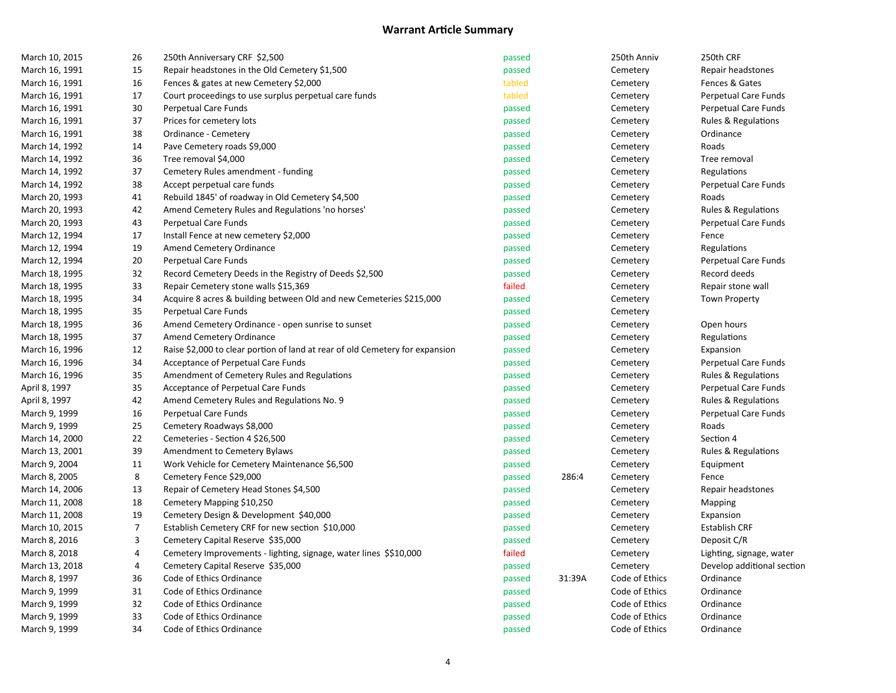| March 10, 2015 | 26               | 250th Anniversary CRF \$2,500                                                | passed |        | 250th Anniv    | 250th CRF                      |
|----------------|------------------|------------------------------------------------------------------------------|--------|--------|----------------|--------------------------------|
| March 16, 1991 | 15               | Repair headstones in the Old Cemetery \$1,500                                | passed |        | Cemetery       | Repair headstones              |
| March 16, 1991 | 16               | Fences & gates at new Cemetery \$2,000                                       | tabled |        | Cemetery       | Fences & Gates                 |
| March 16, 1991 | 17               | Court proceedings to use surplus perpetual care funds                        | tabled |        | Cemetery       | <b>Perpetual Care Funds</b>    |
| March 16, 1991 | 30               | Perpetual Care Funds                                                         | passed |        | Cemetery       | Perpetual Care Funds           |
| March 16, 1991 | 37               | Prices for cemetery lots                                                     | passed |        | Cemetery       | Rules & Regulations            |
| March 16, 1991 | 38               | Ordinance - Cemetery                                                         | passed |        | Cemetery       | Ordinance                      |
| March 14, 1992 | 14               | Pave Cemetery roads \$9,000                                                  | passed |        | Cemetery       | Roads                          |
| March 14, 1992 | 36               | Tree removal \$4,000                                                         | passed |        | Cemetery       | Tree removal                   |
| March 14, 1992 | 37               | Cemetery Rules amendment - funding                                           | passed |        | Cemetery       | Regulations                    |
| March 14, 1992 | 38               | Accept perpetual care funds                                                  | passed |        | Cemetery       | Perpetual Care Funds           |
| March 20, 1993 | 41               | Rebuild 1845' of roadway in Old Cemetery \$4,500                             | passed |        | Cemetery       | Roads                          |
| March 20, 1993 | 42               | Amend Cemetery Rules and Regulations 'no horses'                             | passed |        | Cemetery       | Rules & Regulations            |
| March 20, 1993 | 43               | Perpetual Care Funds                                                         | passed |        | Cemetery       | Perpetual Care Funds           |
| March 12, 1994 | 17               | Install Fence at new cemetery \$2,000                                        | passed |        | Cemetery       | Fence                          |
| March 12, 1994 | 19               | Amend Cemetery Ordinance                                                     | passed |        | Cemetery       | Regulations                    |
| March 12, 1994 | 20               | Perpetual Care Funds                                                         | passed |        | Cemetery       | Perpetual Care Funds           |
| March 18, 1995 | 32               | Record Cemetery Deeds in the Registry of Deeds \$2,500                       | passed |        | Cemetery       | Record deeds                   |
| March 18, 1995 | 33               | Repair Cemetery stone walls \$15,369                                         | failed |        | Cemetery       | Repair stone wall              |
| March 18, 1995 | 34               | Acquire 8 acres & building between Old and new Cemeteries \$215,000          | passed |        | Cemetery       | <b>Town Property</b>           |
| March 18, 1995 | 35               | Perpetual Care Funds                                                         | passed |        | Cemetery       |                                |
| March 18, 1995 | 36               | Amend Cemetery Ordinance - open sunrise to sunset                            | passed |        | Cemetery       | Open hours                     |
| March 18, 1995 | 37               | Amend Cemetery Ordinance                                                     | passed |        | Cemetery       | Regulations                    |
| March 16, 1996 | 12               | Raise \$2,000 to clear portion of land at rear of old Cemetery for expansion | passed |        | Cemetery       | Expansion                      |
| March 16, 1996 | 34               | Acceptance of Perpetual Care Funds                                           | passed |        | Cemetery       | Perpetual Care Funds           |
| March 16, 1996 | 35               | Amendment of Cemetery Rules and Regulations                                  | passed |        | Cemetery       | <b>Rules &amp; Regulations</b> |
| April 8, 1997  | 35               | Acceptance of Perpetual Care Funds                                           | passed |        | Cemetery       | Perpetual Care Funds           |
| April 8, 1997  | 42               | Amend Cemetery Rules and Regulations No. 9                                   | passed |        | Cemetery       | <b>Rules &amp; Regulations</b> |
| March 9, 1999  | 16               | Perpetual Care Funds                                                         | passed |        | Cemetery       | Perpetual Care Funds           |
| March 9, 1999  | 25               | Cemetery Roadways \$8,000                                                    | passed |        | Cemetery       | Roads                          |
| March 14, 2000 | 22               | Cemeteries - Section 4 \$26,500                                              | passed |        | Cemetery       | Section 4                      |
| March 13, 2001 | 39               | Amendment to Cemetery Bylaws                                                 | passed |        | Cemetery       | <b>Rules &amp; Regulations</b> |
| March 9, 2004  | 11               | Work Vehicle for Cemetery Maintenance \$6,500                                | passed |        | Cemetery       | Equipment                      |
| March 8, 2005  | 8                | Cemetery Fence \$29,000                                                      | passed | 286:4  | Cemetery       | Fence                          |
| March 14, 2006 | 13               | Repair of Cemetery Head Stones \$4,500                                       | passed |        | Cemetery       | Repair headstones              |
| March 11, 2008 | 18               | Cemetery Mapping \$10,250                                                    | passed |        | Cemetery       | Mapping                        |
| March 11, 2008 | 19               | Cemetery Design & Development \$40,000                                       | passed |        | Cemetery       | Expansion                      |
| March 10, 2015 | $\boldsymbol{7}$ | Establish Cemetery CRF for new section \$10,000                              | passed |        | Cemetery       | <b>Establish CRF</b>           |
| March 8, 2016  | 3                | Cemetery Capital Reserve \$35,000                                            | passed |        | Cemetery       | Deposit C/R                    |
| March 8, 2018  | 4                | Cemetery Improvements - lighting, signage, water lines \$\$10,000            | failed |        | Cemetery       | Lighting, signage, water       |
| March 13, 2018 | 4                | Cemetery Capital Reserve \$35,000                                            | passed |        | Cemetery       | Develop additional section     |
| March 8, 1997  | 36               | Code of Ethics Ordinance                                                     | passed | 31:39A | Code of Ethics | Ordinance                      |
| March 9, 1999  | 31               | Code of Ethics Ordinance                                                     | passed |        | Code of Ethics | Ordinance                      |
| March 9, 1999  | 32               | Code of Ethics Ordinance                                                     | passed |        | Code of Ethics | Ordinance                      |
| March 9, 1999  | 33               | Code of Ethics Ordinance                                                     | passed |        | Code of Ethics | Ordinance                      |
| March 9, 1999  | 34               | Code of Ethics Ordinance                                                     | passed |        | Code of Ethics | Ordinance                      |
|                |                  |                                                                              |        |        |                |                                |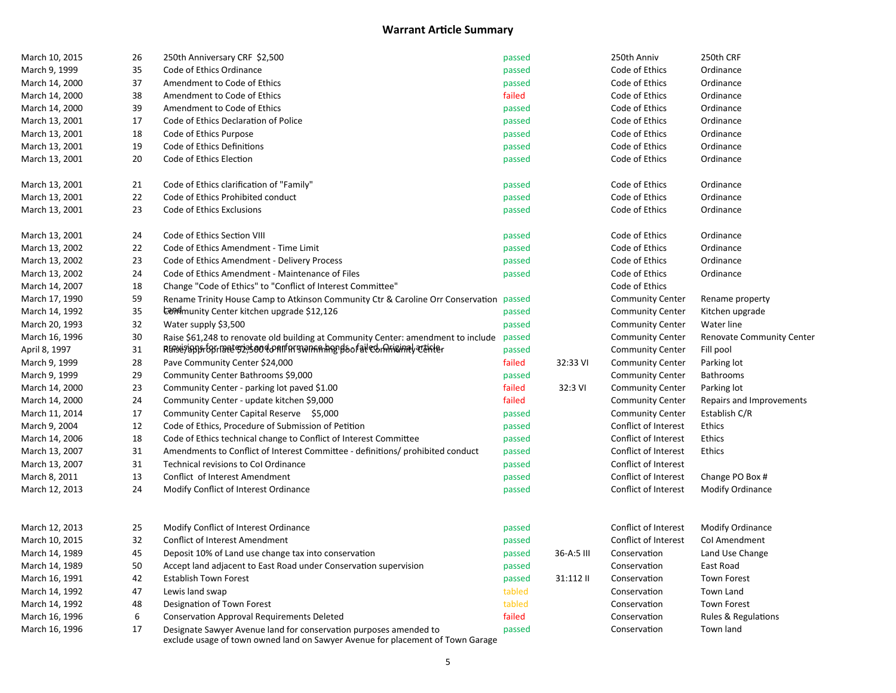| March 10, 2015 | 26 | 250th Anniversary CRF \$2,500                                                     | passed |            | 250th Anniv             | 250th CRF                 |
|----------------|----|-----------------------------------------------------------------------------------|--------|------------|-------------------------|---------------------------|
| March 9, 1999  | 35 | Code of Ethics Ordinance                                                          | passed |            | Code of Ethics          | Ordinance                 |
| March 14, 2000 | 37 | Amendment to Code of Ethics                                                       | passed |            | Code of Ethics          | Ordinance                 |
| March 14, 2000 | 38 | Amendment to Code of Ethics                                                       | failed |            | Code of Ethics          | Ordinance                 |
| March 14, 2000 | 39 | Amendment to Code of Ethics                                                       | passed |            | Code of Ethics          | Ordinance                 |
| March 13, 2001 | 17 | Code of Ethics Declaration of Police                                              | passed |            | Code of Ethics          | Ordinance                 |
| March 13, 2001 | 18 | Code of Ethics Purpose                                                            | passed |            | Code of Ethics          | Ordinance                 |
| March 13, 2001 | 19 | Code of Ethics Definitions                                                        | passed |            | Code of Ethics          | Ordinance                 |
| March 13, 2001 | 20 | Code of Ethics Election                                                           | passed |            | Code of Ethics          | Ordinance                 |
| March 13, 2001 | 21 | Code of Ethics clarification of "Family"                                          | passed |            | Code of Ethics          | Ordinance                 |
| March 13, 2001 | 22 | Code of Ethics Prohibited conduct                                                 | passed |            | Code of Ethics          | Ordinance                 |
| March 13, 2001 | 23 | Code of Ethics Exclusions                                                         | passed |            | Code of Ethics          | Ordinance                 |
| March 13, 2001 | 24 | Code of Ethics Section VIII                                                       | passed |            | Code of Ethics          | Ordinance                 |
| March 13, 2002 | 22 | Code of Ethics Amendment - Time Limit                                             | passed |            | Code of Ethics          | Ordinance                 |
| March 13, 2002 | 23 | Code of Ethics Amendment - Delivery Process                                       | passed |            | Code of Ethics          | Ordinance                 |
| March 13, 2002 | 24 | Code of Ethics Amendment - Maintenance of Files                                   | passed |            | Code of Ethics          | Ordinance                 |
| March 14, 2007 | 18 | Change "Code of Ethics" to "Conflict of Interest Committee"                       |        |            | Code of Ethics          |                           |
| March 17, 1990 | 59 | Rename Trinity House Camp to Atkinson Community Ctr & Caroline Orr Conservation   | passed |            | <b>Community Center</b> | Rename property           |
| March 14, 1992 | 35 | EUPP munity Center kitchen upgrade \$12,126                                       | passed |            | <b>Community Center</b> | Kitchen upgrade           |
| March 20, 1993 | 32 | Water supply \$3,500                                                              | passed |            | <b>Community Center</b> | Water line                |
| March 16, 1996 | 30 | Raise \$61,248 to renovate old building at Community Center: amendment to include | passed |            | <b>Community Center</b> | Renovate Community Center |
| April 8, 1997  | 31 | RERSE7ERD5 fOr met \$23500 do All Arman ART Boofall & Arisinal at Klar            | passed |            | <b>Community Center</b> | Fill pool                 |
| March 9, 1999  | 28 | Pave Community Center \$24,000                                                    | failed | 32:33 VI   | <b>Community Center</b> | Parking lot               |
| March 9, 1999  | 29 | Community Center Bathrooms \$9,000                                                | passed |            | <b>Community Center</b> | <b>Bathrooms</b>          |
| March 14, 2000 | 23 | Community Center - parking lot paved \$1.00                                       | failed | 32:3 VI    | <b>Community Center</b> | Parking lot               |
| March 14, 2000 | 24 | Community Center - update kitchen \$9,000                                         | failed |            | <b>Community Center</b> | Repairs and Improvements  |
| March 11, 2014 | 17 | Community Center Capital Reserve \$5,000                                          | passed |            | <b>Community Center</b> | Establish C/R             |
| March 9, 2004  | 12 | Code of Ethics, Procedure of Submission of Petition                               | passed |            | Conflict of Interest    | Ethics                    |
| March 14, 2006 | 18 | Code of Ethics technical change to Conflict of Interest Committee                 | passed |            | Conflict of Interest    | Ethics                    |
| March 13, 2007 | 31 | Amendments to Conflict of Interest Committee - definitions/ prohibited conduct    | passed |            | Conflict of Interest    | Ethics                    |
| March 13, 2007 | 31 | Technical revisions to Col Ordinance                                              | passed |            | Conflict of Interest    |                           |
| March 8, 2011  | 13 | Conflict of Interest Amendment                                                    | passed |            | Conflict of Interest    | Change PO Box #           |
| March 12, 2013 | 24 | Modify Conflict of Interest Ordinance                                             | passed |            | Conflict of Interest    | Modify Ordinance          |
| March 12, 2013 | 25 | Modify Conflict of Interest Ordinance                                             | passed |            | Conflict of Interest    | Modify Ordinance          |
| March 10, 2015 | 32 | <b>Conflict of Interest Amendment</b>                                             | passed |            | Conflict of Interest    | Col Amendment             |
| March 14, 1989 | 45 | Deposit 10% of Land use change tax into conservation                              | passed | 36-A:5 III | Conservation            | Land Use Change           |
| March 14, 1989 | 50 | Accept land adjacent to East Road under Conservation supervision                  | passed |            | Conservation            | East Road                 |
| March 16, 1991 | 42 | <b>Establish Town Forest</b>                                                      | passed | 31:112 II  | Conservation            | <b>Town Forest</b>        |
| March 14, 1992 | 47 | Lewis land swap                                                                   | tabled |            | Conservation            | Town Land                 |
| March 14, 1992 | 48 | Designation of Town Forest                                                        | tabled |            | Conservation            | Town Forest               |
| March 16, 1996 | 6  | <b>Conservation Approval Requirements Deleted</b>                                 | failed |            | Conservation            | Rules & Regulations       |
| March 16, 1996 | 17 | Designate Sawyer Avenue land for conservation purposes amended to                 | passed |            | Conservation            | Town land                 |
|                |    | exclude usage of town owned land on Sawyer Avenue for placement of Town Garage    |        |            |                         |                           |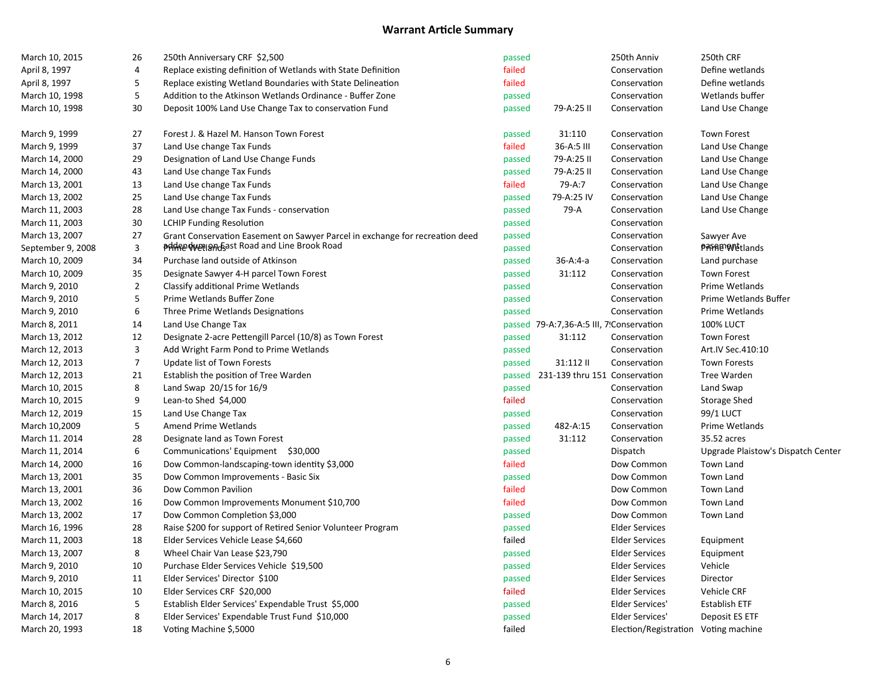| April 8, 1997<br>failed<br>4<br>Replace existing definition of Wetlands with State Definition<br>Conservation<br>Define wetlands<br>failed<br>April 8, 1997<br>5<br>Replace existing Wetland Boundaries with State Delineation<br>Define wetlands<br>Conservation<br>5<br>March 10, 1998<br>Addition to the Atkinson Wetlands Ordinance - Buffer Zone<br>passed<br>Conservation<br>Wetlands buffer<br>30<br>March 10, 1998<br>Deposit 100% Land Use Change Tax to conservation Fund<br>passed<br>79-A:25 II<br>Conservation<br>Land Use Change<br>March 9, 1999<br>27<br>Forest J. & Hazel M. Hanson Town Forest<br>31:110<br><b>Town Forest</b><br>passed<br>Conservation<br>37<br>March 9, 1999<br>Land Use change Tax Funds<br>failed<br>36-A:5 III<br>Land Use Change<br>Conservation<br>29<br>79-A:25 II<br>Land Use Change<br>March 14, 2000<br>Designation of Land Use Change Funds<br>passed<br>Conservation<br>43<br>79-A:25 II<br>Land Use Change<br>March 14, 2000<br>Land Use change Tax Funds<br>passed<br>Conservation<br>March 13, 2001<br>13<br>Land Use change Tax Funds<br>failed<br>79-A:7<br>Conservation<br>Land Use Change<br>25<br>79-A:25 IV<br>March 13, 2002<br>Land Use change Tax Funds<br>passed<br>Conservation<br>Land Use Change<br>28<br>79-A<br>Land Use Change<br>March 11, 2003<br>Land Use change Tax Funds - conservation<br>passed<br>Conservation<br>30<br>March 11, 2003<br><b>LCHIP Funding Resolution</b><br>passed<br>Conservation<br>27<br>March 13, 2007<br>Grant Conservation Easement on Sawyer Parcel in exchange for recreation deed<br>passed<br>Conservation<br>Sawyer Ave<br><b>Printed Weel And East Road and Line Brook Road</b><br><b>PARAE WE</b> tlands<br>3<br>September 9, 2008<br>passed<br>Conservation<br>34<br>March 10, 2009<br>Purchase land outside of Atkinson<br>passed<br>36-A:4-a<br>Conservation<br>Land purchase<br>35<br>31:112<br>March 10, 2009<br>Designate Sawyer 4-H parcel Town Forest<br>passed<br>Conservation<br><b>Town Forest</b><br>March 9, 2010<br>2<br>Classify additional Prime Wetlands<br>Conservation<br>Prime Wetlands<br>passed<br>5<br>March 9, 2010<br>Prime Wetlands Buffer Zone<br>passed<br>Conservation<br>Prime Wetlands Buffer<br>March 9, 2010<br>6<br>Three Prime Wetlands Designations<br>passed<br>Conservation<br>Prime Wetlands<br><b>100% LUCT</b><br>March 8, 2011<br>14<br>Land Use Change Tax<br>passed 79-A:7,36-A:5 III, 7'Conservation<br>12<br>Designate 2-acre Pettengill Parcel (10/8) as Town Forest<br>March 13, 2012<br>passed<br>31:112<br><b>Town Forest</b><br>Conservation<br>3<br>March 12, 2013<br>Add Wright Farm Pond to Prime Wetlands<br>passed<br>Art.IV Sec.410:10<br>Conservation<br>7<br>March 12, 2013<br>Update list of Town Forests<br>passed<br>31:112 II<br><b>Town Forests</b><br>Conservation<br>March 12, 2013<br>21<br>Establish the position of Tree Warden<br>passed<br>231-139 thru 151 Conservation<br>Tree Warden<br>8<br>Land Swap<br>March 10, 2015<br>Land Swap 20/15 for 16/9<br>passed<br>Conservation<br>9<br>failed<br>March 10, 2015<br>Lean-to Shed \$4,000<br><b>Storage Shed</b><br>Conservation<br>99/1 LUCT<br>March 12, 2019<br>15<br>Land Use Change Tax<br>passed<br>Conservation<br>5<br>March 10,2009<br>Amend Prime Wetlands<br>482-A:15<br>Prime Wetlands<br>passed<br>Conservation<br>28<br>31:112<br>35.52 acres<br>March 11. 2014<br>Designate land as Town Forest<br>passed<br>Conservation<br>6<br>March 11, 2014<br>Communications' Equipment \$30,000<br>passed<br>Dispatch<br>Upgrade Plaistow's Dispatch Center<br>failed<br>Town Land<br>March 14, 2000<br>16<br>Dow Common-landscaping-town identity \$3,000<br>Dow Common<br>35<br>Town Land<br>March 13, 2001<br>Dow Common Improvements - Basic Six<br>passed<br>Dow Common<br>36<br>failed<br>Town Land<br>March 13, 2001<br>Dow Common Pavilion<br>Dow Common<br>failed<br>March 13, 2002<br>16<br>Dow Common Improvements Monument \$10,700<br>Dow Common<br>Town Land<br>17<br>Town Land<br>March 13, 2002<br>Dow Common Completion \$3,000<br>passed<br>Dow Common<br>28<br>March 16, 1996<br>Raise \$200 for support of Retired Senior Volunteer Program<br>passed<br><b>Elder Services</b><br>18<br>failed<br>March 11, 2003<br>Elder Services Vehicle Lease \$4,660<br><b>Elder Services</b><br>Equipment<br>8<br>March 13, 2007<br>Wheel Chair Van Lease \$23,790<br><b>Elder Services</b><br>passed<br>Equipment<br>10<br>Vehicle<br>March 9, 2010<br>Purchase Elder Services Vehicle \$19,500<br>passed<br><b>Elder Services</b><br>March 9, 2010<br>11<br>Elder Services' Director \$100<br>passed<br><b>Elder Services</b><br>Director<br>10<br>failed<br>March 10, 2015<br>Elder Services CRF \$20,000<br><b>Elder Services</b><br>Vehicle CRF<br>5<br>March 8, 2016<br>Establish Elder Services' Expendable Trust \$5,000<br>passed<br>Elder Services'<br>Establish ETF<br>March 14, 2017<br>8<br>Elder Services' Expendable Trust Fund \$10,000<br>passed<br>Elder Services'<br>Deposit ES ETF<br>failed<br>March 20, 1993<br>18<br>Voting Machine \$,5000<br>Election/Registration Voting machine | March 10, 2015 | 26 | 250th Anniversary CRF \$2,500 | passed | 250th Anniv | 250th CRF |
|------------------------------------------------------------------------------------------------------------------------------------------------------------------------------------------------------------------------------------------------------------------------------------------------------------------------------------------------------------------------------------------------------------------------------------------------------------------------------------------------------------------------------------------------------------------------------------------------------------------------------------------------------------------------------------------------------------------------------------------------------------------------------------------------------------------------------------------------------------------------------------------------------------------------------------------------------------------------------------------------------------------------------------------------------------------------------------------------------------------------------------------------------------------------------------------------------------------------------------------------------------------------------------------------------------------------------------------------------------------------------------------------------------------------------------------------------------------------------------------------------------------------------------------------------------------------------------------------------------------------------------------------------------------------------------------------------------------------------------------------------------------------------------------------------------------------------------------------------------------------------------------------------------------------------------------------------------------------------------------------------------------------------------------------------------------------------------------------------------------------------------------------------------------------------------------------------------------------------------------------------------------------------------------------------------------------------------------------------------------------------------------------------------------------------------------------------------------------------------------------------------------------------------------------------------------------------------------------------------------------------------------------------------------------------------------------------------------------------------------------------------------------------------------------------------------------------------------------------------------------------------------------------------------------------------------------------------------------------------------------------------------------------------------------------------------------------------------------------------------------------------------------------------------------------------------------------------------------------------------------------------------------------------------------------------------------------------------------------------------------------------------------------------------------------------------------------------------------------------------------------------------------------------------------------------------------------------------------------------------------------------------------------------------------------------------------------------------------------------------------------------------------------------------------------------------------------------------------------------------------------------------------------------------------------------------------------------------------------------------------------------------------------------------------------------------------------------------------------------------------------------------------------------------------------------------------------------------------------------------------------------------------------------------------------------------------------------------------------------------------------------------------------------------------------------------------------------------------------------------------------------------------------------------------------------------------------------------------------------------------------------------------------------------------------------------------------------------------------------------------------------------------------------------------------------------------------------------------------------------------------------------------------------------------------------------------------------------------------------------------------------------------------------------------------------------------------------------------------------------------------------------------------------|----------------|----|-------------------------------|--------|-------------|-----------|
|                                                                                                                                                                                                                                                                                                                                                                                                                                                                                                                                                                                                                                                                                                                                                                                                                                                                                                                                                                                                                                                                                                                                                                                                                                                                                                                                                                                                                                                                                                                                                                                                                                                                                                                                                                                                                                                                                                                                                                                                                                                                                                                                                                                                                                                                                                                                                                                                                                                                                                                                                                                                                                                                                                                                                                                                                                                                                                                                                                                                                                                                                                                                                                                                                                                                                                                                                                                                                                                                                                                                                                                                                                                                                                                                                                                                                                                                                                                                                                                                                                                                                                                                                                                                                                                                                                                                                                                                                                                                                                                                                                                                                                                                                                                                                                                                                                                                                                                                                                                                                                                                                                                                                            |                |    |                               |        |             |           |
|                                                                                                                                                                                                                                                                                                                                                                                                                                                                                                                                                                                                                                                                                                                                                                                                                                                                                                                                                                                                                                                                                                                                                                                                                                                                                                                                                                                                                                                                                                                                                                                                                                                                                                                                                                                                                                                                                                                                                                                                                                                                                                                                                                                                                                                                                                                                                                                                                                                                                                                                                                                                                                                                                                                                                                                                                                                                                                                                                                                                                                                                                                                                                                                                                                                                                                                                                                                                                                                                                                                                                                                                                                                                                                                                                                                                                                                                                                                                                                                                                                                                                                                                                                                                                                                                                                                                                                                                                                                                                                                                                                                                                                                                                                                                                                                                                                                                                                                                                                                                                                                                                                                                                            |                |    |                               |        |             |           |
|                                                                                                                                                                                                                                                                                                                                                                                                                                                                                                                                                                                                                                                                                                                                                                                                                                                                                                                                                                                                                                                                                                                                                                                                                                                                                                                                                                                                                                                                                                                                                                                                                                                                                                                                                                                                                                                                                                                                                                                                                                                                                                                                                                                                                                                                                                                                                                                                                                                                                                                                                                                                                                                                                                                                                                                                                                                                                                                                                                                                                                                                                                                                                                                                                                                                                                                                                                                                                                                                                                                                                                                                                                                                                                                                                                                                                                                                                                                                                                                                                                                                                                                                                                                                                                                                                                                                                                                                                                                                                                                                                                                                                                                                                                                                                                                                                                                                                                                                                                                                                                                                                                                                                            |                |    |                               |        |             |           |
|                                                                                                                                                                                                                                                                                                                                                                                                                                                                                                                                                                                                                                                                                                                                                                                                                                                                                                                                                                                                                                                                                                                                                                                                                                                                                                                                                                                                                                                                                                                                                                                                                                                                                                                                                                                                                                                                                                                                                                                                                                                                                                                                                                                                                                                                                                                                                                                                                                                                                                                                                                                                                                                                                                                                                                                                                                                                                                                                                                                                                                                                                                                                                                                                                                                                                                                                                                                                                                                                                                                                                                                                                                                                                                                                                                                                                                                                                                                                                                                                                                                                                                                                                                                                                                                                                                                                                                                                                                                                                                                                                                                                                                                                                                                                                                                                                                                                                                                                                                                                                                                                                                                                                            |                |    |                               |        |             |           |
|                                                                                                                                                                                                                                                                                                                                                                                                                                                                                                                                                                                                                                                                                                                                                                                                                                                                                                                                                                                                                                                                                                                                                                                                                                                                                                                                                                                                                                                                                                                                                                                                                                                                                                                                                                                                                                                                                                                                                                                                                                                                                                                                                                                                                                                                                                                                                                                                                                                                                                                                                                                                                                                                                                                                                                                                                                                                                                                                                                                                                                                                                                                                                                                                                                                                                                                                                                                                                                                                                                                                                                                                                                                                                                                                                                                                                                                                                                                                                                                                                                                                                                                                                                                                                                                                                                                                                                                                                                                                                                                                                                                                                                                                                                                                                                                                                                                                                                                                                                                                                                                                                                                                                            |                |    |                               |        |             |           |
|                                                                                                                                                                                                                                                                                                                                                                                                                                                                                                                                                                                                                                                                                                                                                                                                                                                                                                                                                                                                                                                                                                                                                                                                                                                                                                                                                                                                                                                                                                                                                                                                                                                                                                                                                                                                                                                                                                                                                                                                                                                                                                                                                                                                                                                                                                                                                                                                                                                                                                                                                                                                                                                                                                                                                                                                                                                                                                                                                                                                                                                                                                                                                                                                                                                                                                                                                                                                                                                                                                                                                                                                                                                                                                                                                                                                                                                                                                                                                                                                                                                                                                                                                                                                                                                                                                                                                                                                                                                                                                                                                                                                                                                                                                                                                                                                                                                                                                                                                                                                                                                                                                                                                            |                |    |                               |        |             |           |
|                                                                                                                                                                                                                                                                                                                                                                                                                                                                                                                                                                                                                                                                                                                                                                                                                                                                                                                                                                                                                                                                                                                                                                                                                                                                                                                                                                                                                                                                                                                                                                                                                                                                                                                                                                                                                                                                                                                                                                                                                                                                                                                                                                                                                                                                                                                                                                                                                                                                                                                                                                                                                                                                                                                                                                                                                                                                                                                                                                                                                                                                                                                                                                                                                                                                                                                                                                                                                                                                                                                                                                                                                                                                                                                                                                                                                                                                                                                                                                                                                                                                                                                                                                                                                                                                                                                                                                                                                                                                                                                                                                                                                                                                                                                                                                                                                                                                                                                                                                                                                                                                                                                                                            |                |    |                               |        |             |           |
|                                                                                                                                                                                                                                                                                                                                                                                                                                                                                                                                                                                                                                                                                                                                                                                                                                                                                                                                                                                                                                                                                                                                                                                                                                                                                                                                                                                                                                                                                                                                                                                                                                                                                                                                                                                                                                                                                                                                                                                                                                                                                                                                                                                                                                                                                                                                                                                                                                                                                                                                                                                                                                                                                                                                                                                                                                                                                                                                                                                                                                                                                                                                                                                                                                                                                                                                                                                                                                                                                                                                                                                                                                                                                                                                                                                                                                                                                                                                                                                                                                                                                                                                                                                                                                                                                                                                                                                                                                                                                                                                                                                                                                                                                                                                                                                                                                                                                                                                                                                                                                                                                                                                                            |                |    |                               |        |             |           |
|                                                                                                                                                                                                                                                                                                                                                                                                                                                                                                                                                                                                                                                                                                                                                                                                                                                                                                                                                                                                                                                                                                                                                                                                                                                                                                                                                                                                                                                                                                                                                                                                                                                                                                                                                                                                                                                                                                                                                                                                                                                                                                                                                                                                                                                                                                                                                                                                                                                                                                                                                                                                                                                                                                                                                                                                                                                                                                                                                                                                                                                                                                                                                                                                                                                                                                                                                                                                                                                                                                                                                                                                                                                                                                                                                                                                                                                                                                                                                                                                                                                                                                                                                                                                                                                                                                                                                                                                                                                                                                                                                                                                                                                                                                                                                                                                                                                                                                                                                                                                                                                                                                                                                            |                |    |                               |        |             |           |
|                                                                                                                                                                                                                                                                                                                                                                                                                                                                                                                                                                                                                                                                                                                                                                                                                                                                                                                                                                                                                                                                                                                                                                                                                                                                                                                                                                                                                                                                                                                                                                                                                                                                                                                                                                                                                                                                                                                                                                                                                                                                                                                                                                                                                                                                                                                                                                                                                                                                                                                                                                                                                                                                                                                                                                                                                                                                                                                                                                                                                                                                                                                                                                                                                                                                                                                                                                                                                                                                                                                                                                                                                                                                                                                                                                                                                                                                                                                                                                                                                                                                                                                                                                                                                                                                                                                                                                                                                                                                                                                                                                                                                                                                                                                                                                                                                                                                                                                                                                                                                                                                                                                                                            |                |    |                               |        |             |           |
|                                                                                                                                                                                                                                                                                                                                                                                                                                                                                                                                                                                                                                                                                                                                                                                                                                                                                                                                                                                                                                                                                                                                                                                                                                                                                                                                                                                                                                                                                                                                                                                                                                                                                                                                                                                                                                                                                                                                                                                                                                                                                                                                                                                                                                                                                                                                                                                                                                                                                                                                                                                                                                                                                                                                                                                                                                                                                                                                                                                                                                                                                                                                                                                                                                                                                                                                                                                                                                                                                                                                                                                                                                                                                                                                                                                                                                                                                                                                                                                                                                                                                                                                                                                                                                                                                                                                                                                                                                                                                                                                                                                                                                                                                                                                                                                                                                                                                                                                                                                                                                                                                                                                                            |                |    |                               |        |             |           |
|                                                                                                                                                                                                                                                                                                                                                                                                                                                                                                                                                                                                                                                                                                                                                                                                                                                                                                                                                                                                                                                                                                                                                                                                                                                                                                                                                                                                                                                                                                                                                                                                                                                                                                                                                                                                                                                                                                                                                                                                                                                                                                                                                                                                                                                                                                                                                                                                                                                                                                                                                                                                                                                                                                                                                                                                                                                                                                                                                                                                                                                                                                                                                                                                                                                                                                                                                                                                                                                                                                                                                                                                                                                                                                                                                                                                                                                                                                                                                                                                                                                                                                                                                                                                                                                                                                                                                                                                                                                                                                                                                                                                                                                                                                                                                                                                                                                                                                                                                                                                                                                                                                                                                            |                |    |                               |        |             |           |
|                                                                                                                                                                                                                                                                                                                                                                                                                                                                                                                                                                                                                                                                                                                                                                                                                                                                                                                                                                                                                                                                                                                                                                                                                                                                                                                                                                                                                                                                                                                                                                                                                                                                                                                                                                                                                                                                                                                                                                                                                                                                                                                                                                                                                                                                                                                                                                                                                                                                                                                                                                                                                                                                                                                                                                                                                                                                                                                                                                                                                                                                                                                                                                                                                                                                                                                                                                                                                                                                                                                                                                                                                                                                                                                                                                                                                                                                                                                                                                                                                                                                                                                                                                                                                                                                                                                                                                                                                                                                                                                                                                                                                                                                                                                                                                                                                                                                                                                                                                                                                                                                                                                                                            |                |    |                               |        |             |           |
|                                                                                                                                                                                                                                                                                                                                                                                                                                                                                                                                                                                                                                                                                                                                                                                                                                                                                                                                                                                                                                                                                                                                                                                                                                                                                                                                                                                                                                                                                                                                                                                                                                                                                                                                                                                                                                                                                                                                                                                                                                                                                                                                                                                                                                                                                                                                                                                                                                                                                                                                                                                                                                                                                                                                                                                                                                                                                                                                                                                                                                                                                                                                                                                                                                                                                                                                                                                                                                                                                                                                                                                                                                                                                                                                                                                                                                                                                                                                                                                                                                                                                                                                                                                                                                                                                                                                                                                                                                                                                                                                                                                                                                                                                                                                                                                                                                                                                                                                                                                                                                                                                                                                                            |                |    |                               |        |             |           |
|                                                                                                                                                                                                                                                                                                                                                                                                                                                                                                                                                                                                                                                                                                                                                                                                                                                                                                                                                                                                                                                                                                                                                                                                                                                                                                                                                                                                                                                                                                                                                                                                                                                                                                                                                                                                                                                                                                                                                                                                                                                                                                                                                                                                                                                                                                                                                                                                                                                                                                                                                                                                                                                                                                                                                                                                                                                                                                                                                                                                                                                                                                                                                                                                                                                                                                                                                                                                                                                                                                                                                                                                                                                                                                                                                                                                                                                                                                                                                                                                                                                                                                                                                                                                                                                                                                                                                                                                                                                                                                                                                                                                                                                                                                                                                                                                                                                                                                                                                                                                                                                                                                                                                            |                |    |                               |        |             |           |
|                                                                                                                                                                                                                                                                                                                                                                                                                                                                                                                                                                                                                                                                                                                                                                                                                                                                                                                                                                                                                                                                                                                                                                                                                                                                                                                                                                                                                                                                                                                                                                                                                                                                                                                                                                                                                                                                                                                                                                                                                                                                                                                                                                                                                                                                                                                                                                                                                                                                                                                                                                                                                                                                                                                                                                                                                                                                                                                                                                                                                                                                                                                                                                                                                                                                                                                                                                                                                                                                                                                                                                                                                                                                                                                                                                                                                                                                                                                                                                                                                                                                                                                                                                                                                                                                                                                                                                                                                                                                                                                                                                                                                                                                                                                                                                                                                                                                                                                                                                                                                                                                                                                                                            |                |    |                               |        |             |           |
|                                                                                                                                                                                                                                                                                                                                                                                                                                                                                                                                                                                                                                                                                                                                                                                                                                                                                                                                                                                                                                                                                                                                                                                                                                                                                                                                                                                                                                                                                                                                                                                                                                                                                                                                                                                                                                                                                                                                                                                                                                                                                                                                                                                                                                                                                                                                                                                                                                                                                                                                                                                                                                                                                                                                                                                                                                                                                                                                                                                                                                                                                                                                                                                                                                                                                                                                                                                                                                                                                                                                                                                                                                                                                                                                                                                                                                                                                                                                                                                                                                                                                                                                                                                                                                                                                                                                                                                                                                                                                                                                                                                                                                                                                                                                                                                                                                                                                                                                                                                                                                                                                                                                                            |                |    |                               |        |             |           |
|                                                                                                                                                                                                                                                                                                                                                                                                                                                                                                                                                                                                                                                                                                                                                                                                                                                                                                                                                                                                                                                                                                                                                                                                                                                                                                                                                                                                                                                                                                                                                                                                                                                                                                                                                                                                                                                                                                                                                                                                                                                                                                                                                                                                                                                                                                                                                                                                                                                                                                                                                                                                                                                                                                                                                                                                                                                                                                                                                                                                                                                                                                                                                                                                                                                                                                                                                                                                                                                                                                                                                                                                                                                                                                                                                                                                                                                                                                                                                                                                                                                                                                                                                                                                                                                                                                                                                                                                                                                                                                                                                                                                                                                                                                                                                                                                                                                                                                                                                                                                                                                                                                                                                            |                |    |                               |        |             |           |
|                                                                                                                                                                                                                                                                                                                                                                                                                                                                                                                                                                                                                                                                                                                                                                                                                                                                                                                                                                                                                                                                                                                                                                                                                                                                                                                                                                                                                                                                                                                                                                                                                                                                                                                                                                                                                                                                                                                                                                                                                                                                                                                                                                                                                                                                                                                                                                                                                                                                                                                                                                                                                                                                                                                                                                                                                                                                                                                                                                                                                                                                                                                                                                                                                                                                                                                                                                                                                                                                                                                                                                                                                                                                                                                                                                                                                                                                                                                                                                                                                                                                                                                                                                                                                                                                                                                                                                                                                                                                                                                                                                                                                                                                                                                                                                                                                                                                                                                                                                                                                                                                                                                                                            |                |    |                               |        |             |           |
|                                                                                                                                                                                                                                                                                                                                                                                                                                                                                                                                                                                                                                                                                                                                                                                                                                                                                                                                                                                                                                                                                                                                                                                                                                                                                                                                                                                                                                                                                                                                                                                                                                                                                                                                                                                                                                                                                                                                                                                                                                                                                                                                                                                                                                                                                                                                                                                                                                                                                                                                                                                                                                                                                                                                                                                                                                                                                                                                                                                                                                                                                                                                                                                                                                                                                                                                                                                                                                                                                                                                                                                                                                                                                                                                                                                                                                                                                                                                                                                                                                                                                                                                                                                                                                                                                                                                                                                                                                                                                                                                                                                                                                                                                                                                                                                                                                                                                                                                                                                                                                                                                                                                                            |                |    |                               |        |             |           |
|                                                                                                                                                                                                                                                                                                                                                                                                                                                                                                                                                                                                                                                                                                                                                                                                                                                                                                                                                                                                                                                                                                                                                                                                                                                                                                                                                                                                                                                                                                                                                                                                                                                                                                                                                                                                                                                                                                                                                                                                                                                                                                                                                                                                                                                                                                                                                                                                                                                                                                                                                                                                                                                                                                                                                                                                                                                                                                                                                                                                                                                                                                                                                                                                                                                                                                                                                                                                                                                                                                                                                                                                                                                                                                                                                                                                                                                                                                                                                                                                                                                                                                                                                                                                                                                                                                                                                                                                                                                                                                                                                                                                                                                                                                                                                                                                                                                                                                                                                                                                                                                                                                                                                            |                |    |                               |        |             |           |
|                                                                                                                                                                                                                                                                                                                                                                                                                                                                                                                                                                                                                                                                                                                                                                                                                                                                                                                                                                                                                                                                                                                                                                                                                                                                                                                                                                                                                                                                                                                                                                                                                                                                                                                                                                                                                                                                                                                                                                                                                                                                                                                                                                                                                                                                                                                                                                                                                                                                                                                                                                                                                                                                                                                                                                                                                                                                                                                                                                                                                                                                                                                                                                                                                                                                                                                                                                                                                                                                                                                                                                                                                                                                                                                                                                                                                                                                                                                                                                                                                                                                                                                                                                                                                                                                                                                                                                                                                                                                                                                                                                                                                                                                                                                                                                                                                                                                                                                                                                                                                                                                                                                                                            |                |    |                               |        |             |           |
|                                                                                                                                                                                                                                                                                                                                                                                                                                                                                                                                                                                                                                                                                                                                                                                                                                                                                                                                                                                                                                                                                                                                                                                                                                                                                                                                                                                                                                                                                                                                                                                                                                                                                                                                                                                                                                                                                                                                                                                                                                                                                                                                                                                                                                                                                                                                                                                                                                                                                                                                                                                                                                                                                                                                                                                                                                                                                                                                                                                                                                                                                                                                                                                                                                                                                                                                                                                                                                                                                                                                                                                                                                                                                                                                                                                                                                                                                                                                                                                                                                                                                                                                                                                                                                                                                                                                                                                                                                                                                                                                                                                                                                                                                                                                                                                                                                                                                                                                                                                                                                                                                                                                                            |                |    |                               |        |             |           |
|                                                                                                                                                                                                                                                                                                                                                                                                                                                                                                                                                                                                                                                                                                                                                                                                                                                                                                                                                                                                                                                                                                                                                                                                                                                                                                                                                                                                                                                                                                                                                                                                                                                                                                                                                                                                                                                                                                                                                                                                                                                                                                                                                                                                                                                                                                                                                                                                                                                                                                                                                                                                                                                                                                                                                                                                                                                                                                                                                                                                                                                                                                                                                                                                                                                                                                                                                                                                                                                                                                                                                                                                                                                                                                                                                                                                                                                                                                                                                                                                                                                                                                                                                                                                                                                                                                                                                                                                                                                                                                                                                                                                                                                                                                                                                                                                                                                                                                                                                                                                                                                                                                                                                            |                |    |                               |        |             |           |
|                                                                                                                                                                                                                                                                                                                                                                                                                                                                                                                                                                                                                                                                                                                                                                                                                                                                                                                                                                                                                                                                                                                                                                                                                                                                                                                                                                                                                                                                                                                                                                                                                                                                                                                                                                                                                                                                                                                                                                                                                                                                                                                                                                                                                                                                                                                                                                                                                                                                                                                                                                                                                                                                                                                                                                                                                                                                                                                                                                                                                                                                                                                                                                                                                                                                                                                                                                                                                                                                                                                                                                                                                                                                                                                                                                                                                                                                                                                                                                                                                                                                                                                                                                                                                                                                                                                                                                                                                                                                                                                                                                                                                                                                                                                                                                                                                                                                                                                                                                                                                                                                                                                                                            |                |    |                               |        |             |           |
|                                                                                                                                                                                                                                                                                                                                                                                                                                                                                                                                                                                                                                                                                                                                                                                                                                                                                                                                                                                                                                                                                                                                                                                                                                                                                                                                                                                                                                                                                                                                                                                                                                                                                                                                                                                                                                                                                                                                                                                                                                                                                                                                                                                                                                                                                                                                                                                                                                                                                                                                                                                                                                                                                                                                                                                                                                                                                                                                                                                                                                                                                                                                                                                                                                                                                                                                                                                                                                                                                                                                                                                                                                                                                                                                                                                                                                                                                                                                                                                                                                                                                                                                                                                                                                                                                                                                                                                                                                                                                                                                                                                                                                                                                                                                                                                                                                                                                                                                                                                                                                                                                                                                                            |                |    |                               |        |             |           |
|                                                                                                                                                                                                                                                                                                                                                                                                                                                                                                                                                                                                                                                                                                                                                                                                                                                                                                                                                                                                                                                                                                                                                                                                                                                                                                                                                                                                                                                                                                                                                                                                                                                                                                                                                                                                                                                                                                                                                                                                                                                                                                                                                                                                                                                                                                                                                                                                                                                                                                                                                                                                                                                                                                                                                                                                                                                                                                                                                                                                                                                                                                                                                                                                                                                                                                                                                                                                                                                                                                                                                                                                                                                                                                                                                                                                                                                                                                                                                                                                                                                                                                                                                                                                                                                                                                                                                                                                                                                                                                                                                                                                                                                                                                                                                                                                                                                                                                                                                                                                                                                                                                                                                            |                |    |                               |        |             |           |
|                                                                                                                                                                                                                                                                                                                                                                                                                                                                                                                                                                                                                                                                                                                                                                                                                                                                                                                                                                                                                                                                                                                                                                                                                                                                                                                                                                                                                                                                                                                                                                                                                                                                                                                                                                                                                                                                                                                                                                                                                                                                                                                                                                                                                                                                                                                                                                                                                                                                                                                                                                                                                                                                                                                                                                                                                                                                                                                                                                                                                                                                                                                                                                                                                                                                                                                                                                                                                                                                                                                                                                                                                                                                                                                                                                                                                                                                                                                                                                                                                                                                                                                                                                                                                                                                                                                                                                                                                                                                                                                                                                                                                                                                                                                                                                                                                                                                                                                                                                                                                                                                                                                                                            |                |    |                               |        |             |           |
|                                                                                                                                                                                                                                                                                                                                                                                                                                                                                                                                                                                                                                                                                                                                                                                                                                                                                                                                                                                                                                                                                                                                                                                                                                                                                                                                                                                                                                                                                                                                                                                                                                                                                                                                                                                                                                                                                                                                                                                                                                                                                                                                                                                                                                                                                                                                                                                                                                                                                                                                                                                                                                                                                                                                                                                                                                                                                                                                                                                                                                                                                                                                                                                                                                                                                                                                                                                                                                                                                                                                                                                                                                                                                                                                                                                                                                                                                                                                                                                                                                                                                                                                                                                                                                                                                                                                                                                                                                                                                                                                                                                                                                                                                                                                                                                                                                                                                                                                                                                                                                                                                                                                                            |                |    |                               |        |             |           |
|                                                                                                                                                                                                                                                                                                                                                                                                                                                                                                                                                                                                                                                                                                                                                                                                                                                                                                                                                                                                                                                                                                                                                                                                                                                                                                                                                                                                                                                                                                                                                                                                                                                                                                                                                                                                                                                                                                                                                                                                                                                                                                                                                                                                                                                                                                                                                                                                                                                                                                                                                                                                                                                                                                                                                                                                                                                                                                                                                                                                                                                                                                                                                                                                                                                                                                                                                                                                                                                                                                                                                                                                                                                                                                                                                                                                                                                                                                                                                                                                                                                                                                                                                                                                                                                                                                                                                                                                                                                                                                                                                                                                                                                                                                                                                                                                                                                                                                                                                                                                                                                                                                                                                            |                |    |                               |        |             |           |
|                                                                                                                                                                                                                                                                                                                                                                                                                                                                                                                                                                                                                                                                                                                                                                                                                                                                                                                                                                                                                                                                                                                                                                                                                                                                                                                                                                                                                                                                                                                                                                                                                                                                                                                                                                                                                                                                                                                                                                                                                                                                                                                                                                                                                                                                                                                                                                                                                                                                                                                                                                                                                                                                                                                                                                                                                                                                                                                                                                                                                                                                                                                                                                                                                                                                                                                                                                                                                                                                                                                                                                                                                                                                                                                                                                                                                                                                                                                                                                                                                                                                                                                                                                                                                                                                                                                                                                                                                                                                                                                                                                                                                                                                                                                                                                                                                                                                                                                                                                                                                                                                                                                                                            |                |    |                               |        |             |           |
|                                                                                                                                                                                                                                                                                                                                                                                                                                                                                                                                                                                                                                                                                                                                                                                                                                                                                                                                                                                                                                                                                                                                                                                                                                                                                                                                                                                                                                                                                                                                                                                                                                                                                                                                                                                                                                                                                                                                                                                                                                                                                                                                                                                                                                                                                                                                                                                                                                                                                                                                                                                                                                                                                                                                                                                                                                                                                                                                                                                                                                                                                                                                                                                                                                                                                                                                                                                                                                                                                                                                                                                                                                                                                                                                                                                                                                                                                                                                                                                                                                                                                                                                                                                                                                                                                                                                                                                                                                                                                                                                                                                                                                                                                                                                                                                                                                                                                                                                                                                                                                                                                                                                                            |                |    |                               |        |             |           |
|                                                                                                                                                                                                                                                                                                                                                                                                                                                                                                                                                                                                                                                                                                                                                                                                                                                                                                                                                                                                                                                                                                                                                                                                                                                                                                                                                                                                                                                                                                                                                                                                                                                                                                                                                                                                                                                                                                                                                                                                                                                                                                                                                                                                                                                                                                                                                                                                                                                                                                                                                                                                                                                                                                                                                                                                                                                                                                                                                                                                                                                                                                                                                                                                                                                                                                                                                                                                                                                                                                                                                                                                                                                                                                                                                                                                                                                                                                                                                                                                                                                                                                                                                                                                                                                                                                                                                                                                                                                                                                                                                                                                                                                                                                                                                                                                                                                                                                                                                                                                                                                                                                                                                            |                |    |                               |        |             |           |
|                                                                                                                                                                                                                                                                                                                                                                                                                                                                                                                                                                                                                                                                                                                                                                                                                                                                                                                                                                                                                                                                                                                                                                                                                                                                                                                                                                                                                                                                                                                                                                                                                                                                                                                                                                                                                                                                                                                                                                                                                                                                                                                                                                                                                                                                                                                                                                                                                                                                                                                                                                                                                                                                                                                                                                                                                                                                                                                                                                                                                                                                                                                                                                                                                                                                                                                                                                                                                                                                                                                                                                                                                                                                                                                                                                                                                                                                                                                                                                                                                                                                                                                                                                                                                                                                                                                                                                                                                                                                                                                                                                                                                                                                                                                                                                                                                                                                                                                                                                                                                                                                                                                                                            |                |    |                               |        |             |           |
|                                                                                                                                                                                                                                                                                                                                                                                                                                                                                                                                                                                                                                                                                                                                                                                                                                                                                                                                                                                                                                                                                                                                                                                                                                                                                                                                                                                                                                                                                                                                                                                                                                                                                                                                                                                                                                                                                                                                                                                                                                                                                                                                                                                                                                                                                                                                                                                                                                                                                                                                                                                                                                                                                                                                                                                                                                                                                                                                                                                                                                                                                                                                                                                                                                                                                                                                                                                                                                                                                                                                                                                                                                                                                                                                                                                                                                                                                                                                                                                                                                                                                                                                                                                                                                                                                                                                                                                                                                                                                                                                                                                                                                                                                                                                                                                                                                                                                                                                                                                                                                                                                                                                                            |                |    |                               |        |             |           |
|                                                                                                                                                                                                                                                                                                                                                                                                                                                                                                                                                                                                                                                                                                                                                                                                                                                                                                                                                                                                                                                                                                                                                                                                                                                                                                                                                                                                                                                                                                                                                                                                                                                                                                                                                                                                                                                                                                                                                                                                                                                                                                                                                                                                                                                                                                                                                                                                                                                                                                                                                                                                                                                                                                                                                                                                                                                                                                                                                                                                                                                                                                                                                                                                                                                                                                                                                                                                                                                                                                                                                                                                                                                                                                                                                                                                                                                                                                                                                                                                                                                                                                                                                                                                                                                                                                                                                                                                                                                                                                                                                                                                                                                                                                                                                                                                                                                                                                                                                                                                                                                                                                                                                            |                |    |                               |        |             |           |
|                                                                                                                                                                                                                                                                                                                                                                                                                                                                                                                                                                                                                                                                                                                                                                                                                                                                                                                                                                                                                                                                                                                                                                                                                                                                                                                                                                                                                                                                                                                                                                                                                                                                                                                                                                                                                                                                                                                                                                                                                                                                                                                                                                                                                                                                                                                                                                                                                                                                                                                                                                                                                                                                                                                                                                                                                                                                                                                                                                                                                                                                                                                                                                                                                                                                                                                                                                                                                                                                                                                                                                                                                                                                                                                                                                                                                                                                                                                                                                                                                                                                                                                                                                                                                                                                                                                                                                                                                                                                                                                                                                                                                                                                                                                                                                                                                                                                                                                                                                                                                                                                                                                                                            |                |    |                               |        |             |           |
|                                                                                                                                                                                                                                                                                                                                                                                                                                                                                                                                                                                                                                                                                                                                                                                                                                                                                                                                                                                                                                                                                                                                                                                                                                                                                                                                                                                                                                                                                                                                                                                                                                                                                                                                                                                                                                                                                                                                                                                                                                                                                                                                                                                                                                                                                                                                                                                                                                                                                                                                                                                                                                                                                                                                                                                                                                                                                                                                                                                                                                                                                                                                                                                                                                                                                                                                                                                                                                                                                                                                                                                                                                                                                                                                                                                                                                                                                                                                                                                                                                                                                                                                                                                                                                                                                                                                                                                                                                                                                                                                                                                                                                                                                                                                                                                                                                                                                                                                                                                                                                                                                                                                                            |                |    |                               |        |             |           |
|                                                                                                                                                                                                                                                                                                                                                                                                                                                                                                                                                                                                                                                                                                                                                                                                                                                                                                                                                                                                                                                                                                                                                                                                                                                                                                                                                                                                                                                                                                                                                                                                                                                                                                                                                                                                                                                                                                                                                                                                                                                                                                                                                                                                                                                                                                                                                                                                                                                                                                                                                                                                                                                                                                                                                                                                                                                                                                                                                                                                                                                                                                                                                                                                                                                                                                                                                                                                                                                                                                                                                                                                                                                                                                                                                                                                                                                                                                                                                                                                                                                                                                                                                                                                                                                                                                                                                                                                                                                                                                                                                                                                                                                                                                                                                                                                                                                                                                                                                                                                                                                                                                                                                            |                |    |                               |        |             |           |
|                                                                                                                                                                                                                                                                                                                                                                                                                                                                                                                                                                                                                                                                                                                                                                                                                                                                                                                                                                                                                                                                                                                                                                                                                                                                                                                                                                                                                                                                                                                                                                                                                                                                                                                                                                                                                                                                                                                                                                                                                                                                                                                                                                                                                                                                                                                                                                                                                                                                                                                                                                                                                                                                                                                                                                                                                                                                                                                                                                                                                                                                                                                                                                                                                                                                                                                                                                                                                                                                                                                                                                                                                                                                                                                                                                                                                                                                                                                                                                                                                                                                                                                                                                                                                                                                                                                                                                                                                                                                                                                                                                                                                                                                                                                                                                                                                                                                                                                                                                                                                                                                                                                                                            |                |    |                               |        |             |           |
|                                                                                                                                                                                                                                                                                                                                                                                                                                                                                                                                                                                                                                                                                                                                                                                                                                                                                                                                                                                                                                                                                                                                                                                                                                                                                                                                                                                                                                                                                                                                                                                                                                                                                                                                                                                                                                                                                                                                                                                                                                                                                                                                                                                                                                                                                                                                                                                                                                                                                                                                                                                                                                                                                                                                                                                                                                                                                                                                                                                                                                                                                                                                                                                                                                                                                                                                                                                                                                                                                                                                                                                                                                                                                                                                                                                                                                                                                                                                                                                                                                                                                                                                                                                                                                                                                                                                                                                                                                                                                                                                                                                                                                                                                                                                                                                                                                                                                                                                                                                                                                                                                                                                                            |                |    |                               |        |             |           |
|                                                                                                                                                                                                                                                                                                                                                                                                                                                                                                                                                                                                                                                                                                                                                                                                                                                                                                                                                                                                                                                                                                                                                                                                                                                                                                                                                                                                                                                                                                                                                                                                                                                                                                                                                                                                                                                                                                                                                                                                                                                                                                                                                                                                                                                                                                                                                                                                                                                                                                                                                                                                                                                                                                                                                                                                                                                                                                                                                                                                                                                                                                                                                                                                                                                                                                                                                                                                                                                                                                                                                                                                                                                                                                                                                                                                                                                                                                                                                                                                                                                                                                                                                                                                                                                                                                                                                                                                                                                                                                                                                                                                                                                                                                                                                                                                                                                                                                                                                                                                                                                                                                                                                            |                |    |                               |        |             |           |
|                                                                                                                                                                                                                                                                                                                                                                                                                                                                                                                                                                                                                                                                                                                                                                                                                                                                                                                                                                                                                                                                                                                                                                                                                                                                                                                                                                                                                                                                                                                                                                                                                                                                                                                                                                                                                                                                                                                                                                                                                                                                                                                                                                                                                                                                                                                                                                                                                                                                                                                                                                                                                                                                                                                                                                                                                                                                                                                                                                                                                                                                                                                                                                                                                                                                                                                                                                                                                                                                                                                                                                                                                                                                                                                                                                                                                                                                                                                                                                                                                                                                                                                                                                                                                                                                                                                                                                                                                                                                                                                                                                                                                                                                                                                                                                                                                                                                                                                                                                                                                                                                                                                                                            |                |    |                               |        |             |           |
|                                                                                                                                                                                                                                                                                                                                                                                                                                                                                                                                                                                                                                                                                                                                                                                                                                                                                                                                                                                                                                                                                                                                                                                                                                                                                                                                                                                                                                                                                                                                                                                                                                                                                                                                                                                                                                                                                                                                                                                                                                                                                                                                                                                                                                                                                                                                                                                                                                                                                                                                                                                                                                                                                                                                                                                                                                                                                                                                                                                                                                                                                                                                                                                                                                                                                                                                                                                                                                                                                                                                                                                                                                                                                                                                                                                                                                                                                                                                                                                                                                                                                                                                                                                                                                                                                                                                                                                                                                                                                                                                                                                                                                                                                                                                                                                                                                                                                                                                                                                                                                                                                                                                                            |                |    |                               |        |             |           |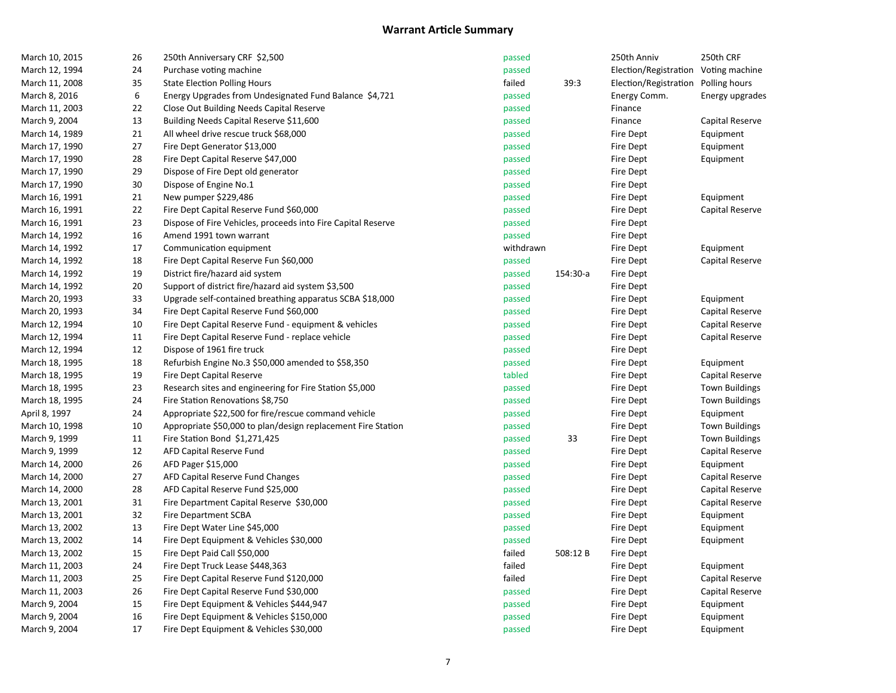| March 10, 2015 | 26 | 250th Anniversary CRF \$2,500                                | passed    |          | 250th Anniv                          | 250th CRF             |
|----------------|----|--------------------------------------------------------------|-----------|----------|--------------------------------------|-----------------------|
| March 12, 1994 | 24 | Purchase voting machine                                      | passed    |          | Election/Registration Voting machine |                       |
| March 11, 2008 | 35 | <b>State Election Polling Hours</b>                          | failed    | 39:3     | Election/Registration                | Polling hours         |
| March 8, 2016  | 6  | Energy Upgrades from Undesignated Fund Balance \$4,721       | passed    |          | Energy Comm.                         | Energy upgrades       |
| March 11, 2003 | 22 | Close Out Building Needs Capital Reserve                     | passed    |          | Finance                              |                       |
| March 9, 2004  | 13 | Building Needs Capital Reserve \$11,600                      | passed    |          | Finance                              | Capital Reserve       |
| March 14, 1989 | 21 | All wheel drive rescue truck \$68,000                        | passed    |          | Fire Dept                            | Equipment             |
| March 17, 1990 | 27 | Fire Dept Generator \$13,000                                 | passed    |          | Fire Dept                            | Equipment             |
| March 17, 1990 | 28 | Fire Dept Capital Reserve \$47,000                           | passed    |          | Fire Dept                            | Equipment             |
| March 17, 1990 | 29 | Dispose of Fire Dept old generator                           | passed    |          | Fire Dept                            |                       |
| March 17, 1990 | 30 | Dispose of Engine No.1                                       | passed    |          | Fire Dept                            |                       |
| March 16, 1991 | 21 | New pumper \$229,486                                         | passed    |          | Fire Dept                            | Equipment             |
| March 16, 1991 | 22 | Fire Dept Capital Reserve Fund \$60,000                      | passed    |          | Fire Dept                            | Capital Reserve       |
| March 16, 1991 | 23 | Dispose of Fire Vehicles, proceeds into Fire Capital Reserve | passed    |          | Fire Dept                            |                       |
| March 14, 1992 | 16 | Amend 1991 town warrant                                      | passed    |          | Fire Dept                            |                       |
| March 14, 1992 | 17 | Communication equipment                                      | withdrawn |          | Fire Dept                            | Equipment             |
| March 14, 1992 | 18 | Fire Dept Capital Reserve Fun \$60,000                       | passed    |          | Fire Dept                            | Capital Reserve       |
| March 14, 1992 | 19 | District fire/hazard aid system                              | passed    | 154:30-a | Fire Dept                            |                       |
| March 14, 1992 | 20 | Support of district fire/hazard aid system \$3,500           | passed    |          | Fire Dept                            |                       |
| March 20, 1993 | 33 | Upgrade self-contained breathing apparatus SCBA \$18,000     | passed    |          | Fire Dept                            | Equipment             |
| March 20, 1993 | 34 | Fire Dept Capital Reserve Fund \$60,000                      | passed    |          | Fire Dept                            | Capital Reserve       |
| March 12, 1994 | 10 | Fire Dept Capital Reserve Fund - equipment & vehicles        | passed    |          | Fire Dept                            | Capital Reserve       |
| March 12, 1994 | 11 | Fire Dept Capital Reserve Fund - replace vehicle             | passed    |          | Fire Dept                            | Capital Reserve       |
| March 12, 1994 | 12 | Dispose of 1961 fire truck                                   | passed    |          | Fire Dept                            |                       |
| March 18, 1995 | 18 | Refurbish Engine No.3 \$50,000 amended to \$58,350           | passed    |          | Fire Dept                            | Equipment             |
| March 18, 1995 | 19 | Fire Dept Capital Reserve                                    | tabled    |          | Fire Dept                            | Capital Reserve       |
| March 18, 1995 | 23 | Research sites and engineering for Fire Station \$5,000      | passed    |          | Fire Dept                            | <b>Town Buildings</b> |
| March 18, 1995 | 24 | Fire Station Renovations \$8,750                             | passed    |          | Fire Dept                            | <b>Town Buildings</b> |
| April 8, 1997  | 24 | Appropriate \$22,500 for fire/rescue command vehicle         | passed    |          | Fire Dept                            | Equipment             |
| March 10, 1998 | 10 | Appropriate \$50,000 to plan/design replacement Fire Station | passed    |          | Fire Dept                            | <b>Town Buildings</b> |
| March 9, 1999  | 11 | Fire Station Bond \$1,271,425                                | passed    | 33       | Fire Dept                            | <b>Town Buildings</b> |
| March 9, 1999  | 12 | AFD Capital Reserve Fund                                     | passed    |          | Fire Dept                            | Capital Reserve       |
| March 14, 2000 | 26 | AFD Pager \$15,000                                           | passed    |          | Fire Dept                            | Equipment             |
| March 14, 2000 | 27 | AFD Capital Reserve Fund Changes                             | passed    |          | Fire Dept                            | Capital Reserve       |
| March 14, 2000 | 28 | AFD Capital Reserve Fund \$25,000                            | passed    |          | Fire Dept                            | Capital Reserve       |
| March 13, 2001 | 31 | Fire Department Capital Reserve \$30,000                     | passed    |          | Fire Dept                            | Capital Reserve       |
| March 13, 2001 | 32 | Fire Department SCBA                                         | passed    |          | Fire Dept                            | Equipment             |
| March 13, 2002 | 13 | Fire Dept Water Line \$45,000                                | passed    |          | Fire Dept                            | Equipment             |
| March 13, 2002 | 14 | Fire Dept Equipment & Vehicles \$30,000                      | passed    |          | Fire Dept                            | Equipment             |
| March 13, 2002 | 15 | Fire Dept Paid Call \$50,000                                 | failed    | 508:12B  | Fire Dept                            |                       |
| March 11, 2003 | 24 | Fire Dept Truck Lease \$448,363                              | failed    |          | Fire Dept                            | Equipment             |
| March 11, 2003 | 25 | Fire Dept Capital Reserve Fund \$120,000                     | failed    |          | Fire Dept                            | Capital Reserve       |
| March 11, 2003 | 26 | Fire Dept Capital Reserve Fund \$30,000                      | passed    |          | Fire Dept                            | Capital Reserve       |
| March 9, 2004  | 15 | Fire Dept Equipment & Vehicles \$444,947                     | passed    |          | Fire Dept                            | Equipment             |
| March 9, 2004  | 16 | Fire Dept Equipment & Vehicles \$150,000                     | passed    |          | Fire Dept                            | Equipment             |
| March 9, 2004  | 17 | Fire Dept Equipment & Vehicles \$30,000                      | passed    |          | <b>Fire Dept</b>                     | Equipment             |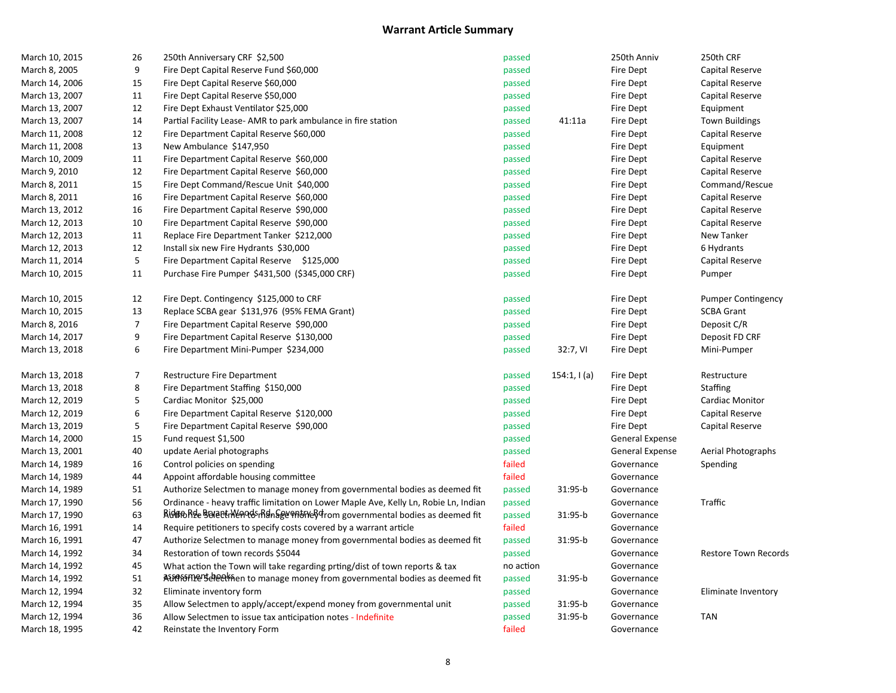| March 10, 2015 | 26               | 250th Anniversary CRF \$2,500                                                       | passed    |             | 250th Anniv      | 250th CRF                   |
|----------------|------------------|-------------------------------------------------------------------------------------|-----------|-------------|------------------|-----------------------------|
| March 8, 2005  | 9                | Fire Dept Capital Reserve Fund \$60,000                                             | passed    |             | <b>Fire Dept</b> | Capital Reserve             |
| March 14, 2006 | 15               | Fire Dept Capital Reserve \$60,000                                                  | passed    |             | Fire Dept        | Capital Reserve             |
| March 13, 2007 | 11               | Fire Dept Capital Reserve \$50,000                                                  | passed    |             | <b>Fire Dept</b> | Capital Reserve             |
| March 13, 2007 | 12               | Fire Dept Exhaust Ventilator \$25,000                                               | passed    |             | Fire Dept        | Equipment                   |
| March 13, 2007 | 14               | Partial Facility Lease- AMR to park ambulance in fire station                       | passed    | 41:11a      | Fire Dept        | <b>Town Buildings</b>       |
| March 11, 2008 | 12               | Fire Department Capital Reserve \$60,000                                            | passed    |             | <b>Fire Dept</b> | Capital Reserve             |
| March 11, 2008 | 13               | New Ambulance \$147,950                                                             | passed    |             | Fire Dept        | Equipment                   |
| March 10, 2009 | 11               | Fire Department Capital Reserve \$60,000                                            | passed    |             | <b>Fire Dept</b> | Capital Reserve             |
| March 9, 2010  | 12               | Fire Department Capital Reserve \$60,000                                            | passed    |             | Fire Dept        | Capital Reserve             |
| March 8, 2011  | 15               | Fire Dept Command/Rescue Unit \$40,000                                              | passed    |             | Fire Dept        | Command/Rescue              |
| March 8, 2011  | 16               | Fire Department Capital Reserve \$60,000                                            | passed    |             | Fire Dept        | Capital Reserve             |
| March 13, 2012 | 16               | Fire Department Capital Reserve \$90,000                                            | passed    |             | Fire Dept        | Capital Reserve             |
| March 12, 2013 | 10               | Fire Department Capital Reserve \$90,000                                            | passed    |             | Fire Dept        | Capital Reserve             |
| March 12, 2013 | 11               | Replace Fire Department Tanker \$212,000                                            | passed    |             | Fire Dept        | New Tanker                  |
| March 12, 2013 | 12               | Install six new Fire Hydrants \$30,000                                              | passed    |             | Fire Dept        | 6 Hydrants                  |
| March 11, 2014 | 5                | Fire Department Capital Reserve \$125,000                                           | passed    |             | Fire Dept        | Capital Reserve             |
| March 10, 2015 | 11               | Purchase Fire Pumper \$431,500 (\$345,000 CRF)                                      | passed    |             | Fire Dept        | Pumper                      |
| March 10, 2015 | 12               | Fire Dept. Contingency \$125,000 to CRF                                             | passed    |             | Fire Dept        | <b>Pumper Contingency</b>   |
| March 10, 2015 | 13               | Replace SCBA gear \$131,976 (95% FEMA Grant)                                        | passed    |             | Fire Dept        | <b>SCBA Grant</b>           |
| March 8, 2016  | $\boldsymbol{7}$ | Fire Department Capital Reserve \$90,000                                            | passed    |             | Fire Dept        | Deposit C/R                 |
| March 14, 2017 | 9                | Fire Department Capital Reserve \$130,000                                           | passed    |             | <b>Fire Dept</b> | Deposit FD CRF              |
| March 13, 2018 | 6                | Fire Department Mini-Pumper \$234,000                                               | passed    | 32:7, VI    | Fire Dept        | Mini-Pumper                 |
| March 13, 2018 | $\boldsymbol{7}$ | Restructure Fire Department                                                         | passed    | 154:1, 1(a) | Fire Dept        | Restructure                 |
| March 13, 2018 | 8                | Fire Department Staffing \$150,000                                                  | passed    |             | Fire Dept        | Staffing                    |
| March 12, 2019 | 5                | Cardiac Monitor \$25,000                                                            | passed    |             | Fire Dept        | Cardiac Monitor             |
| March 12, 2019 | 6                | Fire Department Capital Reserve \$120,000                                           | passed    |             | Fire Dept        | Capital Reserve             |
| March 13, 2019 | 5                | Fire Department Capital Reserve \$90,000                                            | passed    |             | Fire Dept        | Capital Reserve             |
| March 14, 2000 | 15               | Fund request \$1,500                                                                | passed    |             | General Expense  |                             |
| March 13, 2001 | 40               | update Aerial photographs                                                           | passed    |             | General Expense  | Aerial Photographs          |
| March 14, 1989 | 16               | Control policies on spending                                                        | failed    |             | Governance       | Spending                    |
| March 14, 1989 | 44               | Appoint affordable housing committee                                                | failed    |             | Governance       |                             |
| March 14, 1989 | 51               | Authorize Selectmen to manage money from governmental bodies as deemed fit          | passed    | 31:95-b     | Governance       |                             |
| March 17, 1990 | 56               | Ordinance - heavy traffic limitation on Lower Maple Ave, Kelly Ln, Robie Ln, Indian | passed    |             | Governance       | Traffic                     |
| March 17, 1990 | 63               | Ridun Research Menods Right Seven brows over an and the same of the                 | passed    | 31:95-b     | Governance       |                             |
| March 16, 1991 | 14               | Require petitioners to specify costs covered by a warrant article                   | failed    |             | Governance       |                             |
| March 16, 1991 | 47               | Authorize Selectmen to manage money from governmental bodies as deemed fit          | passed    | 31:95-b     | Governance       |                             |
| March 14, 1992 | 34               | Restoration of town records \$5044                                                  | passed    |             | Governance       | <b>Restore Town Records</b> |
| March 14, 1992 | 45               | What action the Town will take regarding prting/dist of town reports & tax          | no action |             | Governance       |                             |
| March 14, 1992 | $51\,$           | A the media bodies as deemed fit                                                    | passed    | 31:95-b     | Governance       |                             |
| March 12, 1994 | 32               | Eliminate inventory form                                                            | passed    |             | Governance       | Eliminate Inventory         |
| March 12, 1994 | 35               | Allow Selectmen to apply/accept/expend money from governmental unit                 | passed    | 31:95-b     | Governance       |                             |
| March 12, 1994 | 36               | Allow Selectmen to issue tax anticipation notes - Indefinite                        | passed    | 31:95-b     | Governance       | <b>TAN</b>                  |
| March 18, 1995 | 42               | Reinstate the Inventory Form                                                        | failed    |             | Governance       |                             |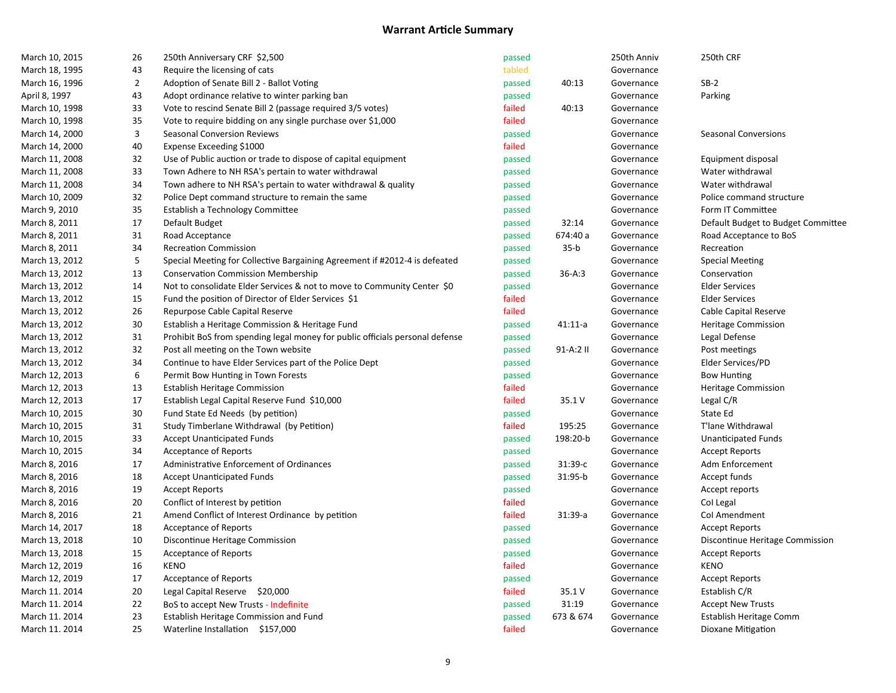| March 10, 2015 | 26               | 250th Anniversary CRF \$2,500                                                | passed |            | 250th Anniv | 250th CRF                          |
|----------------|------------------|------------------------------------------------------------------------------|--------|------------|-------------|------------------------------------|
| March 18, 1995 | 43               | Require the licensing of cats                                                | tabled |            | Governance  |                                    |
| March 16, 1996 | $\overline{2}$   | Adoption of Senate Bill 2 - Ballot Voting                                    | passed | 40:13      | Governance  | $SB-2$                             |
| April 8, 1997  | 43               | Adopt ordinance relative to winter parking ban                               | passed |            | Governance  | Parking                            |
| March 10, 1998 | 33               | Vote to rescind Senate Bill 2 (passage required 3/5 votes)                   | failed | 40:13      | Governance  |                                    |
| March 10, 1998 | 35               | Vote to require bidding on any single purchase over \$1,000                  | failed |            | Governance  |                                    |
| March 14, 2000 | $\mathsf 3$      | Seasonal Conversion Reviews                                                  | passed |            | Governance  | <b>Seasonal Conversions</b>        |
| March 14, 2000 | 40               | Expense Exceeding \$1000                                                     | failed |            | Governance  |                                    |
| March 11, 2008 | 32               | Use of Public auction or trade to dispose of capital equipment               | passed |            | Governance  | Equipment disposal                 |
| March 11, 2008 | 33               | Town Adhere to NH RSA's pertain to water withdrawal                          | passed |            | Governance  | Water withdrawal                   |
| March 11, 2008 | 34               | Town adhere to NH RSA's pertain to water withdrawal & quality                | passed |            | Governance  | Water withdrawal                   |
| March 10, 2009 | 32               | Police Dept command structure to remain the same                             | passed |            | Governance  | Police command structure           |
| March 9, 2010  | 35               | Establish a Technology Committee                                             | passed |            | Governance  | Form IT Committee                  |
| March 8, 2011  | 17               | Default Budget                                                               | passed | 32:14      | Governance  | Default Budget to Budget Committee |
| March 8, 2011  | 31               | Road Acceptance                                                              | passed | 674:40 a   | Governance  | Road Acceptance to BoS             |
| March 8, 2011  | 34               | <b>Recreation Commission</b>                                                 | passed | $35-b$     | Governance  | Recreation                         |
| March 13, 2012 | 5                | Special Meeting for Collective Bargaining Agreement if #2012-4 is defeated   | passed |            | Governance  | <b>Special Meeting</b>             |
| March 13, 2012 | 13               | <b>Conservation Commission Membership</b>                                    | passed | $36 - A:3$ | Governance  | Conservation                       |
| March 13, 2012 | 14               | Not to consolidate Elder Services & not to move to Community Center \$0      | passed |            | Governance  | <b>Elder Services</b>              |
| March 13, 2012 | 15               | Fund the position of Director of Elder Services \$1                          | failed |            | Governance  | <b>Elder Services</b>              |
| March 13, 2012 | 26               | Repurpose Cable Capital Reserve                                              | failed |            | Governance  | Cable Capital Reserve              |
| March 13, 2012 | 30               | Establish a Heritage Commission & Heritage Fund                              | passed | $41:11-a$  | Governance  | <b>Heritage Commission</b>         |
| March 13, 2012 | 31               | Prohibit BoS from spending legal money for public officials personal defense | passed |            | Governance  | Legal Defense                      |
| March 13, 2012 | 32               | Post all meeting on the Town website                                         | passed | 91-A:2 II  | Governance  | Post meetings                      |
| March 13, 2012 | 34               | Continue to have Elder Services part of the Police Dept                      | passed |            | Governance  | Elder Services/PD                  |
| March 12, 2013 | $\boldsymbol{6}$ | Permit Bow Hunting in Town Forests                                           | passed |            | Governance  | <b>Bow Hunting</b>                 |
| March 12, 2013 | 13               | <b>Establish Heritage Commission</b>                                         | failed |            | Governance  | Heritage Commission                |
| March 12, 2013 | 17               | Establish Legal Capital Reserve Fund \$10,000                                | failed | 35.1 V     | Governance  | Legal C/R                          |
| March 10, 2015 | 30               | Fund State Ed Needs (by petition)                                            | passed |            | Governance  | State Ed                           |
| March 10, 2015 | 31               | Study Timberlane Withdrawal (by Petition)                                    | failed | 195:25     | Governance  | T'lane Withdrawal                  |
| March 10, 2015 | 33               | <b>Accept Unanticipated Funds</b>                                            | passed | 198:20-b   | Governance  | <b>Unanticipated Funds</b>         |
| March 10, 2015 | 34               | Acceptance of Reports                                                        | passed |            | Governance  | <b>Accept Reports</b>              |
| March 8, 2016  | 17               | Administrative Enforcement of Ordinances                                     | passed | 31:39-с    | Governance  | Adm Enforcement                    |
| March 8, 2016  | 18               | <b>Accept Unanticipated Funds</b>                                            | passed | 31:95-b    | Governance  | Accept funds                       |
| March 8, 2016  | 19               | <b>Accept Reports</b>                                                        | passed |            | Governance  | Accept reports                     |
| March 8, 2016  | 20               | Conflict of Interest by petition                                             | failed |            | Governance  | Col Legal                          |
| March 8, 2016  | 21               | Amend Conflict of Interest Ordinance by petition                             | failed | $31:39-a$  | Governance  | Col Amendment                      |
| March 14, 2017 | 18               | <b>Acceptance of Reports</b>                                                 | passed |            | Governance  | <b>Accept Reports</b>              |
| March 13, 2018 | $10\,$           | Discontinue Heritage Commission                                              | passed |            | Governance  | Discontinue Heritage Commission    |
| March 13, 2018 | 15               | Acceptance of Reports                                                        | passed |            | Governance  | <b>Accept Reports</b>              |
| March 12, 2019 | 16               | <b>KENO</b>                                                                  | failed |            | Governance  | <b>KENO</b>                        |
| March 12, 2019 | 17               | Acceptance of Reports                                                        | passed |            | Governance  | <b>Accept Reports</b>              |
| March 11. 2014 | 20               | Legal Capital Reserve \$20,000                                               | failed | 35.1 V     | Governance  | Establish C/R                      |
| March 11. 2014 | 22               | BoS to accept New Trusts - Indefinite                                        | passed | 31:19      | Governance  | <b>Accept New Trusts</b>           |
| March 11. 2014 | 23               | Establish Heritage Commission and Fund                                       | passed | 673 & 674  | Governance  | Establish Heritage Comm            |
| March 11. 2014 | 25               | Waterline Installation \$157,000                                             | failed |            | Governance  |                                    |
|                |                  |                                                                              |        |            |             | Dioxane Mitigation                 |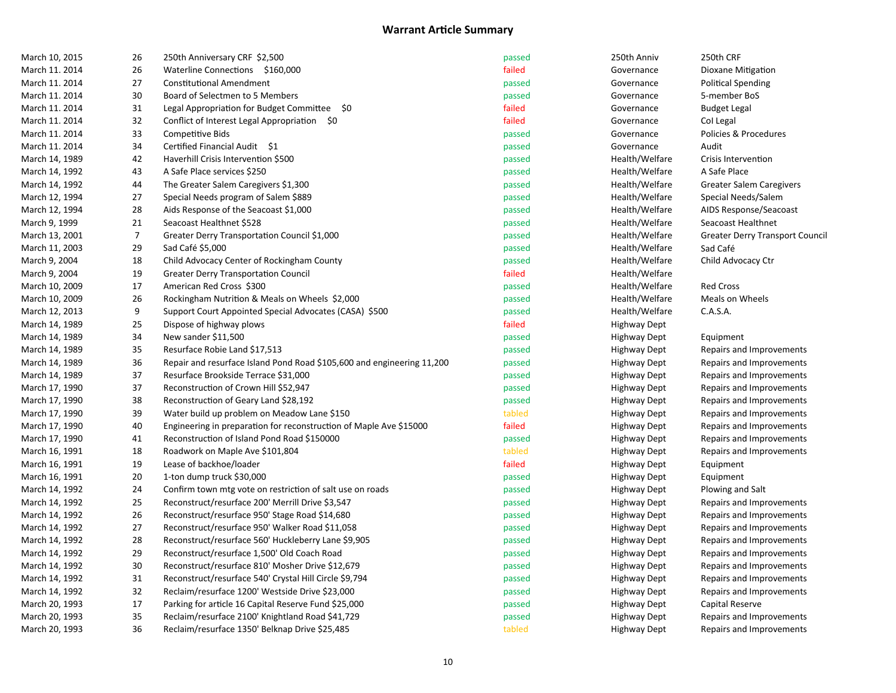| March 10, 2015 | 26             | 250th Anniversary CRF \$2,500                                          | passed | 250th Anniv         | 250th CRF                      |
|----------------|----------------|------------------------------------------------------------------------|--------|---------------------|--------------------------------|
| March 11. 2014 | 26             | Waterline Connections \$160,000                                        | failed | Governance          | Dioxane Mitigation             |
| March 11. 2014 | 27             | <b>Constitutional Amendment</b>                                        | passed | Governance          | <b>Political Spending</b>      |
| March 11. 2014 | 30             | Board of Selectmen to 5 Members                                        | passed | Governance          | 5-member BoS                   |
| March 11. 2014 | 31             | Legal Appropriation for Budget Committee \$0                           | failed | Governance          | <b>Budget Legal</b>            |
| March 11. 2014 | 32             | Conflict of Interest Legal Appropriation \$0                           | failed | Governance          | Col Legal                      |
| March 11. 2014 | 33             | Competitive Bids                                                       | passed | Governance          | Policies & Procedures          |
| March 11. 2014 | 34             | Certified Financial Audit \$1                                          | passed | Governance          | Audit                          |
| March 14, 1989 | 42             | Haverhill Crisis Intervention \$500                                    | passed | Health/Welfare      | Crisis Intervention            |
| March 14, 1992 | 43             | A Safe Place services \$250                                            | passed | Health/Welfare      | A Safe Place                   |
| March 14, 1992 | 44             | The Greater Salem Caregivers \$1,300                                   | passed | Health/Welfare      | Greater Salem Caregivers       |
| March 12, 1994 | 27             | Special Needs program of Salem \$889                                   | passed | Health/Welfare      | Special Needs/Salem            |
| March 12, 1994 | 28             | Aids Response of the Seacoast \$1,000                                  | passed | Health/Welfare      | AIDS Response/Seacoast         |
| March 9, 1999  | 21             | Seacoast Healthnet \$528                                               | passed | Health/Welfare      | Seacoast Healthnet             |
| March 13, 2001 | $\overline{7}$ | Greater Derry Transportation Council \$1,000                           | passed | Health/Welfare      | Greater Derry Transport Counci |
| March 11, 2003 | 29             | Sad Café \$5,000                                                       | passed | Health/Welfare      | Sad Café                       |
| March 9, 2004  | 18             | Child Advocacy Center of Rockingham County                             | passed | Health/Welfare      | Child Advocacy Ctr             |
| March 9, 2004  | 19             | <b>Greater Derry Transportation Council</b>                            | failed | Health/Welfare      |                                |
| March 10, 2009 | 17             | American Red Cross \$300                                               | passed | Health/Welfare      | <b>Red Cross</b>               |
| March 10, 2009 | 26             | Rockingham Nutrition & Meals on Wheels \$2,000                         | passed | Health/Welfare      | Meals on Wheels                |
| March 12, 2013 | 9              | Support Court Appointed Special Advocates (CASA) \$500                 | passed | Health/Welfare      | C.A.S.A.                       |
| March 14, 1989 | 25             | Dispose of highway plows                                               | failed | <b>Highway Dept</b> |                                |
| March 14, 1989 | 34             | New sander \$11,500                                                    | passed | <b>Highway Dept</b> | Equipment                      |
| March 14, 1989 | 35             | Resurface Robie Land \$17,513                                          | passed | <b>Highway Dept</b> | Repairs and Improvements       |
| March 14, 1989 | 36             | Repair and resurface Island Pond Road \$105,600 and engineering 11,200 | passed | Highway Dept        | Repairs and Improvements       |
| March 14, 1989 | 37             | Resurface Brookside Terrace \$31,000                                   | passed | <b>Highway Dept</b> | Repairs and Improvements       |
| March 17, 1990 | 37             | Reconstruction of Crown Hill \$52,947                                  | passed | Highway Dept        | Repairs and Improvements       |
| March 17, 1990 | 38             | Reconstruction of Geary Land \$28,192                                  | passed | <b>Highway Dept</b> | Repairs and Improvements       |
| March 17, 1990 | 39             | Water build up problem on Meadow Lane \$150                            | tabled | <b>Highway Dept</b> | Repairs and Improvements       |
| March 17, 1990 | 40             | Engineering in preparation for reconstruction of Maple Ave \$15000     | failed | <b>Highway Dept</b> | Repairs and Improvements       |
| March 17, 1990 | 41             | Reconstruction of Island Pond Road \$150000                            | passed | <b>Highway Dept</b> | Repairs and Improvements       |
| March 16, 1991 | 18             | Roadwork on Maple Ave \$101,804                                        | tabled | <b>Highway Dept</b> | Repairs and Improvements       |
| March 16, 1991 | 19             | Lease of backhoe/loader                                                | failed | Highway Dept        | Equipment                      |
| March 16, 1991 | 20             | 1-ton dump truck \$30,000                                              | passed | <b>Highway Dept</b> | Equipment                      |
| March 14, 1992 | 24             | Confirm town mtg vote on restriction of salt use on roads              | passed | Highway Dept        | Plowing and Salt               |
| March 14, 1992 | 25             | Reconstruct/resurface 200' Merrill Drive \$3,547                       | passed | <b>Highway Dept</b> | Repairs and Improvements       |
| March 14, 1992 | 26             | Reconstruct/resurface 950' Stage Road \$14,680                         | passed | <b>Highway Dept</b> | Repairs and Improvements       |
| March 14, 1992 | 27             | Reconstruct/resurface 950' Walker Road \$11,058                        | passed | <b>Highway Dept</b> | Repairs and Improvements       |
| March 14, 1992 | 28             | Reconstruct/resurface 560' Huckleberry Lane \$9,905                    | passed | <b>Highway Dept</b> | Repairs and Improvements       |
| March 14, 1992 | 29             | Reconstruct/resurface 1,500' Old Coach Road                            | passed | <b>Highway Dept</b> | Repairs and Improvements       |
| March 14, 1992 | 30             | Reconstruct/resurface 810' Mosher Drive \$12,679                       | passed | Highway Dept        | Repairs and Improvements       |
| March 14, 1992 | 31             | Reconstruct/resurface 540' Crystal Hill Circle \$9,794                 | passed | <b>Highway Dept</b> | Repairs and Improvements       |
| March 14, 1992 | 32             | Reclaim/resurface 1200' Westside Drive \$23,000                        | passed | Highway Dept        | Repairs and Improvements       |
| March 20, 1993 | 17             | Parking for article 16 Capital Reserve Fund \$25,000                   | passed | Highway Dept        | Capital Reserve                |
| March 20, 1993 | 35             | Reclaim/resurface 2100' Knightland Road \$41,729                       | passed | <b>Highway Dept</b> | Repairs and Improvements       |
| March 20, 1993 | 36             | Reclaim/resurface 1350' Belknap Drive \$25,485                         | tabled | <b>Highway Dept</b> | Repairs and Improvements       |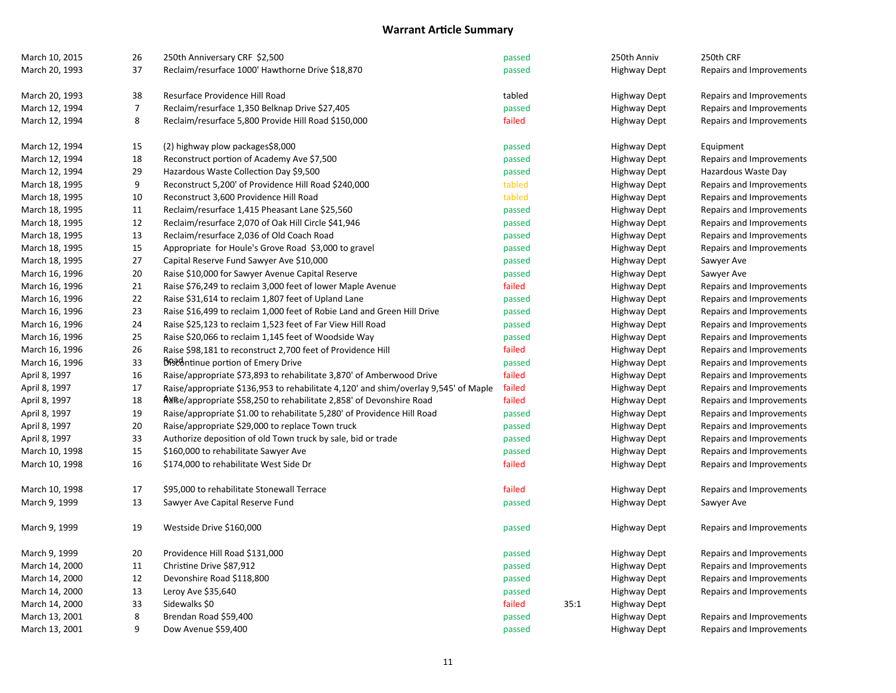| March 10, 2015 | 26             | 250th Anniversary CRF \$2,500                                                       | passed |      | 250th Anniv         | 250th CRF                |
|----------------|----------------|-------------------------------------------------------------------------------------|--------|------|---------------------|--------------------------|
| March 20, 1993 | 37             | Reclaim/resurface 1000' Hawthorne Drive \$18,870                                    | passed |      | <b>Highway Dept</b> | Repairs and Improvements |
| March 20, 1993 | 38             | Resurface Providence Hill Road                                                      | tabled |      | <b>Highway Dept</b> | Repairs and Improvements |
| March 12, 1994 | $\overline{7}$ | Reclaim/resurface 1,350 Belknap Drive \$27,405                                      | passed |      | <b>Highway Dept</b> | Repairs and Improvements |
| March 12, 1994 | 8              | Reclaim/resurface 5,800 Provide Hill Road \$150,000                                 | failed |      | <b>Highway Dept</b> | Repairs and Improvements |
| March 12, 1994 | 15             | (2) highway plow packages\$8,000                                                    | passed |      | <b>Highway Dept</b> | Equipment                |
| March 12, 1994 | 18             | Reconstruct portion of Academy Ave \$7,500                                          | passed |      | Highway Dept        | Repairs and Improvements |
| March 12, 1994 | 29             | Hazardous Waste Collection Day \$9,500                                              | passed |      | <b>Highway Dept</b> | Hazardous Waste Day      |
| March 18, 1995 | 9              | Reconstruct 5,200' of Providence Hill Road \$240,000                                | tabled |      | <b>Highway Dept</b> | Repairs and Improvements |
| March 18, 1995 | 10             | Reconstruct 3,600 Providence Hill Road                                              | tabled |      | Highway Dept        | Repairs and Improvements |
| March 18, 1995 | 11             | Reclaim/resurface 1,415 Pheasant Lane \$25,560                                      | passed |      | <b>Highway Dept</b> | Repairs and Improvements |
| March 18, 1995 | 12             | Reclaim/resurface 2,070 of Oak Hill Circle \$41,946                                 | passed |      | Highway Dept        | Repairs and Improvements |
| March 18, 1995 | 13             | Reclaim/resurface 2,036 of Old Coach Road                                           | passed |      | <b>Highway Dept</b> | Repairs and Improvements |
| March 18, 1995 | 15             | Appropriate for Houle's Grove Road \$3,000 to gravel                                | passed |      | Highway Dept        | Repairs and Improvements |
| March 18, 1995 | 27             | Capital Reserve Fund Sawyer Ave \$10,000                                            | passed |      | Highway Dept        | Sawyer Ave               |
| March 16, 1996 | 20             | Raise \$10,000 for Sawyer Avenue Capital Reserve                                    | passed |      | <b>Highway Dept</b> | Sawyer Ave               |
| March 16, 1996 | 21             | Raise \$76,249 to reclaim 3,000 feet of lower Maple Avenue                          | failed |      | <b>Highway Dept</b> | Repairs and Improvements |
| March 16, 1996 | 22             | Raise \$31,614 to reclaim 1,807 feet of Upland Lane                                 | passed |      | Highway Dept        | Repairs and Improvements |
| March 16, 1996 | 23             | Raise \$16,499 to reclaim 1,000 feet of Robie Land and Green Hill Drive             | passed |      | <b>Highway Dept</b> | Repairs and Improvements |
| March 16, 1996 | 24             | Raise \$25,123 to reclaim 1,523 feet of Far View Hill Road                          | passed |      | Highway Dept        | Repairs and Improvements |
| March 16, 1996 | 25             | Raise \$20,066 to reclaim 1,145 feet of Woodside Way                                | passed |      | <b>Highway Dept</b> | Repairs and Improvements |
| March 16, 1996 | 26             | Raise \$98,181 to reconstruct 2,700 feet of Providence Hill                         | failed |      | Highway Dept        | Repairs and Improvements |
| March 16, 1996 | 33             | b <sup>88</sup> b other portion of Emery Drive                                      | passed |      | Highway Dept        | Repairs and Improvements |
| April 8, 1997  | 16             | Raise/appropriate \$73,893 to rehabilitate 3,870' of Amberwood Drive                | failed |      | <b>Highway Dept</b> | Repairs and Improvements |
| April 8, 1997  | 17             | Raise/appropriate \$136,953 to rehabilitate 4,120' and shim/overlay 9,545' of Maple | failed |      | <b>Highway Dept</b> | Repairs and Improvements |
| April 8, 1997  | 18             | AXBe/appropriate \$58,250 to rehabilitate 2,858' of Devonshire Road                 | failed |      | <b>Highway Dept</b> | Repairs and Improvements |
| April 8, 1997  | 19             | Raise/appropriate \$1.00 to rehabilitate 5,280' of Providence Hill Road             | passed |      | <b>Highway Dept</b> | Repairs and Improvements |
| April 8, 1997  | 20             | Raise/appropriate \$29,000 to replace Town truck                                    | passed |      | <b>Highway Dept</b> | Repairs and Improvements |
| April 8, 1997  | 33             | Authorize deposition of old Town truck by sale, bid or trade                        | passed |      | Highway Dept        | Repairs and Improvements |
| March 10, 1998 | 15             | \$160,000 to rehabilitate Sawyer Ave                                                | passed |      | <b>Highway Dept</b> | Repairs and Improvements |
| March 10, 1998 | 16             | \$174,000 to rehabilitate West Side Dr                                              | failed |      | <b>Highway Dept</b> | Repairs and Improvements |
| March 10, 1998 | 17             | \$95,000 to rehabilitate Stonewall Terrace                                          | failed |      | <b>Highway Dept</b> | Repairs and Improvements |
| March 9, 1999  | 13             | Sawyer Ave Capital Reserve Fund                                                     | passed |      | <b>Highway Dept</b> | Sawyer Ave               |
| March 9, 1999  | 19             | Westside Drive \$160,000                                                            | passed |      | Highway Dept        | Repairs and Improvements |
| March 9, 1999  | 20             | Providence Hill Road \$131,000                                                      | passed |      | Highway Dept        | Repairs and Improvements |
| March 14, 2000 | 11             | Christine Drive \$87,912                                                            | passed |      | <b>Highway Dept</b> | Repairs and Improvements |
| March 14, 2000 | 12             | Devonshire Road \$118,800                                                           | passed |      | <b>Highway Dept</b> | Repairs and Improvements |
| March 14, 2000 | 13             | Leroy Ave \$35,640                                                                  | passed |      | <b>Highway Dept</b> | Repairs and Improvements |
| March 14, 2000 | 33             | Sidewalks \$0                                                                       | failed | 35:1 | <b>Highway Dept</b> |                          |
| March 13, 2001 | 8              | Brendan Road \$59,400                                                               | passed |      | <b>Highway Dept</b> | Repairs and Improvements |
| March 13, 2001 | 9              | Dow Avenue \$59,400                                                                 | passed |      | <b>Highway Dept</b> | Repairs and Improvements |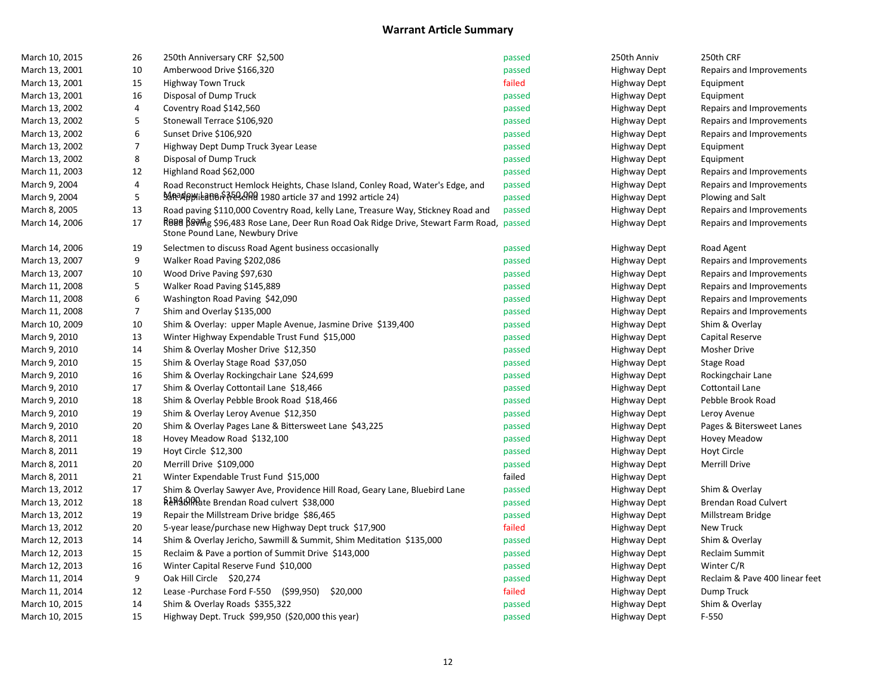| March 10, 2015 | 26             | 250th Anniversary CRF \$2,500                                                                                              | passed | 250th Anniv         | 250th CRF                      |
|----------------|----------------|----------------------------------------------------------------------------------------------------------------------------|--------|---------------------|--------------------------------|
| March 13, 2001 | 10             | Amberwood Drive \$166,320                                                                                                  | passed | <b>Highway Dept</b> | Repairs and Improvements       |
| March 13, 2001 | 15             | <b>Highway Town Truck</b>                                                                                                  | failed | <b>Highway Dept</b> | Equipment                      |
| March 13, 2001 | 16             | Disposal of Dump Truck                                                                                                     | passed | <b>Highway Dept</b> | Equipment                      |
| March 13, 2002 | 4              | Coventry Road \$142,560                                                                                                    | passed | <b>Highway Dept</b> | Repairs and Improvements       |
| March 13, 2002 | 5              | Stonewall Terrace \$106,920                                                                                                | passed | Highway Dept        | Repairs and Improvements       |
| March 13, 2002 | 6              | Sunset Drive \$106,920                                                                                                     | passed | <b>Highway Dept</b> | Repairs and Improvements       |
| March 13, 2002 | 7              | Highway Dept Dump Truck 3year Lease                                                                                        | passed | <b>Highway Dept</b> | Equipment                      |
| March 13, 2002 | 8              | Disposal of Dump Truck                                                                                                     | passed | Highway Dept        | Equipment                      |
| March 11, 2003 | $12\,$         | Highland Road \$62,000                                                                                                     | passed | <b>Highway Dept</b> | Repairs and Improvements       |
| March 9, 2004  | 4              | Road Reconstruct Hemlock Heights, Chase Island, Conley Road, Water's Edge, and                                             | passed | <b>Highway Dept</b> | Repairs and Improvements       |
| March 9, 2004  | 5              | BARAP MILERTO PRESSARED 1980 article 37 and 1992 article 24)                                                               | passed | <b>Highway Dept</b> | Plowing and Salt               |
| March 8, 2005  | 13             | Road paving \$110,000 Coventry Road, kelly Lane, Treasure Way, Stickney Road and                                           | passed | <b>Highway Dept</b> | Repairs and Improvements       |
| March 14, 2006 | 17             | ROBB BROMS \$96,483 Rose Lane, Deer Run Road Oak Ridge Drive, Stewart Farm Road, passed<br>Stone Pound Lane, Newbury Drive |        | <b>Highway Dept</b> | Repairs and Improvements       |
| March 14, 2006 | 19             | Selectmen to discuss Road Agent business occasionally                                                                      | passed | <b>Highway Dept</b> | Road Agent                     |
| March 13, 2007 | 9              | Walker Road Paving \$202,086                                                                                               | passed | <b>Highway Dept</b> | Repairs and Improvements       |
| March 13, 2007 | 10             | Wood Drive Paving \$97,630                                                                                                 | passed | Highway Dept        | Repairs and Improvements       |
| March 11, 2008 | 5              | Walker Road Paving \$145,889                                                                                               | passed | <b>Highway Dept</b> | Repairs and Improvements       |
| March 11, 2008 | 6              | Washington Road Paving \$42,090                                                                                            | passed | <b>Highway Dept</b> | Repairs and Improvements       |
| March 11, 2008 | $\overline{7}$ | Shim and Overlay \$135,000                                                                                                 | passed | Highway Dept        | Repairs and Improvements       |
| March 10, 2009 | 10             | Shim & Overlay: upper Maple Avenue, Jasmine Drive \$139,400                                                                | passed | <b>Highway Dept</b> | Shim & Overlay                 |
| March 9, 2010  | 13             | Winter Highway Expendable Trust Fund \$15,000                                                                              | passed | <b>Highway Dept</b> | Capital Reserve                |
| March 9, 2010  | 14             | Shim & Overlay Mosher Drive \$12,350                                                                                       | passed | <b>Highway Dept</b> | Mosher Drive                   |
| March 9, 2010  | 15             | Shim & Overlay Stage Road \$37,050                                                                                         | passed | <b>Highway Dept</b> | Stage Road                     |
| March 9, 2010  | 16             | Shim & Overlay Rockingchair Lane \$24,699                                                                                  | passed | <b>Highway Dept</b> | Rockingchair Lane              |
| March 9, 2010  | 17             | Shim & Overlay Cottontail Lane \$18,466                                                                                    | passed | <b>Highway Dept</b> | Cottontail Lane                |
| March 9, 2010  | 18             | Shim & Overlay Pebble Brook Road \$18,466                                                                                  | passed | <b>Highway Dept</b> | Pebble Brook Road              |
| March 9, 2010  | 19             | Shim & Overlay Leroy Avenue \$12,350                                                                                       | passed | <b>Highway Dept</b> | Leroy Avenue                   |
| March 9, 2010  | 20             | Shim & Overlay Pages Lane & Bittersweet Lane \$43,225                                                                      | passed | <b>Highway Dept</b> | Pages & Bitersweet Lanes       |
| March 8, 2011  | 18             | Hovey Meadow Road \$132,100                                                                                                | passed | <b>Highway Dept</b> | <b>Hovey Meadow</b>            |
| March 8, 2011  | 19             | Hoyt Circle \$12,300                                                                                                       | passed | <b>Highway Dept</b> | Hoyt Circle                    |
| March 8, 2011  | 20             | Merrill Drive \$109,000                                                                                                    | passed | <b>Highway Dept</b> | <b>Merrill Drive</b>           |
| March 8, 2011  | 21             | Winter Expendable Trust Fund \$15,000                                                                                      | failed | <b>Highway Dept</b> |                                |
| March 13, 2012 | 17             | Shim & Overlay Sawyer Ave, Providence Hill Road, Geary Lane, Bluebird Lane                                                 | passed | <b>Highway Dept</b> | Shim & Overlay                 |
| March 13, 2012 | 18             | Relabilitie Brendan Road culvert \$38,000                                                                                  | passed | <b>Highway Dept</b> | Brendan Road Culvert           |
| March 13, 2012 | 19             | Repair the Millstream Drive bridge \$86,465                                                                                | passed | <b>Highway Dept</b> | Millstream Bridge              |
| March 13, 2012 | 20             | 5-year lease/purchase new Highway Dept truck \$17,900                                                                      | failed | <b>Highway Dept</b> | <b>New Truck</b>               |
| March 12, 2013 | 14             | Shim & Overlay Jericho, Sawmill & Summit, Shim Meditation \$135,000                                                        | passed | <b>Highway Dept</b> | Shim & Overlay                 |
| March 12, 2013 | 15             | Reclaim & Pave a portion of Summit Drive \$143,000                                                                         | passed | <b>Highway Dept</b> | Reclaim Summit                 |
| March 12, 2013 | 16             | Winter Capital Reserve Fund \$10,000                                                                                       | passed | Highway Dept        | Winter C/R                     |
| March 11, 2014 | 9              | Oak Hill Circle \$20,274                                                                                                   | passed | <b>Highway Dept</b> | Reclaim & Pave 400 linear feet |
| March 11, 2014 | 12             | Lease -Purchase Ford F-550 (\$99,950)<br>\$20,000                                                                          | failed | <b>Highway Dept</b> | Dump Truck                     |
| March 10, 2015 | 14             | Shim & Overlay Roads \$355,322                                                                                             | passed | <b>Highway Dept</b> | Shim & Overlay                 |
| March 10, 2015 | 15             | Highway Dept. Truck \$99,950 (\$20,000 this year)                                                                          | passed | <b>Highway Dept</b> | $F-550$                        |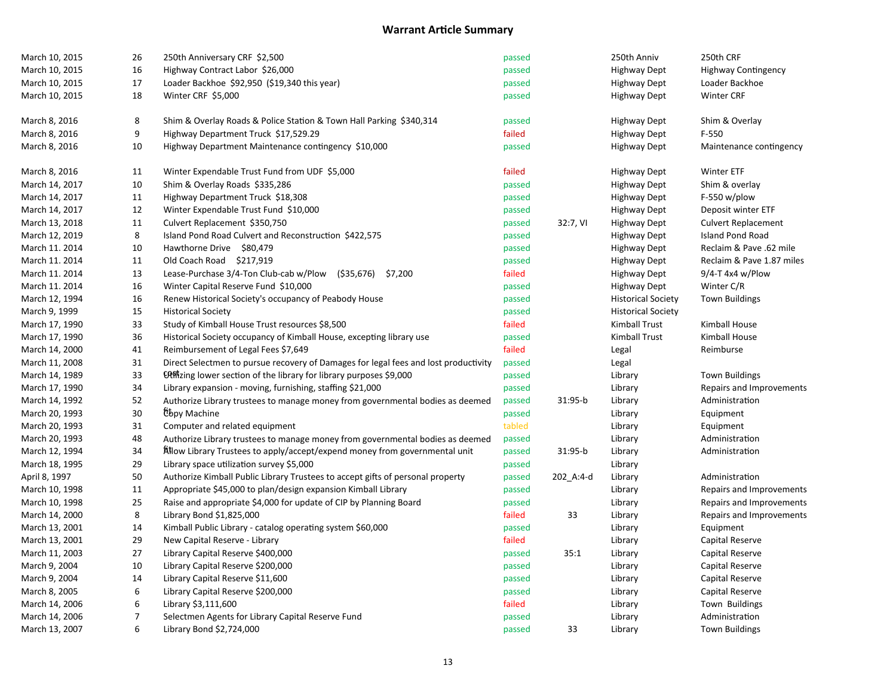| March 10, 2015<br>16<br>Highway Contract Labor \$26,000<br>passed<br><b>Highway Dept</b><br><b>Highway Contingency</b><br>17<br>Loader Backhoe \$92,950 (\$19,340 this year)<br>March 10, 2015<br>passed<br><b>Highway Dept</b><br>Loader Backhoe<br>18<br>Winter CRF \$5,000<br>Winter CRF<br>March 10, 2015<br>passed<br><b>Highway Dept</b><br>8<br>March 8, 2016<br>Shim & Overlay Roads & Police Station & Town Hall Parking \$340,314<br>Shim & Overlay<br>passed<br><b>Highway Dept</b><br>9<br>F-550<br>March 8, 2016<br>Highway Department Truck \$17,529.29<br>failed<br><b>Highway Dept</b><br>10<br>March 8, 2016<br>Highway Department Maintenance contingency \$10,000<br><b>Highway Dept</b><br>passed<br>Maintenance contingency<br>March 8, 2016<br>11<br>Winter Expendable Trust Fund from UDF \$5,000<br>failed<br>Winter ETF<br><b>Highway Dept</b><br>10<br>March 14, 2017<br>Shim & Overlay Roads \$335,286<br><b>Highway Dept</b><br>Shim & overlay<br>passed<br>11<br>Highway Department Truck \$18,308<br>$F-550$ w/plow<br>March 14, 2017<br>passed<br><b>Highway Dept</b><br>12<br>Winter Expendable Trust Fund \$10,000<br>March 14, 2017<br><b>Highway Dept</b><br>Deposit winter ETF<br>passed<br>11<br>32:7, VI<br>March 13, 2018<br>Culvert Replacement \$350,750<br>passed<br><b>Highway Dept</b><br><b>Culvert Replacement</b><br>8<br>March 12, 2019<br>Island Pond Road Culvert and Reconstruction \$422,575<br><b>Island Pond Road</b><br>passed<br><b>Highway Dept</b><br>10<br>March 11. 2014<br>Hawthorne Drive \$80,479<br><b>Highway Dept</b><br>Reclaim & Pave .62 mile<br>passed<br>March 11. 2014<br>11<br>Old Coach Road \$217,919<br>Reclaim & Pave 1.87 miles<br>passed<br>Highway Dept<br>13<br>March 11. 2014<br>Lease-Purchase 3/4-Ton Club-cab w/Plow<br>(\$35,676) \$7,200<br>failed<br>$9/4$ -T 4x4 w/Plow<br>Highway Dept<br>16<br>Winter Capital Reserve Fund \$10,000<br>Winter C/R<br>March 11. 2014<br>passed<br>Highway Dept<br>March 12, 1994<br>16<br>Renew Historical Society's occupancy of Peabody House<br><b>Town Buildings</b><br>passed<br><b>Historical Society</b><br>March 9, 1999<br>15<br><b>Historical Society</b><br>passed<br><b>Historical Society</b><br>33<br>Study of Kimball House Trust resources \$8,500<br>failed<br><b>Kimball Trust</b><br>March 17, 1990<br>Kimball House<br>36<br>March 17, 1990<br>Historical Society occupancy of Kimball House, excepting library use<br>passed<br>Kimball Trust<br>Kimball House<br>41<br>Reimbursement of Legal Fees \$7,649<br>failed<br>March 14, 2000<br>Legal<br>Reimburse<br>March 11, 2008<br>31<br>Direct Selectmen to pursue recovery of Damages for legal fees and lost productivity<br>passed<br>Legal<br>33<br>March 14, 1989<br><b>Utilianally U.S. Eq. 10 Section of the library for library purposes \$9,000</b><br>Library<br><b>Town Buildings</b><br>passed<br>March 17, 1990<br>34<br>Library expansion - moving, furnishing, staffing \$21,000<br>Library<br>Repairs and Improvements<br>passed<br>52<br>31:95-b<br>March 14, 1992<br>passed<br>Authorize Library trustees to manage money from governmental bodies as deemed<br>Library<br>Administration<br>30<br>tbpy Machine<br>March 20, 1993<br>passed<br>Library<br>Equipment<br>tabled<br>31<br>Computer and related equipment<br>March 20, 1993<br>Library<br>Equipment<br>March 20, 1993<br>48<br>passed<br>Library<br>Administration<br>Authorize Library trustees to manage money from governmental bodies as deemed<br>34<br>Allow Library Trustees to apply/accept/expend money from governmental unit<br>31:95-b<br>March 12, 1994<br>passed<br>Library<br>Administration<br>29<br>March 18, 1995<br>Library space utilization survey \$5,000<br>passed<br>Library<br>50<br>April 8, 1997<br>Authorize Kimball Public Library Trustees to accept gifts of personal property<br>passed<br>Library<br>202_A:4-d<br>Administration<br>March 10, 1998<br>11<br>Appropriate \$45,000 to plan/design expansion Kimball Library<br>passed<br>Library<br>Repairs and Improvements<br>25<br>March 10, 1998<br>Raise and appropriate \$4,000 for update of CIP by Planning Board<br>passed<br>Library<br>Repairs and Improvements<br>8<br>March 14, 2000<br>Library Bond \$1,825,000<br>failed<br>33<br>Library<br>Repairs and Improvements<br>14<br>March 13, 2001<br>Kimball Public Library - catalog operating system \$60,000<br>Library<br>Equipment<br>passed<br>29<br>failed<br>March 13, 2001<br>New Capital Reserve - Library<br>Library<br>Capital Reserve<br>27<br>Library Capital Reserve \$400,000<br>35:1<br>March 11, 2003<br>Library<br>Capital Reserve<br>passed<br>10<br>Library Capital Reserve \$200,000<br>March 9, 2004<br>passed<br>Library<br>Capital Reserve<br>14<br>March 9, 2004<br>Library Capital Reserve \$11,600<br>Library<br>Capital Reserve<br>passed<br>6<br>March 8, 2005<br>Library Capital Reserve \$200,000<br>Capital Reserve<br>passed<br>Library<br>6<br>failed<br>March 14, 2006<br>Library \$3,111,600<br>Town Buildings<br>Library<br>7<br>March 14, 2006<br>Selectmen Agents for Library Capital Reserve Fund<br>Administration<br>passed<br>Library<br>33<br><b>Town Buildings</b> | March 10, 2015 | 26 | 250th Anniversary CRF \$2,500 | passed | 250th Anniv | 250th CRF |
|------------------------------------------------------------------------------------------------------------------------------------------------------------------------------------------------------------------------------------------------------------------------------------------------------------------------------------------------------------------------------------------------------------------------------------------------------------------------------------------------------------------------------------------------------------------------------------------------------------------------------------------------------------------------------------------------------------------------------------------------------------------------------------------------------------------------------------------------------------------------------------------------------------------------------------------------------------------------------------------------------------------------------------------------------------------------------------------------------------------------------------------------------------------------------------------------------------------------------------------------------------------------------------------------------------------------------------------------------------------------------------------------------------------------------------------------------------------------------------------------------------------------------------------------------------------------------------------------------------------------------------------------------------------------------------------------------------------------------------------------------------------------------------------------------------------------------------------------------------------------------------------------------------------------------------------------------------------------------------------------------------------------------------------------------------------------------------------------------------------------------------------------------------------------------------------------------------------------------------------------------------------------------------------------------------------------------------------------------------------------------------------------------------------------------------------------------------------------------------------------------------------------------------------------------------------------------------------------------------------------------------------------------------------------------------------------------------------------------------------------------------------------------------------------------------------------------------------------------------------------------------------------------------------------------------------------------------------------------------------------------------------------------------------------------------------------------------------------------------------------------------------------------------------------------------------------------------------------------------------------------------------------------------------------------------------------------------------------------------------------------------------------------------------------------------------------------------------------------------------------------------------------------------------------------------------------------------------------------------------------------------------------------------------------------------------------------------------------------------------------------------------------------------------------------------------------------------------------------------------------------------------------------------------------------------------------------------------------------------------------------------------------------------------------------------------------------------------------------------------------------------------------------------------------------------------------------------------------------------------------------------------------------------------------------------------------------------------------------------------------------------------------------------------------------------------------------------------------------------------------------------------------------------------------------------------------------------------------------------------------------------------------------------------------------------------------------------------------------------------------------------------------------------------------------------------------------------------------------------------------------------------------------------------------------------------------------------------------------------------------------------------------------------------------------------------------------------------------------------------------------------------------------------------------------------------------------------------------------------------|----------------|----|-------------------------------|--------|-------------|-----------|
|                                                                                                                                                                                                                                                                                                                                                                                                                                                                                                                                                                                                                                                                                                                                                                                                                                                                                                                                                                                                                                                                                                                                                                                                                                                                                                                                                                                                                                                                                                                                                                                                                                                                                                                                                                                                                                                                                                                                                                                                                                                                                                                                                                                                                                                                                                                                                                                                                                                                                                                                                                                                                                                                                                                                                                                                                                                                                                                                                                                                                                                                                                                                                                                                                                                                                                                                                                                                                                                                                                                                                                                                                                                                                                                                                                                                                                                                                                                                                                                                                                                                                                                                                                                                                                                                                                                                                                                                                                                                                                                                                                                                                                                                                                                                                                                                                                                                                                                                                                                                                                                                                                                                                                                                                                          |                |    |                               |        |             |           |
|                                                                                                                                                                                                                                                                                                                                                                                                                                                                                                                                                                                                                                                                                                                                                                                                                                                                                                                                                                                                                                                                                                                                                                                                                                                                                                                                                                                                                                                                                                                                                                                                                                                                                                                                                                                                                                                                                                                                                                                                                                                                                                                                                                                                                                                                                                                                                                                                                                                                                                                                                                                                                                                                                                                                                                                                                                                                                                                                                                                                                                                                                                                                                                                                                                                                                                                                                                                                                                                                                                                                                                                                                                                                                                                                                                                                                                                                                                                                                                                                                                                                                                                                                                                                                                                                                                                                                                                                                                                                                                                                                                                                                                                                                                                                                                                                                                                                                                                                                                                                                                                                                                                                                                                                                                          |                |    |                               |        |             |           |
|                                                                                                                                                                                                                                                                                                                                                                                                                                                                                                                                                                                                                                                                                                                                                                                                                                                                                                                                                                                                                                                                                                                                                                                                                                                                                                                                                                                                                                                                                                                                                                                                                                                                                                                                                                                                                                                                                                                                                                                                                                                                                                                                                                                                                                                                                                                                                                                                                                                                                                                                                                                                                                                                                                                                                                                                                                                                                                                                                                                                                                                                                                                                                                                                                                                                                                                                                                                                                                                                                                                                                                                                                                                                                                                                                                                                                                                                                                                                                                                                                                                                                                                                                                                                                                                                                                                                                                                                                                                                                                                                                                                                                                                                                                                                                                                                                                                                                                                                                                                                                                                                                                                                                                                                                                          |                |    |                               |        |             |           |
|                                                                                                                                                                                                                                                                                                                                                                                                                                                                                                                                                                                                                                                                                                                                                                                                                                                                                                                                                                                                                                                                                                                                                                                                                                                                                                                                                                                                                                                                                                                                                                                                                                                                                                                                                                                                                                                                                                                                                                                                                                                                                                                                                                                                                                                                                                                                                                                                                                                                                                                                                                                                                                                                                                                                                                                                                                                                                                                                                                                                                                                                                                                                                                                                                                                                                                                                                                                                                                                                                                                                                                                                                                                                                                                                                                                                                                                                                                                                                                                                                                                                                                                                                                                                                                                                                                                                                                                                                                                                                                                                                                                                                                                                                                                                                                                                                                                                                                                                                                                                                                                                                                                                                                                                                                          |                |    |                               |        |             |           |
|                                                                                                                                                                                                                                                                                                                                                                                                                                                                                                                                                                                                                                                                                                                                                                                                                                                                                                                                                                                                                                                                                                                                                                                                                                                                                                                                                                                                                                                                                                                                                                                                                                                                                                                                                                                                                                                                                                                                                                                                                                                                                                                                                                                                                                                                                                                                                                                                                                                                                                                                                                                                                                                                                                                                                                                                                                                                                                                                                                                                                                                                                                                                                                                                                                                                                                                                                                                                                                                                                                                                                                                                                                                                                                                                                                                                                                                                                                                                                                                                                                                                                                                                                                                                                                                                                                                                                                                                                                                                                                                                                                                                                                                                                                                                                                                                                                                                                                                                                                                                                                                                                                                                                                                                                                          |                |    |                               |        |             |           |
|                                                                                                                                                                                                                                                                                                                                                                                                                                                                                                                                                                                                                                                                                                                                                                                                                                                                                                                                                                                                                                                                                                                                                                                                                                                                                                                                                                                                                                                                                                                                                                                                                                                                                                                                                                                                                                                                                                                                                                                                                                                                                                                                                                                                                                                                                                                                                                                                                                                                                                                                                                                                                                                                                                                                                                                                                                                                                                                                                                                                                                                                                                                                                                                                                                                                                                                                                                                                                                                                                                                                                                                                                                                                                                                                                                                                                                                                                                                                                                                                                                                                                                                                                                                                                                                                                                                                                                                                                                                                                                                                                                                                                                                                                                                                                                                                                                                                                                                                                                                                                                                                                                                                                                                                                                          |                |    |                               |        |             |           |
|                                                                                                                                                                                                                                                                                                                                                                                                                                                                                                                                                                                                                                                                                                                                                                                                                                                                                                                                                                                                                                                                                                                                                                                                                                                                                                                                                                                                                                                                                                                                                                                                                                                                                                                                                                                                                                                                                                                                                                                                                                                                                                                                                                                                                                                                                                                                                                                                                                                                                                                                                                                                                                                                                                                                                                                                                                                                                                                                                                                                                                                                                                                                                                                                                                                                                                                                                                                                                                                                                                                                                                                                                                                                                                                                                                                                                                                                                                                                                                                                                                                                                                                                                                                                                                                                                                                                                                                                                                                                                                                                                                                                                                                                                                                                                                                                                                                                                                                                                                                                                                                                                                                                                                                                                                          |                |    |                               |        |             |           |
|                                                                                                                                                                                                                                                                                                                                                                                                                                                                                                                                                                                                                                                                                                                                                                                                                                                                                                                                                                                                                                                                                                                                                                                                                                                                                                                                                                                                                                                                                                                                                                                                                                                                                                                                                                                                                                                                                                                                                                                                                                                                                                                                                                                                                                                                                                                                                                                                                                                                                                                                                                                                                                                                                                                                                                                                                                                                                                                                                                                                                                                                                                                                                                                                                                                                                                                                                                                                                                                                                                                                                                                                                                                                                                                                                                                                                                                                                                                                                                                                                                                                                                                                                                                                                                                                                                                                                                                                                                                                                                                                                                                                                                                                                                                                                                                                                                                                                                                                                                                                                                                                                                                                                                                                                                          |                |    |                               |        |             |           |
|                                                                                                                                                                                                                                                                                                                                                                                                                                                                                                                                                                                                                                                                                                                                                                                                                                                                                                                                                                                                                                                                                                                                                                                                                                                                                                                                                                                                                                                                                                                                                                                                                                                                                                                                                                                                                                                                                                                                                                                                                                                                                                                                                                                                                                                                                                                                                                                                                                                                                                                                                                                                                                                                                                                                                                                                                                                                                                                                                                                                                                                                                                                                                                                                                                                                                                                                                                                                                                                                                                                                                                                                                                                                                                                                                                                                                                                                                                                                                                                                                                                                                                                                                                                                                                                                                                                                                                                                                                                                                                                                                                                                                                                                                                                                                                                                                                                                                                                                                                                                                                                                                                                                                                                                                                          |                |    |                               |        |             |           |
|                                                                                                                                                                                                                                                                                                                                                                                                                                                                                                                                                                                                                                                                                                                                                                                                                                                                                                                                                                                                                                                                                                                                                                                                                                                                                                                                                                                                                                                                                                                                                                                                                                                                                                                                                                                                                                                                                                                                                                                                                                                                                                                                                                                                                                                                                                                                                                                                                                                                                                                                                                                                                                                                                                                                                                                                                                                                                                                                                                                                                                                                                                                                                                                                                                                                                                                                                                                                                                                                                                                                                                                                                                                                                                                                                                                                                                                                                                                                                                                                                                                                                                                                                                                                                                                                                                                                                                                                                                                                                                                                                                                                                                                                                                                                                                                                                                                                                                                                                                                                                                                                                                                                                                                                                                          |                |    |                               |        |             |           |
|                                                                                                                                                                                                                                                                                                                                                                                                                                                                                                                                                                                                                                                                                                                                                                                                                                                                                                                                                                                                                                                                                                                                                                                                                                                                                                                                                                                                                                                                                                                                                                                                                                                                                                                                                                                                                                                                                                                                                                                                                                                                                                                                                                                                                                                                                                                                                                                                                                                                                                                                                                                                                                                                                                                                                                                                                                                                                                                                                                                                                                                                                                                                                                                                                                                                                                                                                                                                                                                                                                                                                                                                                                                                                                                                                                                                                                                                                                                                                                                                                                                                                                                                                                                                                                                                                                                                                                                                                                                                                                                                                                                                                                                                                                                                                                                                                                                                                                                                                                                                                                                                                                                                                                                                                                          |                |    |                               |        |             |           |
|                                                                                                                                                                                                                                                                                                                                                                                                                                                                                                                                                                                                                                                                                                                                                                                                                                                                                                                                                                                                                                                                                                                                                                                                                                                                                                                                                                                                                                                                                                                                                                                                                                                                                                                                                                                                                                                                                                                                                                                                                                                                                                                                                                                                                                                                                                                                                                                                                                                                                                                                                                                                                                                                                                                                                                                                                                                                                                                                                                                                                                                                                                                                                                                                                                                                                                                                                                                                                                                                                                                                                                                                                                                                                                                                                                                                                                                                                                                                                                                                                                                                                                                                                                                                                                                                                                                                                                                                                                                                                                                                                                                                                                                                                                                                                                                                                                                                                                                                                                                                                                                                                                                                                                                                                                          |                |    |                               |        |             |           |
|                                                                                                                                                                                                                                                                                                                                                                                                                                                                                                                                                                                                                                                                                                                                                                                                                                                                                                                                                                                                                                                                                                                                                                                                                                                                                                                                                                                                                                                                                                                                                                                                                                                                                                                                                                                                                                                                                                                                                                                                                                                                                                                                                                                                                                                                                                                                                                                                                                                                                                                                                                                                                                                                                                                                                                                                                                                                                                                                                                                                                                                                                                                                                                                                                                                                                                                                                                                                                                                                                                                                                                                                                                                                                                                                                                                                                                                                                                                                                                                                                                                                                                                                                                                                                                                                                                                                                                                                                                                                                                                                                                                                                                                                                                                                                                                                                                                                                                                                                                                                                                                                                                                                                                                                                                          |                |    |                               |        |             |           |
|                                                                                                                                                                                                                                                                                                                                                                                                                                                                                                                                                                                                                                                                                                                                                                                                                                                                                                                                                                                                                                                                                                                                                                                                                                                                                                                                                                                                                                                                                                                                                                                                                                                                                                                                                                                                                                                                                                                                                                                                                                                                                                                                                                                                                                                                                                                                                                                                                                                                                                                                                                                                                                                                                                                                                                                                                                                                                                                                                                                                                                                                                                                                                                                                                                                                                                                                                                                                                                                                                                                                                                                                                                                                                                                                                                                                                                                                                                                                                                                                                                                                                                                                                                                                                                                                                                                                                                                                                                                                                                                                                                                                                                                                                                                                                                                                                                                                                                                                                                                                                                                                                                                                                                                                                                          |                |    |                               |        |             |           |
|                                                                                                                                                                                                                                                                                                                                                                                                                                                                                                                                                                                                                                                                                                                                                                                                                                                                                                                                                                                                                                                                                                                                                                                                                                                                                                                                                                                                                                                                                                                                                                                                                                                                                                                                                                                                                                                                                                                                                                                                                                                                                                                                                                                                                                                                                                                                                                                                                                                                                                                                                                                                                                                                                                                                                                                                                                                                                                                                                                                                                                                                                                                                                                                                                                                                                                                                                                                                                                                                                                                                                                                                                                                                                                                                                                                                                                                                                                                                                                                                                                                                                                                                                                                                                                                                                                                                                                                                                                                                                                                                                                                                                                                                                                                                                                                                                                                                                                                                                                                                                                                                                                                                                                                                                                          |                |    |                               |        |             |           |
|                                                                                                                                                                                                                                                                                                                                                                                                                                                                                                                                                                                                                                                                                                                                                                                                                                                                                                                                                                                                                                                                                                                                                                                                                                                                                                                                                                                                                                                                                                                                                                                                                                                                                                                                                                                                                                                                                                                                                                                                                                                                                                                                                                                                                                                                                                                                                                                                                                                                                                                                                                                                                                                                                                                                                                                                                                                                                                                                                                                                                                                                                                                                                                                                                                                                                                                                                                                                                                                                                                                                                                                                                                                                                                                                                                                                                                                                                                                                                                                                                                                                                                                                                                                                                                                                                                                                                                                                                                                                                                                                                                                                                                                                                                                                                                                                                                                                                                                                                                                                                                                                                                                                                                                                                                          |                |    |                               |        |             |           |
|                                                                                                                                                                                                                                                                                                                                                                                                                                                                                                                                                                                                                                                                                                                                                                                                                                                                                                                                                                                                                                                                                                                                                                                                                                                                                                                                                                                                                                                                                                                                                                                                                                                                                                                                                                                                                                                                                                                                                                                                                                                                                                                                                                                                                                                                                                                                                                                                                                                                                                                                                                                                                                                                                                                                                                                                                                                                                                                                                                                                                                                                                                                                                                                                                                                                                                                                                                                                                                                                                                                                                                                                                                                                                                                                                                                                                                                                                                                                                                                                                                                                                                                                                                                                                                                                                                                                                                                                                                                                                                                                                                                                                                                                                                                                                                                                                                                                                                                                                                                                                                                                                                                                                                                                                                          |                |    |                               |        |             |           |
|                                                                                                                                                                                                                                                                                                                                                                                                                                                                                                                                                                                                                                                                                                                                                                                                                                                                                                                                                                                                                                                                                                                                                                                                                                                                                                                                                                                                                                                                                                                                                                                                                                                                                                                                                                                                                                                                                                                                                                                                                                                                                                                                                                                                                                                                                                                                                                                                                                                                                                                                                                                                                                                                                                                                                                                                                                                                                                                                                                                                                                                                                                                                                                                                                                                                                                                                                                                                                                                                                                                                                                                                                                                                                                                                                                                                                                                                                                                                                                                                                                                                                                                                                                                                                                                                                                                                                                                                                                                                                                                                                                                                                                                                                                                                                                                                                                                                                                                                                                                                                                                                                                                                                                                                                                          |                |    |                               |        |             |           |
|                                                                                                                                                                                                                                                                                                                                                                                                                                                                                                                                                                                                                                                                                                                                                                                                                                                                                                                                                                                                                                                                                                                                                                                                                                                                                                                                                                                                                                                                                                                                                                                                                                                                                                                                                                                                                                                                                                                                                                                                                                                                                                                                                                                                                                                                                                                                                                                                                                                                                                                                                                                                                                                                                                                                                                                                                                                                                                                                                                                                                                                                                                                                                                                                                                                                                                                                                                                                                                                                                                                                                                                                                                                                                                                                                                                                                                                                                                                                                                                                                                                                                                                                                                                                                                                                                                                                                                                                                                                                                                                                                                                                                                                                                                                                                                                                                                                                                                                                                                                                                                                                                                                                                                                                                                          |                |    |                               |        |             |           |
|                                                                                                                                                                                                                                                                                                                                                                                                                                                                                                                                                                                                                                                                                                                                                                                                                                                                                                                                                                                                                                                                                                                                                                                                                                                                                                                                                                                                                                                                                                                                                                                                                                                                                                                                                                                                                                                                                                                                                                                                                                                                                                                                                                                                                                                                                                                                                                                                                                                                                                                                                                                                                                                                                                                                                                                                                                                                                                                                                                                                                                                                                                                                                                                                                                                                                                                                                                                                                                                                                                                                                                                                                                                                                                                                                                                                                                                                                                                                                                                                                                                                                                                                                                                                                                                                                                                                                                                                                                                                                                                                                                                                                                                                                                                                                                                                                                                                                                                                                                                                                                                                                                                                                                                                                                          |                |    |                               |        |             |           |
|                                                                                                                                                                                                                                                                                                                                                                                                                                                                                                                                                                                                                                                                                                                                                                                                                                                                                                                                                                                                                                                                                                                                                                                                                                                                                                                                                                                                                                                                                                                                                                                                                                                                                                                                                                                                                                                                                                                                                                                                                                                                                                                                                                                                                                                                                                                                                                                                                                                                                                                                                                                                                                                                                                                                                                                                                                                                                                                                                                                                                                                                                                                                                                                                                                                                                                                                                                                                                                                                                                                                                                                                                                                                                                                                                                                                                                                                                                                                                                                                                                                                                                                                                                                                                                                                                                                                                                                                                                                                                                                                                                                                                                                                                                                                                                                                                                                                                                                                                                                                                                                                                                                                                                                                                                          |                |    |                               |        |             |           |
|                                                                                                                                                                                                                                                                                                                                                                                                                                                                                                                                                                                                                                                                                                                                                                                                                                                                                                                                                                                                                                                                                                                                                                                                                                                                                                                                                                                                                                                                                                                                                                                                                                                                                                                                                                                                                                                                                                                                                                                                                                                                                                                                                                                                                                                                                                                                                                                                                                                                                                                                                                                                                                                                                                                                                                                                                                                                                                                                                                                                                                                                                                                                                                                                                                                                                                                                                                                                                                                                                                                                                                                                                                                                                                                                                                                                                                                                                                                                                                                                                                                                                                                                                                                                                                                                                                                                                                                                                                                                                                                                                                                                                                                                                                                                                                                                                                                                                                                                                                                                                                                                                                                                                                                                                                          |                |    |                               |        |             |           |
|                                                                                                                                                                                                                                                                                                                                                                                                                                                                                                                                                                                                                                                                                                                                                                                                                                                                                                                                                                                                                                                                                                                                                                                                                                                                                                                                                                                                                                                                                                                                                                                                                                                                                                                                                                                                                                                                                                                                                                                                                                                                                                                                                                                                                                                                                                                                                                                                                                                                                                                                                                                                                                                                                                                                                                                                                                                                                                                                                                                                                                                                                                                                                                                                                                                                                                                                                                                                                                                                                                                                                                                                                                                                                                                                                                                                                                                                                                                                                                                                                                                                                                                                                                                                                                                                                                                                                                                                                                                                                                                                                                                                                                                                                                                                                                                                                                                                                                                                                                                                                                                                                                                                                                                                                                          |                |    |                               |        |             |           |
|                                                                                                                                                                                                                                                                                                                                                                                                                                                                                                                                                                                                                                                                                                                                                                                                                                                                                                                                                                                                                                                                                                                                                                                                                                                                                                                                                                                                                                                                                                                                                                                                                                                                                                                                                                                                                                                                                                                                                                                                                                                                                                                                                                                                                                                                                                                                                                                                                                                                                                                                                                                                                                                                                                                                                                                                                                                                                                                                                                                                                                                                                                                                                                                                                                                                                                                                                                                                                                                                                                                                                                                                                                                                                                                                                                                                                                                                                                                                                                                                                                                                                                                                                                                                                                                                                                                                                                                                                                                                                                                                                                                                                                                                                                                                                                                                                                                                                                                                                                                                                                                                                                                                                                                                                                          |                |    |                               |        |             |           |
|                                                                                                                                                                                                                                                                                                                                                                                                                                                                                                                                                                                                                                                                                                                                                                                                                                                                                                                                                                                                                                                                                                                                                                                                                                                                                                                                                                                                                                                                                                                                                                                                                                                                                                                                                                                                                                                                                                                                                                                                                                                                                                                                                                                                                                                                                                                                                                                                                                                                                                                                                                                                                                                                                                                                                                                                                                                                                                                                                                                                                                                                                                                                                                                                                                                                                                                                                                                                                                                                                                                                                                                                                                                                                                                                                                                                                                                                                                                                                                                                                                                                                                                                                                                                                                                                                                                                                                                                                                                                                                                                                                                                                                                                                                                                                                                                                                                                                                                                                                                                                                                                                                                                                                                                                                          |                |    |                               |        |             |           |
|                                                                                                                                                                                                                                                                                                                                                                                                                                                                                                                                                                                                                                                                                                                                                                                                                                                                                                                                                                                                                                                                                                                                                                                                                                                                                                                                                                                                                                                                                                                                                                                                                                                                                                                                                                                                                                                                                                                                                                                                                                                                                                                                                                                                                                                                                                                                                                                                                                                                                                                                                                                                                                                                                                                                                                                                                                                                                                                                                                                                                                                                                                                                                                                                                                                                                                                                                                                                                                                                                                                                                                                                                                                                                                                                                                                                                                                                                                                                                                                                                                                                                                                                                                                                                                                                                                                                                                                                                                                                                                                                                                                                                                                                                                                                                                                                                                                                                                                                                                                                                                                                                                                                                                                                                                          |                |    |                               |        |             |           |
|                                                                                                                                                                                                                                                                                                                                                                                                                                                                                                                                                                                                                                                                                                                                                                                                                                                                                                                                                                                                                                                                                                                                                                                                                                                                                                                                                                                                                                                                                                                                                                                                                                                                                                                                                                                                                                                                                                                                                                                                                                                                                                                                                                                                                                                                                                                                                                                                                                                                                                                                                                                                                                                                                                                                                                                                                                                                                                                                                                                                                                                                                                                                                                                                                                                                                                                                                                                                                                                                                                                                                                                                                                                                                                                                                                                                                                                                                                                                                                                                                                                                                                                                                                                                                                                                                                                                                                                                                                                                                                                                                                                                                                                                                                                                                                                                                                                                                                                                                                                                                                                                                                                                                                                                                                          |                |    |                               |        |             |           |
|                                                                                                                                                                                                                                                                                                                                                                                                                                                                                                                                                                                                                                                                                                                                                                                                                                                                                                                                                                                                                                                                                                                                                                                                                                                                                                                                                                                                                                                                                                                                                                                                                                                                                                                                                                                                                                                                                                                                                                                                                                                                                                                                                                                                                                                                                                                                                                                                                                                                                                                                                                                                                                                                                                                                                                                                                                                                                                                                                                                                                                                                                                                                                                                                                                                                                                                                                                                                                                                                                                                                                                                                                                                                                                                                                                                                                                                                                                                                                                                                                                                                                                                                                                                                                                                                                                                                                                                                                                                                                                                                                                                                                                                                                                                                                                                                                                                                                                                                                                                                                                                                                                                                                                                                                                          |                |    |                               |        |             |           |
|                                                                                                                                                                                                                                                                                                                                                                                                                                                                                                                                                                                                                                                                                                                                                                                                                                                                                                                                                                                                                                                                                                                                                                                                                                                                                                                                                                                                                                                                                                                                                                                                                                                                                                                                                                                                                                                                                                                                                                                                                                                                                                                                                                                                                                                                                                                                                                                                                                                                                                                                                                                                                                                                                                                                                                                                                                                                                                                                                                                                                                                                                                                                                                                                                                                                                                                                                                                                                                                                                                                                                                                                                                                                                                                                                                                                                                                                                                                                                                                                                                                                                                                                                                                                                                                                                                                                                                                                                                                                                                                                                                                                                                                                                                                                                                                                                                                                                                                                                                                                                                                                                                                                                                                                                                          |                |    |                               |        |             |           |
|                                                                                                                                                                                                                                                                                                                                                                                                                                                                                                                                                                                                                                                                                                                                                                                                                                                                                                                                                                                                                                                                                                                                                                                                                                                                                                                                                                                                                                                                                                                                                                                                                                                                                                                                                                                                                                                                                                                                                                                                                                                                                                                                                                                                                                                                                                                                                                                                                                                                                                                                                                                                                                                                                                                                                                                                                                                                                                                                                                                                                                                                                                                                                                                                                                                                                                                                                                                                                                                                                                                                                                                                                                                                                                                                                                                                                                                                                                                                                                                                                                                                                                                                                                                                                                                                                                                                                                                                                                                                                                                                                                                                                                                                                                                                                                                                                                                                                                                                                                                                                                                                                                                                                                                                                                          |                |    |                               |        |             |           |
|                                                                                                                                                                                                                                                                                                                                                                                                                                                                                                                                                                                                                                                                                                                                                                                                                                                                                                                                                                                                                                                                                                                                                                                                                                                                                                                                                                                                                                                                                                                                                                                                                                                                                                                                                                                                                                                                                                                                                                                                                                                                                                                                                                                                                                                                                                                                                                                                                                                                                                                                                                                                                                                                                                                                                                                                                                                                                                                                                                                                                                                                                                                                                                                                                                                                                                                                                                                                                                                                                                                                                                                                                                                                                                                                                                                                                                                                                                                                                                                                                                                                                                                                                                                                                                                                                                                                                                                                                                                                                                                                                                                                                                                                                                                                                                                                                                                                                                                                                                                                                                                                                                                                                                                                                                          |                |    |                               |        |             |           |
|                                                                                                                                                                                                                                                                                                                                                                                                                                                                                                                                                                                                                                                                                                                                                                                                                                                                                                                                                                                                                                                                                                                                                                                                                                                                                                                                                                                                                                                                                                                                                                                                                                                                                                                                                                                                                                                                                                                                                                                                                                                                                                                                                                                                                                                                                                                                                                                                                                                                                                                                                                                                                                                                                                                                                                                                                                                                                                                                                                                                                                                                                                                                                                                                                                                                                                                                                                                                                                                                                                                                                                                                                                                                                                                                                                                                                                                                                                                                                                                                                                                                                                                                                                                                                                                                                                                                                                                                                                                                                                                                                                                                                                                                                                                                                                                                                                                                                                                                                                                                                                                                                                                                                                                                                                          |                |    |                               |        |             |           |
|                                                                                                                                                                                                                                                                                                                                                                                                                                                                                                                                                                                                                                                                                                                                                                                                                                                                                                                                                                                                                                                                                                                                                                                                                                                                                                                                                                                                                                                                                                                                                                                                                                                                                                                                                                                                                                                                                                                                                                                                                                                                                                                                                                                                                                                                                                                                                                                                                                                                                                                                                                                                                                                                                                                                                                                                                                                                                                                                                                                                                                                                                                                                                                                                                                                                                                                                                                                                                                                                                                                                                                                                                                                                                                                                                                                                                                                                                                                                                                                                                                                                                                                                                                                                                                                                                                                                                                                                                                                                                                                                                                                                                                                                                                                                                                                                                                                                                                                                                                                                                                                                                                                                                                                                                                          |                |    |                               |        |             |           |
|                                                                                                                                                                                                                                                                                                                                                                                                                                                                                                                                                                                                                                                                                                                                                                                                                                                                                                                                                                                                                                                                                                                                                                                                                                                                                                                                                                                                                                                                                                                                                                                                                                                                                                                                                                                                                                                                                                                                                                                                                                                                                                                                                                                                                                                                                                                                                                                                                                                                                                                                                                                                                                                                                                                                                                                                                                                                                                                                                                                                                                                                                                                                                                                                                                                                                                                                                                                                                                                                                                                                                                                                                                                                                                                                                                                                                                                                                                                                                                                                                                                                                                                                                                                                                                                                                                                                                                                                                                                                                                                                                                                                                                                                                                                                                                                                                                                                                                                                                                                                                                                                                                                                                                                                                                          |                |    |                               |        |             |           |
|                                                                                                                                                                                                                                                                                                                                                                                                                                                                                                                                                                                                                                                                                                                                                                                                                                                                                                                                                                                                                                                                                                                                                                                                                                                                                                                                                                                                                                                                                                                                                                                                                                                                                                                                                                                                                                                                                                                                                                                                                                                                                                                                                                                                                                                                                                                                                                                                                                                                                                                                                                                                                                                                                                                                                                                                                                                                                                                                                                                                                                                                                                                                                                                                                                                                                                                                                                                                                                                                                                                                                                                                                                                                                                                                                                                                                                                                                                                                                                                                                                                                                                                                                                                                                                                                                                                                                                                                                                                                                                                                                                                                                                                                                                                                                                                                                                                                                                                                                                                                                                                                                                                                                                                                                                          |                |    |                               |        |             |           |
|                                                                                                                                                                                                                                                                                                                                                                                                                                                                                                                                                                                                                                                                                                                                                                                                                                                                                                                                                                                                                                                                                                                                                                                                                                                                                                                                                                                                                                                                                                                                                                                                                                                                                                                                                                                                                                                                                                                                                                                                                                                                                                                                                                                                                                                                                                                                                                                                                                                                                                                                                                                                                                                                                                                                                                                                                                                                                                                                                                                                                                                                                                                                                                                                                                                                                                                                                                                                                                                                                                                                                                                                                                                                                                                                                                                                                                                                                                                                                                                                                                                                                                                                                                                                                                                                                                                                                                                                                                                                                                                                                                                                                                                                                                                                                                                                                                                                                                                                                                                                                                                                                                                                                                                                                                          |                |    |                               |        |             |           |
|                                                                                                                                                                                                                                                                                                                                                                                                                                                                                                                                                                                                                                                                                                                                                                                                                                                                                                                                                                                                                                                                                                                                                                                                                                                                                                                                                                                                                                                                                                                                                                                                                                                                                                                                                                                                                                                                                                                                                                                                                                                                                                                                                                                                                                                                                                                                                                                                                                                                                                                                                                                                                                                                                                                                                                                                                                                                                                                                                                                                                                                                                                                                                                                                                                                                                                                                                                                                                                                                                                                                                                                                                                                                                                                                                                                                                                                                                                                                                                                                                                                                                                                                                                                                                                                                                                                                                                                                                                                                                                                                                                                                                                                                                                                                                                                                                                                                                                                                                                                                                                                                                                                                                                                                                                          |                |    |                               |        |             |           |
|                                                                                                                                                                                                                                                                                                                                                                                                                                                                                                                                                                                                                                                                                                                                                                                                                                                                                                                                                                                                                                                                                                                                                                                                                                                                                                                                                                                                                                                                                                                                                                                                                                                                                                                                                                                                                                                                                                                                                                                                                                                                                                                                                                                                                                                                                                                                                                                                                                                                                                                                                                                                                                                                                                                                                                                                                                                                                                                                                                                                                                                                                                                                                                                                                                                                                                                                                                                                                                                                                                                                                                                                                                                                                                                                                                                                                                                                                                                                                                                                                                                                                                                                                                                                                                                                                                                                                                                                                                                                                                                                                                                                                                                                                                                                                                                                                                                                                                                                                                                                                                                                                                                                                                                                                                          |                |    |                               |        |             |           |
|                                                                                                                                                                                                                                                                                                                                                                                                                                                                                                                                                                                                                                                                                                                                                                                                                                                                                                                                                                                                                                                                                                                                                                                                                                                                                                                                                                                                                                                                                                                                                                                                                                                                                                                                                                                                                                                                                                                                                                                                                                                                                                                                                                                                                                                                                                                                                                                                                                                                                                                                                                                                                                                                                                                                                                                                                                                                                                                                                                                                                                                                                                                                                                                                                                                                                                                                                                                                                                                                                                                                                                                                                                                                                                                                                                                                                                                                                                                                                                                                                                                                                                                                                                                                                                                                                                                                                                                                                                                                                                                                                                                                                                                                                                                                                                                                                                                                                                                                                                                                                                                                                                                                                                                                                                          |                |    |                               |        |             |           |
|                                                                                                                                                                                                                                                                                                                                                                                                                                                                                                                                                                                                                                                                                                                                                                                                                                                                                                                                                                                                                                                                                                                                                                                                                                                                                                                                                                                                                                                                                                                                                                                                                                                                                                                                                                                                                                                                                                                                                                                                                                                                                                                                                                                                                                                                                                                                                                                                                                                                                                                                                                                                                                                                                                                                                                                                                                                                                                                                                                                                                                                                                                                                                                                                                                                                                                                                                                                                                                                                                                                                                                                                                                                                                                                                                                                                                                                                                                                                                                                                                                                                                                                                                                                                                                                                                                                                                                                                                                                                                                                                                                                                                                                                                                                                                                                                                                                                                                                                                                                                                                                                                                                                                                                                                                          |                |    |                               |        |             |           |
|                                                                                                                                                                                                                                                                                                                                                                                                                                                                                                                                                                                                                                                                                                                                                                                                                                                                                                                                                                                                                                                                                                                                                                                                                                                                                                                                                                                                                                                                                                                                                                                                                                                                                                                                                                                                                                                                                                                                                                                                                                                                                                                                                                                                                                                                                                                                                                                                                                                                                                                                                                                                                                                                                                                                                                                                                                                                                                                                                                                                                                                                                                                                                                                                                                                                                                                                                                                                                                                                                                                                                                                                                                                                                                                                                                                                                                                                                                                                                                                                                                                                                                                                                                                                                                                                                                                                                                                                                                                                                                                                                                                                                                                                                                                                                                                                                                                                                                                                                                                                                                                                                                                                                                                                                                          |                |    |                               |        |             |           |
|                                                                                                                                                                                                                                                                                                                                                                                                                                                                                                                                                                                                                                                                                                                                                                                                                                                                                                                                                                                                                                                                                                                                                                                                                                                                                                                                                                                                                                                                                                                                                                                                                                                                                                                                                                                                                                                                                                                                                                                                                                                                                                                                                                                                                                                                                                                                                                                                                                                                                                                                                                                                                                                                                                                                                                                                                                                                                                                                                                                                                                                                                                                                                                                                                                                                                                                                                                                                                                                                                                                                                                                                                                                                                                                                                                                                                                                                                                                                                                                                                                                                                                                                                                                                                                                                                                                                                                                                                                                                                                                                                                                                                                                                                                                                                                                                                                                                                                                                                                                                                                                                                                                                                                                                                                          |                |    |                               |        |             |           |
|                                                                                                                                                                                                                                                                                                                                                                                                                                                                                                                                                                                                                                                                                                                                                                                                                                                                                                                                                                                                                                                                                                                                                                                                                                                                                                                                                                                                                                                                                                                                                                                                                                                                                                                                                                                                                                                                                                                                                                                                                                                                                                                                                                                                                                                                                                                                                                                                                                                                                                                                                                                                                                                                                                                                                                                                                                                                                                                                                                                                                                                                                                                                                                                                                                                                                                                                                                                                                                                                                                                                                                                                                                                                                                                                                                                                                                                                                                                                                                                                                                                                                                                                                                                                                                                                                                                                                                                                                                                                                                                                                                                                                                                                                                                                                                                                                                                                                                                                                                                                                                                                                                                                                                                                                                          | March 13, 2007 | 6  | Library Bond \$2,724,000      | passed | Library     |           |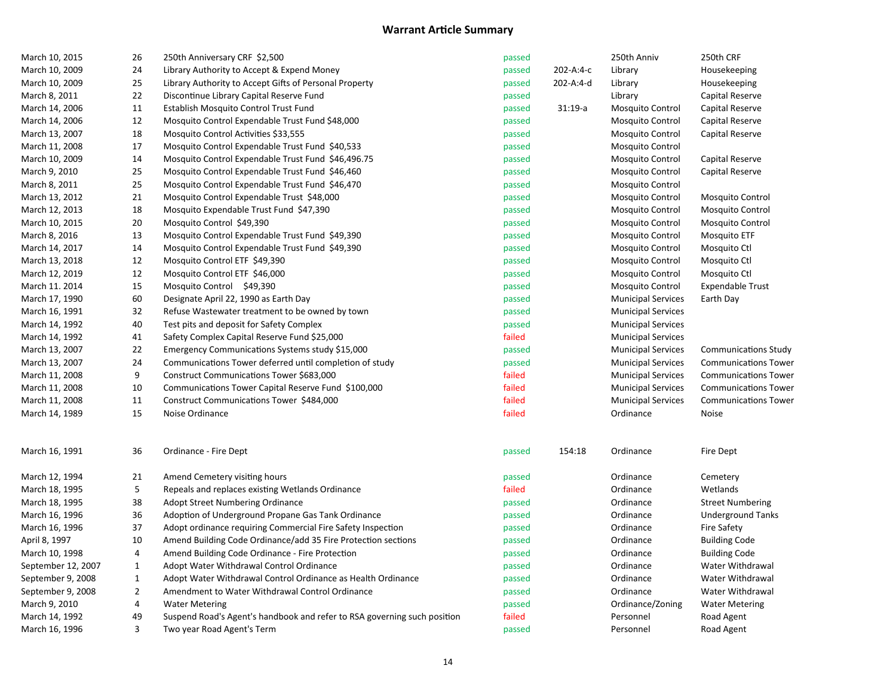| March 10, 2015     | 26             | 250th Anniversary CRF \$2,500                                            | passed |           | 250th Anniv               | 250th CRF                   |
|--------------------|----------------|--------------------------------------------------------------------------|--------|-----------|---------------------------|-----------------------------|
| March 10, 2009     | 24             | Library Authority to Accept & Expend Money                               | passed | 202-A:4-c | Library                   | Housekeeping                |
| March 10, 2009     | 25             | Library Authority to Accept Gifts of Personal Property                   | passed | 202-A:4-d | Library                   | Housekeeping                |
| March 8, 2011      | 22             | Discontinue Library Capital Reserve Fund                                 | passed |           | Library                   | Capital Reserve             |
| March 14, 2006     | 11             | Establish Mosquito Control Trust Fund                                    | passed | $31:19-a$ | <b>Mosquito Control</b>   | Capital Reserve             |
| March 14, 2006     | 12             | Mosquito Control Expendable Trust Fund \$48,000                          | passed |           | <b>Mosquito Control</b>   | Capital Reserve             |
| March 13, 2007     | 18             | Mosquito Control Activities \$33,555                                     | passed |           | <b>Mosquito Control</b>   | Capital Reserve             |
| March 11, 2008     | 17             | Mosquito Control Expendable Trust Fund \$40,533                          | passed |           | <b>Mosquito Control</b>   |                             |
| March 10, 2009     | 14             | Mosquito Control Expendable Trust Fund \$46,496.75                       | passed |           | <b>Mosquito Control</b>   | Capital Reserve             |
| March 9, 2010      | 25             | Mosquito Control Expendable Trust Fund \$46,460                          | passed |           | <b>Mosquito Control</b>   | Capital Reserve             |
| March 8, 2011      | 25             | Mosquito Control Expendable Trust Fund \$46,470                          | passed |           | <b>Mosquito Control</b>   |                             |
| March 13, 2012     | 21             | Mosquito Control Expendable Trust \$48,000                               | passed |           | <b>Mosquito Control</b>   | <b>Mosquito Control</b>     |
| March 12, 2013     | 18             | Mosquito Expendable Trust Fund \$47,390                                  | passed |           | <b>Mosquito Control</b>   | <b>Mosquito Control</b>     |
| March 10, 2015     | 20             | Mosquito Control \$49,390                                                | passed |           | <b>Mosquito Control</b>   | <b>Mosquito Control</b>     |
| March 8, 2016      | 13             | Mosquito Control Expendable Trust Fund \$49,390                          | passed |           | <b>Mosquito Control</b>   | Mosquito ETF                |
| March 14, 2017     | 14             | Mosquito Control Expendable Trust Fund \$49,390                          | passed |           | <b>Mosquito Control</b>   | Mosquito Ctl                |
| March 13, 2018     | 12             | Mosquito Control ETF \$49,390                                            | passed |           | Mosquito Control          | Mosquito Ctl                |
| March 12, 2019     | 12             | Mosquito Control ETF \$46,000                                            | passed |           | Mosquito Control          | Mosquito Ctl                |
| March 11. 2014     | 15             | Mosquito Control \$49,390                                                | passed |           | <b>Mosquito Control</b>   | <b>Expendable Trust</b>     |
| March 17, 1990     | 60             | Designate April 22, 1990 as Earth Day                                    | passed |           | <b>Municipal Services</b> | Earth Day                   |
| March 16, 1991     | 32             | Refuse Wastewater treatment to be owned by town                          | passed |           | <b>Municipal Services</b> |                             |
| March 14, 1992     | 40             | Test pits and deposit for Safety Complex                                 | passed |           | <b>Municipal Services</b> |                             |
| March 14, 1992     | 41             | Safety Complex Capital Reserve Fund \$25,000                             | failed |           | <b>Municipal Services</b> |                             |
| March 13, 2007     | 22             | Emergency Communications Systems study \$15,000                          | passed |           | <b>Municipal Services</b> | Communications Study        |
| March 13, 2007     | 24             | Communications Tower deferred until completion of study                  | passed |           | <b>Municipal Services</b> | <b>Communications Tower</b> |
| March 11, 2008     | 9              | Construct Communications Tower \$683,000                                 | failed |           | <b>Municipal Services</b> | <b>Communications Tower</b> |
| March 11, 2008     | 10             | Communications Tower Capital Reserve Fund \$100,000                      | failed |           | <b>Municipal Services</b> | <b>Communications Tower</b> |
| March 11, 2008     | 11             | Construct Communications Tower \$484,000                                 | failed |           | <b>Municipal Services</b> | <b>Communications Tower</b> |
| March 14, 1989     | 15             | Noise Ordinance                                                          | failed |           | Ordinance                 | Noise                       |
| March 16, 1991     | 36             | Ordinance - Fire Dept                                                    | passed | 154:18    | Ordinance                 | Fire Dept                   |
| March 12, 1994     | 21             | Amend Cemetery visiting hours                                            | passed |           | Ordinance                 | Cemetery                    |
| March 18, 1995     | 5              | Repeals and replaces existing Wetlands Ordinance                         | failed |           | Ordinance                 | Wetlands                    |
| March 18, 1995     | 38             | <b>Adopt Street Numbering Ordinance</b>                                  | passed |           | Ordinance                 | <b>Street Numbering</b>     |
| March 16, 1996     | 36             | Adoption of Underground Propane Gas Tank Ordinance                       | passed |           | Ordinance                 | <b>Underground Tanks</b>    |
| March 16, 1996     | 37             | Adopt ordinance requiring Commercial Fire Safety Inspection              | passed |           | Ordinance                 | <b>Fire Safety</b>          |
| April 8, 1997      | 10             | Amend Building Code Ordinance/add 35 Fire Protection sections            | passed |           | Ordinance                 | <b>Building Code</b>        |
| March 10, 1998     | $\sqrt{4}$     | Amend Building Code Ordinance - Fire Protection                          | passed |           | Ordinance                 | <b>Building Code</b>        |
| September 12, 2007 | $\mathbf{1}$   | Adopt Water Withdrawal Control Ordinance                                 | passed |           | Ordinance                 | Water Withdrawal            |
| September 9, 2008  | $\mathbf{1}$   | Adopt Water Withdrawal Control Ordinance as Health Ordinance             | passed |           | Ordinance                 | Water Withdrawal            |
| September 9, 2008  | $\overline{2}$ | Amendment to Water Withdrawal Control Ordinance                          | passed |           | Ordinance                 | Water Withdrawal            |
| March 9, 2010      | 4              | <b>Water Metering</b>                                                    | passed |           | Ordinance/Zoning          | <b>Water Metering</b>       |
| March 14, 1992     | 49             | Suspend Road's Agent's handbook and refer to RSA governing such position | failed |           | Personnel                 | Road Agent                  |
| March 16, 1996     | 3              | Two year Road Agent's Term                                               | passed |           | Personnel                 | Road Agent                  |
|                    |                |                                                                          |        |           |                           |                             |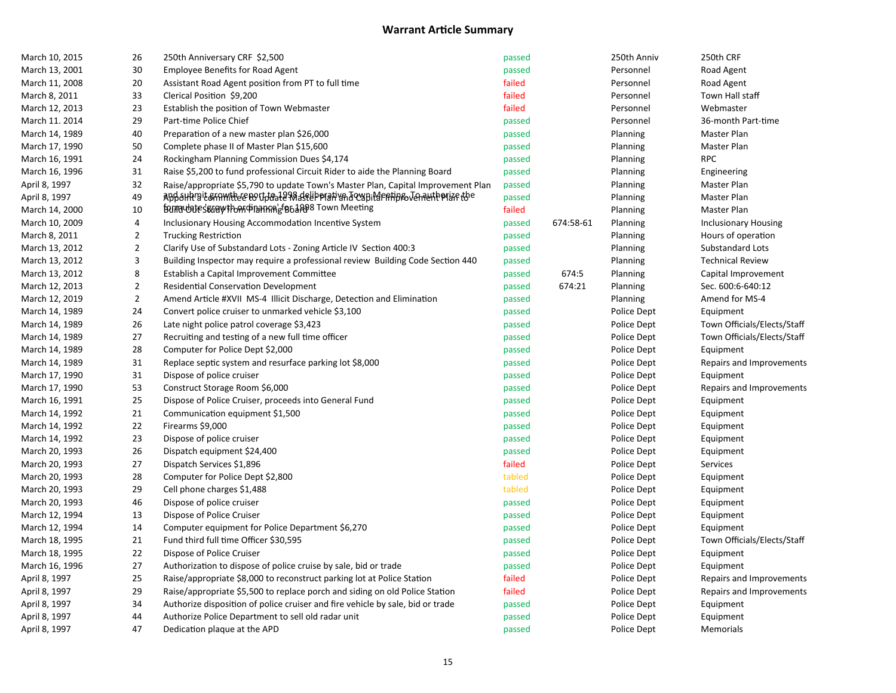| March 10, 2015 | 26             | 250th Anniversary CRF \$2,500                                                                                  | passed |           | 250th Anniv | 250th CRF                   |
|----------------|----------------|----------------------------------------------------------------------------------------------------------------|--------|-----------|-------------|-----------------------------|
| March 13, 2001 | 30             | <b>Employee Benefits for Road Agent</b>                                                                        | passed |           | Personnel   | Road Agent                  |
| March 11, 2008 | 20             | Assistant Road Agent position from PT to full time                                                             | failed |           | Personnel   | Road Agent                  |
| March 8, 2011  | 33             | Clerical Position \$9,200                                                                                      | failed |           | Personnel   | Town Hall staff             |
| March 12, 2013 | 23             | Establish the position of Town Webmaster                                                                       | failed |           | Personnel   | Webmaster                   |
| March 11. 2014 | 29             | Part-time Police Chief                                                                                         | passed |           | Personnel   | 36-month Part-time          |
| March 14, 1989 | 40             | Preparation of a new master plan \$26,000                                                                      | passed |           | Planning    | Master Plan                 |
| March 17, 1990 | 50             | Complete phase II of Master Plan \$15,600                                                                      | passed |           | Planning    | Master Plan                 |
| March 16, 1991 | 24             | Rockingham Planning Commission Dues \$4,174                                                                    | passed |           | Planning    | <b>RPC</b>                  |
| March 16, 1996 | 31             | Raise \$5,200 to fund professional Circuit Rider to aide the Planning Board                                    | passed |           | Planning    | Engineering                 |
| April 8, 1997  | 32             | Raise/appropriate \$5,790 to update Town's Master Plan, Capital Improvement Plan                               | passed |           | Planning    | Master Plan                 |
| April 8, 1997  | 49             | appolitystem with the coupled of a selipping in the coupling of the appearance in the appearance in the appear | passed |           | Planning    | Master Plan                 |
| March 14, 2000 | 10             | formaubates sure with on the manger of a Band of the manufacture                                               | failed |           | Planning    | Master Plan                 |
| March 10, 2009 | 4              | Inclusionary Housing Accommodation Incentive System                                                            | passed | 674:58-61 | Planning    | <b>Inclusionary Housing</b> |
| March 8, 2011  | $\overline{2}$ | <b>Trucking Restriction</b>                                                                                    | passed |           | Planning    | Hours of operation          |
| March 13, 2012 | $\overline{2}$ | Clarify Use of Substandard Lots - Zoning Article IV Section 400:3                                              | passed |           | Planning    | Substandard Lots            |
| March 13, 2012 | 3              | Building Inspector may require a professional review Building Code Section 440                                 | passed |           | Planning    | <b>Technical Review</b>     |
| March 13, 2012 | 8              | Establish a Capital Improvement Committee                                                                      | passed | 674:5     | Planning    | Capital Improvement         |
| March 12, 2013 | $\mathbf 2$    | <b>Residential Conservation Development</b>                                                                    | passed | 674:21    | Planning    | Sec. 600:6-640:12           |
| March 12, 2019 | $\overline{2}$ | Amend Article #XVII MS-4 Illicit Discharge, Detection and Elimination                                          | passed |           | Planning    | Amend for MS-4              |
| March 14, 1989 | 24             | Convert police cruiser to unmarked vehicle \$3,100                                                             | passed |           | Police Dept | Equipment                   |
| March 14, 1989 | 26             | Late night police patrol coverage \$3,423                                                                      | passed |           | Police Dept | Town Officials/Elects/Staff |
| March 14, 1989 | 27             | Recruiting and testing of a new full time officer                                                              | passed |           | Police Dept | Town Officials/Elects/Staff |
| March 14, 1989 | 28             | Computer for Police Dept \$2,000                                                                               | passed |           | Police Dept | Equipment                   |
| March 14, 1989 | 31             | Replace septic system and resurface parking lot \$8,000                                                        | passed |           | Police Dept | Repairs and Improvements    |
| March 17, 1990 | 31             | Dispose of police cruiser                                                                                      | passed |           | Police Dept | Equipment                   |
| March 17, 1990 | 53             | Construct Storage Room \$6,000                                                                                 | passed |           | Police Dept | Repairs and Improvements    |
| March 16, 1991 | 25             | Dispose of Police Cruiser, proceeds into General Fund                                                          | passed |           | Police Dept | Equipment                   |
| March 14, 1992 | 21             | Communication equipment \$1,500                                                                                | passed |           | Police Dept | Equipment                   |
| March 14, 1992 | 22             | Firearms \$9,000                                                                                               | passed |           | Police Dept | Equipment                   |
| March 14, 1992 | 23             | Dispose of police cruiser                                                                                      | passed |           | Police Dept | Equipment                   |
| March 20, 1993 | 26             | Dispatch equipment \$24,400                                                                                    | passed |           | Police Dept | Equipment                   |
| March 20, 1993 | 27             | Dispatch Services \$1,896                                                                                      | failed |           | Police Dept | <b>Services</b>             |
| March 20, 1993 | 28             | Computer for Police Dept \$2,800                                                                               | tabled |           | Police Dept | Equipment                   |
| March 20, 1993 | 29             | Cell phone charges \$1,488                                                                                     | tabled |           | Police Dept | Equipment                   |
| March 20, 1993 | 46             | Dispose of police cruiser                                                                                      | passed |           | Police Dept | Equipment                   |
| March 12, 1994 | 13             | Dispose of Police Cruiser                                                                                      | passed |           | Police Dept | Equipment                   |
| March 12, 1994 | 14             | Computer equipment for Police Department \$6,270                                                               | passed |           | Police Dept | Equipment                   |
| March 18, 1995 | 21             | Fund third full time Officer \$30,595                                                                          | passed |           | Police Dept | Town Officials/Elects/Staff |
| March 18, 1995 | 22             | Dispose of Police Cruiser                                                                                      | passed |           | Police Dept | Equipment                   |
| March 16, 1996 | 27             | Authorization to dispose of police cruise by sale, bid or trade                                                | passed |           | Police Dept | Equipment                   |
| April 8, 1997  | 25             | Raise/appropriate \$8,000 to reconstruct parking lot at Police Station                                         | failed |           | Police Dept | Repairs and Improvements    |
| April 8, 1997  | 29             | Raise/appropriate \$5,500 to replace porch and siding on old Police Station                                    | failed |           | Police Dept | Repairs and Improvements    |
| April 8, 1997  | 34             | Authorize disposition of police cruiser and fire vehicle by sale, bid or trade                                 | passed |           | Police Dept | Equipment                   |
| April 8, 1997  | 44             | Authorize Police Department to sell old radar unit                                                             | passed |           | Police Dept | Equipment                   |
| April 8, 1997  | 47             | Dedication plaque at the APD                                                                                   | passed |           | Police Dept | Memorials                   |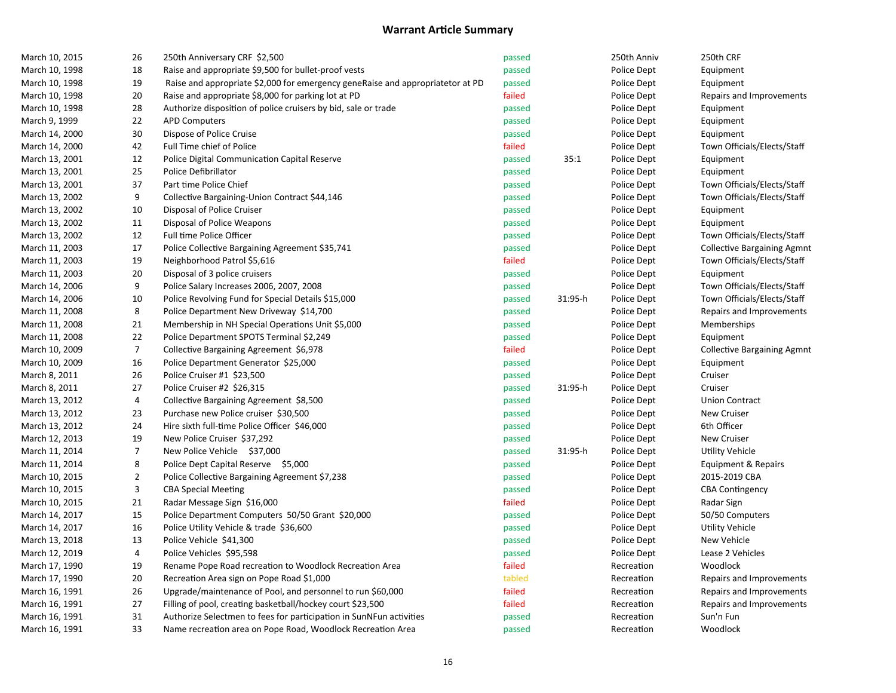| March 10, 2015 | 26             | 250th Anniversary CRF \$2,500                                                  | passed |         | 250th Anniv | 250th CRF                          |
|----------------|----------------|--------------------------------------------------------------------------------|--------|---------|-------------|------------------------------------|
| March 10, 1998 | 18             | Raise and appropriate \$9,500 for bullet-proof vests                           | passed |         | Police Dept | Equipment                          |
| March 10, 1998 | 19             | Raise and appropriate \$2,000 for emergency geneRaise and appropriatetor at PD | passed |         | Police Dept | Equipment                          |
| March 10, 1998 | 20             | Raise and appropriate \$8,000 for parking lot at PD                            | failed |         | Police Dept | Repairs and Improvements           |
| March 10, 1998 | 28             | Authorize disposition of police cruisers by bid, sale or trade                 | passed |         | Police Dept | Equipment                          |
| March 9, 1999  | 22             | <b>APD Computers</b>                                                           | passed |         | Police Dept | Equipment                          |
| March 14, 2000 | 30             | Dispose of Police Cruise                                                       | passed |         | Police Dept | Equipment                          |
| March 14, 2000 | 42             | Full Time chief of Police                                                      | failed |         | Police Dept | Town Officials/Elects/Staff        |
| March 13, 2001 | 12             | Police Digital Communication Capital Reserve                                   | passed | 35:1    | Police Dept | Equipment                          |
| March 13, 2001 | 25             | Police Defibrillator                                                           | passed |         | Police Dept | Equipment                          |
| March 13, 2001 | 37             | Part time Police Chief                                                         | passed |         | Police Dept | Town Officials/Elects/Staff        |
| March 13, 2002 | 9              | Collective Bargaining-Union Contract \$44,146                                  | passed |         | Police Dept | Town Officials/Elects/Staff        |
| March 13, 2002 | 10             | Disposal of Police Cruiser                                                     | passed |         | Police Dept | Equipment                          |
| March 13, 2002 | 11             | Disposal of Police Weapons                                                     | passed |         | Police Dept | Equipment                          |
| March 13, 2002 | 12             | Full time Police Officer                                                       | passed |         | Police Dept | Town Officials/Elects/Staff        |
| March 11, 2003 | 17             | Police Collective Bargaining Agreement \$35,741                                | passed |         | Police Dept | <b>Collective Bargaining Agmnt</b> |
| March 11, 2003 | 19             | Neighborhood Patrol \$5,616                                                    | failed |         | Police Dept | Town Officials/Elects/Staff        |
| March 11, 2003 | 20             | Disposal of 3 police cruisers                                                  | passed |         | Police Dept | Equipment                          |
| March 14, 2006 | 9              | Police Salary Increases 2006, 2007, 2008                                       | passed |         | Police Dept | Town Officials/Elects/Staff        |
| March 14, 2006 | 10             | Police Revolving Fund for Special Details \$15,000                             | passed | 31:95-h | Police Dept | Town Officials/Elects/Staff        |
| March 11, 2008 | 8              | Police Department New Driveway \$14,700                                        | passed |         | Police Dept | Repairs and Improvements           |
| March 11, 2008 | 21             | Membership in NH Special Operations Unit \$5,000                               | passed |         | Police Dept | Memberships                        |
| March 11, 2008 | 22             | Police Department SPOTS Terminal \$2,249                                       | passed |         | Police Dept | Equipment                          |
| March 10, 2009 | $\overline{7}$ | Collective Bargaining Agreement \$6,978                                        | failed |         | Police Dept | <b>Collective Bargaining Agmnt</b> |
| March 10, 2009 | 16             | Police Department Generator \$25,000                                           | passed |         | Police Dept | Equipment                          |
| March 8, 2011  | 26             | Police Cruiser #1 \$23,500                                                     | passed |         | Police Dept | Cruiser                            |
| March 8, 2011  | 27             | Police Cruiser #2 \$26,315                                                     | passed | 31:95-h | Police Dept | Cruiser                            |
| March 13, 2012 | 4              | Collective Bargaining Agreement \$8,500                                        | passed |         | Police Dept | <b>Union Contract</b>              |
| March 13, 2012 | 23             | Purchase new Police cruiser \$30,500                                           | passed |         | Police Dept | <b>New Cruiser</b>                 |
| March 13, 2012 | 24             | Hire sixth full-time Police Officer \$46,000                                   | passed |         | Police Dept | 6th Officer                        |
| March 12, 2013 | 19             | New Police Cruiser \$37,292                                                    | passed |         | Police Dept | New Cruiser                        |
| March 11, 2014 | 7              | New Police Vehicle \$37,000                                                    | passed | 31:95-h | Police Dept | Utility Vehicle                    |
| March 11, 2014 | 8              | Police Dept Capital Reserve \$5,000                                            | passed |         | Police Dept | Equipment & Repairs                |
| March 10, 2015 | $\mathbf{2}$   | Police Collective Bargaining Agreement \$7,238                                 | passed |         | Police Dept | 2015-2019 CBA                      |
| March 10, 2015 | 3              | <b>CBA Special Meeting</b>                                                     | passed |         | Police Dept | <b>CBA Contingency</b>             |
| March 10, 2015 | $21\,$         | Radar Message Sign \$16,000                                                    | failed |         | Police Dept | Radar Sign                         |
| March 14, 2017 | 15             | Police Department Computers 50/50 Grant \$20,000                               | passed |         | Police Dept | 50/50 Computers                    |
| March 14, 2017 | 16             | Police Utility Vehicle & trade \$36,600                                        | passed |         | Police Dept | <b>Utility Vehicle</b>             |
| March 13, 2018 | 13             | Police Vehicle \$41,300                                                        | passed |         | Police Dept | New Vehicle                        |
| March 12, 2019 | 4              | Police Vehicles \$95,598                                                       | passed |         | Police Dept | Lease 2 Vehicles                   |
| March 17, 1990 | 19             | Rename Pope Road recreation to Woodlock Recreation Area                        | failed |         | Recreation  | Woodlock                           |
| March 17, 1990 | 20             | Recreation Area sign on Pope Road \$1,000                                      | tabled |         | Recreation  | Repairs and Improvements           |
| March 16, 1991 | 26             | Upgrade/maintenance of Pool, and personnel to run \$60,000                     | failed |         | Recreation  | Repairs and Improvements           |
| March 16, 1991 | 27             | Filling of pool, creating basketball/hockey court \$23,500                     | failed |         | Recreation  | Repairs and Improvements           |
| March 16, 1991 | 31             | Authorize Selectmen to fees for participation in SunNFun activities            | passed |         | Recreation  | Sun'n Fun                          |
| March 16, 1991 | 33             | Name recreation area on Pope Road, Woodlock Recreation Area                    | passed |         | Recreation  | Woodlock                           |
|                |                |                                                                                |        |         |             |                                    |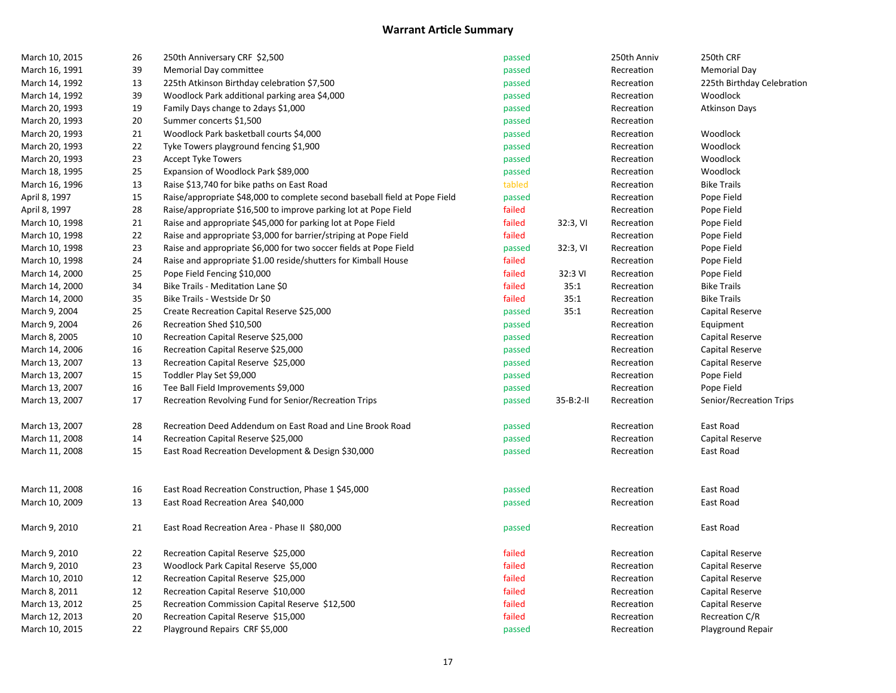| March 10, 2015 | 26 | 250th Anniversary CRF \$2,500                                              | passed |                | 250th Anniv | 250th CRF                  |
|----------------|----|----------------------------------------------------------------------------|--------|----------------|-------------|----------------------------|
| March 16, 1991 | 39 | Memorial Day committee                                                     | passed |                | Recreation  | Memorial Day               |
| March 14, 1992 | 13 | 225th Atkinson Birthday celebration \$7,500                                | passed |                | Recreation  | 225th Birthday Celebration |
| March 14, 1992 | 39 | Woodlock Park additional parking area \$4,000                              | passed |                | Recreation  | Woodlock                   |
| March 20, 1993 | 19 | Family Days change to 2days \$1,000                                        | passed |                | Recreation  | <b>Atkinson Days</b>       |
| March 20, 1993 | 20 | Summer concerts \$1,500                                                    | passed |                | Recreation  |                            |
| March 20, 1993 | 21 | Woodlock Park basketball courts \$4,000                                    | passed |                | Recreation  | Woodlock                   |
| March 20, 1993 | 22 | Tyke Towers playground fencing \$1,900                                     | passed |                | Recreation  | Woodlock                   |
| March 20, 1993 | 23 | <b>Accept Tyke Towers</b>                                                  | passed |                | Recreation  | Woodlock                   |
| March 18, 1995 | 25 | Expansion of Woodlock Park \$89,000                                        | passed |                | Recreation  | Woodlock                   |
| March 16, 1996 | 13 | Raise \$13,740 for bike paths on East Road                                 | tabled |                | Recreation  | <b>Bike Trails</b>         |
| April 8, 1997  | 15 | Raise/appropriate \$48,000 to complete second baseball field at Pope Field | passed |                | Recreation  | Pope Field                 |
| April 8, 1997  | 28 | Raise/appropriate \$16,500 to improve parking lot at Pope Field            | failed |                | Recreation  | Pope Field                 |
| March 10, 1998 | 21 | Raise and appropriate \$45,000 for parking lot at Pope Field               | failed | 32:3, VI       | Recreation  | Pope Field                 |
| March 10, 1998 | 22 | Raise and appropriate \$3,000 for barrier/striping at Pope Field           | failed |                | Recreation  | Pope Field                 |
| March 10, 1998 | 23 | Raise and appropriate \$6,000 for two soccer fields at Pope Field          | passed | 32:3, VI       | Recreation  | Pope Field                 |
| March 10, 1998 | 24 | Raise and appropriate \$1.00 reside/shutters for Kimball House             | failed |                | Recreation  | Pope Field                 |
| March 14, 2000 | 25 | Pope Field Fencing \$10,000                                                | failed | 32:3 VI        | Recreation  | Pope Field                 |
| March 14, 2000 | 34 | Bike Trails - Meditation Lane \$0                                          | failed | 35:1           | Recreation  | <b>Bike Trails</b>         |
| March 14, 2000 | 35 | Bike Trails - Westside Dr \$0                                              | failed | 35:1           | Recreation  | <b>Bike Trails</b>         |
| March 9, 2004  | 25 | Create Recreation Capital Reserve \$25,000                                 | passed | 35:1           | Recreation  | Capital Reserve            |
| March 9, 2004  | 26 | Recreation Shed \$10,500                                                   | passed |                | Recreation  | Equipment                  |
| March 8, 2005  | 10 | Recreation Capital Reserve \$25,000                                        | passed |                | Recreation  | Capital Reserve            |
| March 14, 2006 | 16 | Recreation Capital Reserve \$25,000                                        | passed |                | Recreation  | Capital Reserve            |
| March 13, 2007 | 13 | Recreation Capital Reserve \$25,000                                        | passed |                | Recreation  | Capital Reserve            |
| March 13, 2007 | 15 | Toddler Play Set \$9,000                                                   | passed |                | Recreation  | Pope Field                 |
| March 13, 2007 | 16 | Tee Ball Field Improvements \$9,000                                        | passed |                | Recreation  | Pope Field                 |
| March 13, 2007 | 17 | Recreation Revolving Fund for Senior/Recreation Trips                      | passed | $35 - B:2 - H$ | Recreation  | Senior/Recreation Trips    |
| March 13, 2007 | 28 | Recreation Deed Addendum on East Road and Line Brook Road                  | passed |                | Recreation  | East Road                  |
| March 11, 2008 | 14 | Recreation Capital Reserve \$25,000                                        | passed |                | Recreation  | Capital Reserve            |
| March 11, 2008 | 15 | East Road Recreation Development & Design \$30,000                         | passed |                | Recreation  | East Road                  |
| March 11, 2008 | 16 | East Road Recreation Construction, Phase 1 \$45,000                        | passed |                | Recreation  | East Road                  |
| March 10, 2009 | 13 | East Road Recreation Area \$40,000                                         | passed |                | Recreation  | East Road                  |
| March 9, 2010  | 21 | East Road Recreation Area - Phase II \$80,000                              | passed |                | Recreation  | East Road                  |
| March 9, 2010  | 22 | Recreation Capital Reserve \$25,000                                        | failed |                | Recreation  | Capital Reserve            |
| March 9, 2010  | 23 | Woodlock Park Capital Reserve \$5,000                                      | failed |                | Recreation  | Capital Reserve            |
| March 10, 2010 | 12 | Recreation Capital Reserve \$25,000                                        | failed |                | Recreation  | Capital Reserve            |
| March 8, 2011  | 12 | Recreation Capital Reserve \$10,000                                        | failed |                | Recreation  | Capital Reserve            |
| March 13, 2012 | 25 | Recreation Commission Capital Reserve \$12,500                             | failed |                | Recreation  | Capital Reserve            |
| March 12, 2013 | 20 | Recreation Capital Reserve \$15,000                                        | failed |                | Recreation  | Recreation C/R             |
| March 10, 2015 | 22 | Playground Repairs CRF \$5,000                                             | passed |                | Recreation  | Playground Repair          |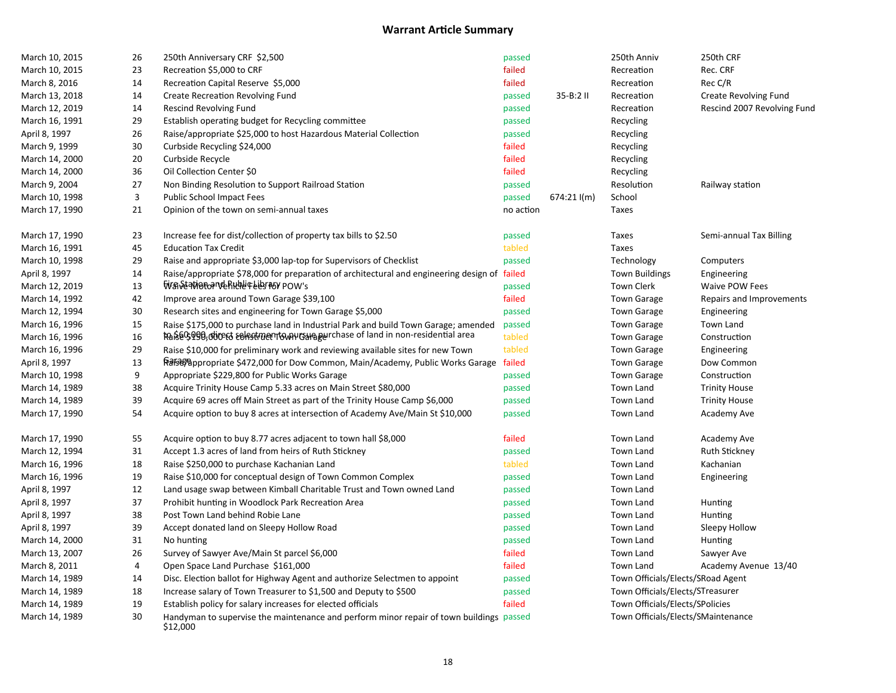| March 10, 2015 | 26 | 250th Anniversary CRF \$2,500                                                                       | passed    |               | 250th Anniv                        | 250th CRF                    |
|----------------|----|-----------------------------------------------------------------------------------------------------|-----------|---------------|------------------------------------|------------------------------|
| March 10, 2015 | 23 | Recreation \$5,000 to CRF                                                                           | failed    |               | Recreation                         | Rec. CRF                     |
| March 8, 2016  | 14 | Recreation Capital Reserve \$5,000                                                                  | failed    |               | Recreation                         | Rec C/R                      |
| March 13, 2018 | 14 | Create Recreation Revolving Fund                                                                    | passed    | 35-B:2 II     | Recreation                         | <b>Create Revolving Fund</b> |
| March 12, 2019 | 14 | Rescind Revolving Fund                                                                              | passed    |               | Recreation                         | Rescind 2007 Revolving Fund  |
| March 16, 1991 | 29 | Establish operating budget for Recycling committee                                                  | passed    |               | Recycling                          |                              |
| April 8, 1997  | 26 | Raise/appropriate \$25,000 to host Hazardous Material Collection                                    | passed    |               | Recycling                          |                              |
| March 9, 1999  | 30 | Curbside Recycling \$24,000                                                                         | failed    |               | Recycling                          |                              |
| March 14, 2000 | 20 | Curbside Recycle                                                                                    | failed    |               | Recycling                          |                              |
| March 14, 2000 | 36 | Oil Collection Center \$0                                                                           | failed    |               | Recycling                          |                              |
| March 9, 2004  | 27 | Non Binding Resolution to Support Railroad Station                                                  | passed    |               | Resolution                         | Railway station              |
| March 10, 1998 | 3  | <b>Public School Impact Fees</b>                                                                    | passed    | $674:21$ l(m) | School                             |                              |
| March 17, 1990 | 21 | Opinion of the town on semi-annual taxes                                                            | no action |               | Taxes                              |                              |
| March 17, 1990 | 23 | Increase fee for dist/collection of property tax bills to \$2.50                                    | passed    |               | Taxes                              | Semi-annual Tax Billing      |
| March 16, 1991 | 45 | <b>Education Tax Credit</b>                                                                         | tabled    |               | Taxes                              |                              |
| March 10, 1998 | 29 | Raise and appropriate \$3,000 lap-top for Supervisors of Checklist                                  | passed    |               | Technology                         | Computers                    |
| April 8, 1997  | 14 | Raise/appropriate \$78,000 for preparation of architectural and engineering design of               | failed    |               | <b>Town Buildings</b>              | Engineering                  |
| March 12, 2019 | 13 | Fürst Station on verklubber bibrasy POW's                                                           | passed    |               | <b>Town Clerk</b>                  | Waive POW Fees               |
| March 14, 1992 | 42 | Improve area around Town Garage \$39,100                                                            | failed    |               | <b>Town Garage</b>                 | Repairs and Improvements     |
| March 12, 1994 | 30 | Research sites and engineering for Town Garage \$5,000                                              | passed    |               | <b>Town Garage</b>                 | Engineering                  |
| March 16, 1996 | 15 | Raise \$175,000 to purchase land in Industrial Park and build Town Garage; amended                  | passed    |               | <b>Town Garage</b>                 | Town Land                    |
| March 16, 1996 | 16 | RaneG990, object selectment computely applicance of land in non-residential area                    | tabled    |               | <b>Town Garage</b>                 | Construction                 |
| March 16, 1996 | 29 | Raise \$10,000 for preliminary work and reviewing available sites for new Town                      | tabled    |               | <b>Town Garage</b>                 | Engineering                  |
| April 8, 1997  | 13 | Ralse Bappropriate \$472,000 for Dow Common, Main/Academy, Public Works Garage                      | failed    |               | <b>Town Garage</b>                 | Dow Common                   |
| March 10, 1998 | 9  | Appropriate \$229,800 for Public Works Garage                                                       | passed    |               | <b>Town Garage</b>                 | Construction                 |
| March 14, 1989 | 38 | Acquire Trinity House Camp 5.33 acres on Main Street \$80,000                                       | passed    |               | Town Land                          | <b>Trinity House</b>         |
| March 14, 1989 | 39 | Acquire 69 acres off Main Street as part of the Trinity House Camp \$6,000                          | passed    |               | Town Land                          | <b>Trinity House</b>         |
| March 17, 1990 | 54 | Acquire option to buy 8 acres at intersection of Academy Ave/Main St \$10,000                       | passed    |               | Town Land                          | Academy Ave                  |
| March 17, 1990 | 55 | Acquire option to buy 8.77 acres adjacent to town hall \$8,000                                      | failed    |               | <b>Town Land</b>                   | Academy Ave                  |
| March 12, 1994 | 31 | Accept 1.3 acres of land from heirs of Ruth Stickney                                                | passed    |               | Town Land                          | <b>Ruth Stickney</b>         |
| March 16, 1996 | 18 | Raise \$250,000 to purchase Kachanian Land                                                          | tabled    |               | <b>Town Land</b>                   | Kachanian                    |
| March 16, 1996 | 19 | Raise \$10,000 for conceptual design of Town Common Complex                                         | passed    |               | Town Land                          | Engineering                  |
| April 8, 1997  | 12 | Land usage swap between Kimball Charitable Trust and Town owned Land                                | passed    |               | <b>Town Land</b>                   |                              |
| April 8, 1997  | 37 | Prohibit hunting in Woodlock Park Recreation Area                                                   | passed    |               | <b>Town Land</b>                   | Hunting                      |
| April 8, 1997  | 38 | Post Town Land behind Robie Lane                                                                    | passed    |               | Town Land                          | Hunting                      |
| April 8, 1997  | 39 | Accept donated land on Sleepy Hollow Road                                                           | passed    |               | Town Land                          | Sleepy Hollow                |
| March 14, 2000 | 31 | No hunting                                                                                          | passed    |               | <b>Town Land</b>                   | Hunting                      |
| March 13, 2007 | 26 | Survey of Sawyer Ave/Main St parcel \$6,000                                                         | failed    |               | <b>Town Land</b>                   | Sawyer Ave                   |
| March 8, 2011  | 4  | Open Space Land Purchase \$161,000                                                                  | failed    |               | <b>Town Land</b>                   | Academy Avenue 13/40         |
| March 14, 1989 | 14 | Disc. Election ballot for Highway Agent and authorize Selectmen to appoint                          | passed    |               | Town Officials/Elects/SRoad Agent  |                              |
| March 14, 1989 | 18 | Increase salary of Town Treasurer to \$1,500 and Deputy to \$500                                    | passed    |               | Town Officials/Elects/STreasurer   |                              |
| March 14, 1989 | 19 | Establish policy for salary increases for elected officials                                         | failed    |               | Town Officials/Elects/SPolicies    |                              |
| March 14, 1989 | 30 | Handyman to supervise the maintenance and perform minor repair of town buildings passed<br>\$12,000 |           |               | Town Officials/Elects/SMaintenance |                              |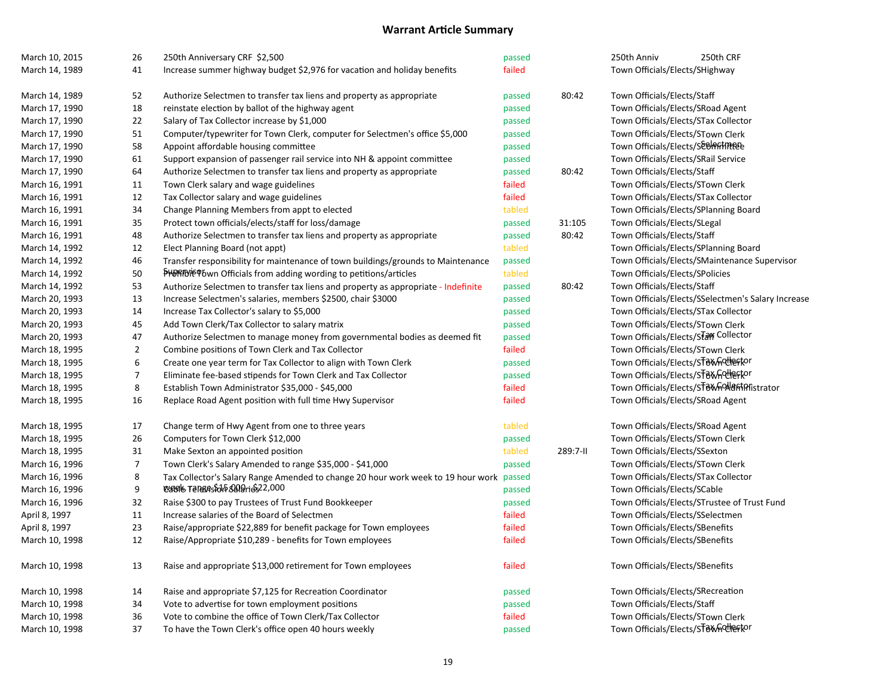| March 10, 2015 | 26                       | 250th Anniversary CRF \$2,500                                                      | passed |          | 250th Anniv<br>250th CRF                           |
|----------------|--------------------------|------------------------------------------------------------------------------------|--------|----------|----------------------------------------------------|
| March 14, 1989 | 41                       | Increase summer highway budget \$2,976 for vacation and holiday benefits           | failed |          | Town Officials/Elects/SHighway                     |
| March 14, 1989 | 52                       | Authorize Selectmen to transfer tax liens and property as appropriate              | passed | 80:42    | Town Officials/Elects/Staff                        |
| March 17, 1990 | 18                       | reinstate election by ballot of the highway agent                                  | passed |          | Town Officials/Elects/SRoad Agent                  |
| March 17, 1990 | 22                       | Salary of Tax Collector increase by \$1,000                                        | passed |          | Town Officials/Elects/STax Collector               |
| March 17, 1990 | 51                       | Computer/typewriter for Town Clerk, computer for Selectmen's office \$5,000        | passed |          | Town Officials/Elects/STown Clerk                  |
| March 17, 1990 | 58                       | Appoint affordable housing committee                                               | passed |          | Town Officials/Elects/SeeRiffiteEe                 |
| March 17, 1990 | 61                       | Support expansion of passenger rail service into NH & appoint committee            | passed |          | Town Officials/Elects/SRail Service                |
| March 17, 1990 | 64                       | Authorize Selectmen to transfer tax liens and property as appropriate              | passed | 80:42    | Town Officials/Elects/Staff                        |
| March 16, 1991 | 11                       | Town Clerk salary and wage guidelines                                              | failed |          | Town Officials/Elects/STown Clerk                  |
| March 16, 1991 | 12                       | Tax Collector salary and wage guidelines                                           | failed |          | Town Officials/Elects/STax Collector               |
| March 16, 1991 | 34                       | Change Planning Members from appt to elected                                       | tabled |          | Town Officials/Elects/SPlanning Board              |
| March 16, 1991 | 35                       | Protect town officials/elects/staff for loss/damage                                | passed | 31:105   | Town Officials/Elects/SLegal                       |
| March 16, 1991 | 48                       | Authorize Selectmen to transfer tax liens and property as appropriate              | passed | 80:42    | Town Officials/Elects/Staff                        |
| March 14, 1992 | 12                       | Elect Planning Board (not appt)                                                    | tabled |          | Town Officials/Elects/SPlanning Board              |
| March 14, 1992 | 46                       | Transfer responsibility for maintenance of town buildings/grounds to Maintenance   | passed |          | Town Officials/Elects/SMaintenance Supervisor      |
| March 14, 1992 | 50                       | PHORTINIE P6wn Officials from adding wording to petitions/articles                 | tabled |          | Town Officials/Elects/SPolicies                    |
| March 14, 1992 | 53                       | Authorize Selectmen to transfer tax liens and property as appropriate - Indefinite | passed | 80:42    | Town Officials/Elects/Staff                        |
| March 20, 1993 | 13                       | Increase Selectmen's salaries, members \$2500, chair \$3000                        | passed |          | Town Officials/Elects/SSelectmen's Salary Increase |
| March 20, 1993 | 14                       | Increase Tax Collector's salary to \$5,000                                         | passed |          | Town Officials/Elects/STax Collector               |
| March 20, 1993 | 45                       | Add Town Clerk/Tax Collector to salary matrix                                      | passed |          | Town Officials/Elects/STown Clerk                  |
| March 20, 1993 | 47                       | Authorize Selectmen to manage money from governmental bodies as deemed fit         | passed |          | Town Officials/Elects/STarr Collector              |
| March 18, 1995 | $\overline{2}$           | Combine positions of Town Clerk and Tax Collector                                  | failed |          | Town Officials/Elects/STown Clerk                  |
| March 18, 1995 | 6                        | Create one year term for Tax Collector to align with Town Clerk                    | passed |          | Town Officials/Elects/ST8Xndlertor                 |
| March 18, 1995 | $\overline{\mathcal{I}}$ | Eliminate fee-based stipends for Town Clerk and Tax Collector                      | passed |          | Town Officials/Elects/ST8WhOUeFtor                 |
| March 18, 1995 | 8                        | Establish Town Administrator \$35,000 - \$45,000                                   | failed |          | Town Officials/Elects/ST8XYn9N8fhPfistrator        |
| March 18, 1995 | 16                       | Replace Road Agent position with full time Hwy Supervisor                          | failed |          | Town Officials/Elects/SRoad Agent                  |
| March 18, 1995 | 17                       | Change term of Hwy Agent from one to three years                                   | tabled |          | Town Officials/Elects/SRoad Agent                  |
| March 18, 1995 | 26                       | Computers for Town Clerk \$12,000                                                  | passed |          | Town Officials/Elects/STown Clerk                  |
| March 18, 1995 | 31                       | Make Sexton an appointed position                                                  | tabled | 289:7-11 | Town Officials/Elects/SSexton                      |
| March 16, 1996 | $\overline{7}$           | Town Clerk's Salary Amended to range \$35,000 - \$41,000                           | passed |          | Town Officials/Elects/STown Clerk                  |
| March 16, 1996 | 8                        | Tax Collector's Salary Range Amended to change 20 hour work week to 19 hour work   | passed |          | Town Officials/Elects/STax Collector               |
| March 16, 1996 | 9                        | <b>USBS &amp; TENSAS SAGE SERVERS</b> 2,000                                        | passed |          | Town Officials/Elects/SCable                       |
| March 16, 1996 | 32                       | Raise \$300 to pay Trustees of Trust Fund Bookkeeper                               | passed |          | Town Officials/Elects/STrustee of Trust Fund       |
| April 8, 1997  | 11                       | Increase salaries of the Board of Selectmen                                        | failed |          | Town Officials/Elects/SSelectmen                   |
| April 8, 1997  | 23                       | Raise/appropriate \$22,889 for benefit package for Town employees                  | failed |          | Town Officials/Elects/SBenefits                    |
| March 10, 1998 | 12                       | Raise/Appropriate \$10,289 - benefits for Town employees                           | failed |          | Town Officials/Elects/SBenefits                    |
| March 10, 1998 | 13                       | Raise and appropriate \$13,000 retirement for Town employees                       | failed |          | Town Officials/Elects/SBenefits                    |
| March 10, 1998 | 14                       | Raise and appropriate \$7,125 for Recreation Coordinator                           | passed |          | Town Officials/Elects/SRecreation                  |
| March 10, 1998 | 34                       | Vote to advertise for town employment positions                                    | passed |          | Town Officials/Elects/Staff                        |
| March 10, 1998 | 36                       | Vote to combine the office of Town Clerk/Tax Collector                             | failed |          | Town Officials/Elects/STown Clerk                  |
| March 10, 1998 | 37                       | To have the Town Clerk's office open 40 hours weekly                               | passed |          | Town Officials/Elects/ST8XnQUertor                 |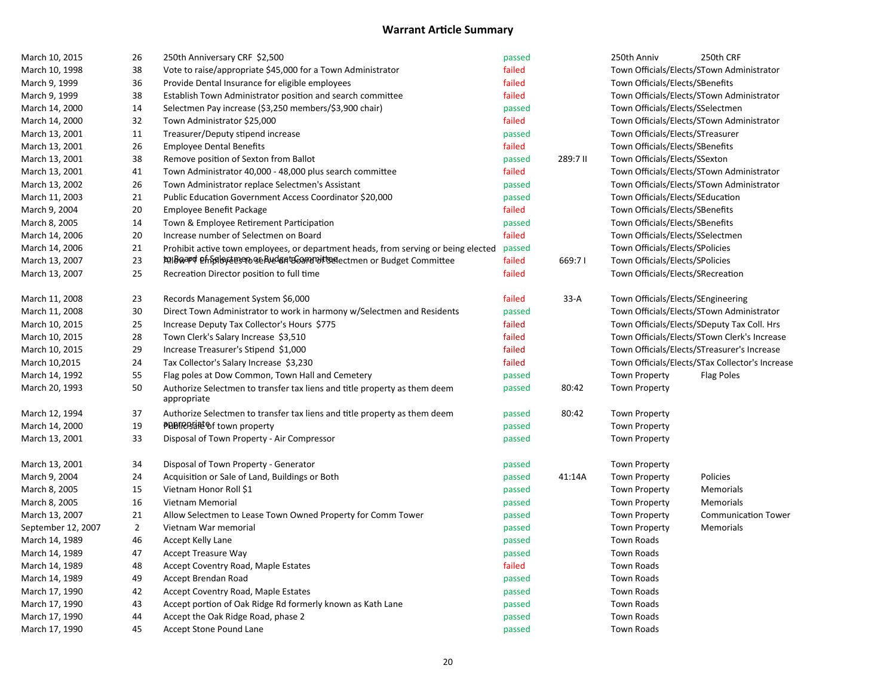| March 10, 2015     | 26             | 250th Anniversary CRF \$2,500                                                      | passed |          | 250th Anniv                        | 250th CRF                                       |
|--------------------|----------------|------------------------------------------------------------------------------------|--------|----------|------------------------------------|-------------------------------------------------|
| March 10, 1998     | 38             | Vote to raise/appropriate \$45,000 for a Town Administrator                        | failed |          |                                    | Town Officials/Elects/STown Administrator       |
| March 9, 1999      | 36             | Provide Dental Insurance for eligible employees                                    | failed |          | Town Officials/Elects/SBenefits    |                                                 |
| March 9, 1999      | 38             | Establish Town Administrator position and search committee                         | failed |          |                                    | Town Officials/Elects/STown Administrator       |
| March 14, 2000     | 14             | Selectmen Pay increase (\$3,250 members/\$3,900 chair)                             | passed |          | Town Officials/Elects/SSelectmen   |                                                 |
| March 14, 2000     | 32             | Town Administrator \$25,000                                                        | failed |          |                                    | Town Officials/Elects/STown Administrator       |
| March 13, 2001     | 11             | Treasurer/Deputy stipend increase                                                  | passed |          | Town Officials/Elects/STreasurer   |                                                 |
| March 13, 2001     | 26             | <b>Employee Dental Benefits</b>                                                    | failed |          | Town Officials/Elects/SBenefits    |                                                 |
| March 13, 2001     | 38             | Remove position of Sexton from Ballot                                              | passed | 289:7 II | Town Officials/Elects/SSexton      |                                                 |
| March 13, 2001     | 41             | Town Administrator 40,000 - 48,000 plus search committee                           | failed |          |                                    | Town Officials/Elects/STown Administrator       |
| March 13, 2002     | 26             | Town Administrator replace Selectmen's Assistant                                   | passed |          |                                    | Town Officials/Elects/STown Administrator       |
| March 11, 2003     | 21             | Public Education Government Access Coordinator \$20,000                            | passed |          | Town Officials/Elects/SEducation   |                                                 |
| March 9, 2004      | 20             | Employee Benefit Package                                                           | failed |          | Town Officials/Elects/SBenefits    |                                                 |
| March 8, 2005      | 14             | Town & Employee Retirement Participation                                           | passed |          | Town Officials/Elects/SBenefits    |                                                 |
| March 14, 2006     | 20             | Increase number of Selectmen on Board                                              | failed |          | Town Officials/Elects/SSelectmen   |                                                 |
| March 14, 2006     | 21             | Prohibit active town employees, or department heads, from serving or being elected | passed |          | Town Officials/Elects/SPolicies    |                                                 |
| March 13, 2007     | 23             | <b>tolboard Phisioceners</b> of Publisht Committee                                 | failed | 669:71   | Town Officials/Elects/SPolicies    |                                                 |
| March 13, 2007     | 25             | Recreation Director position to full time                                          | failed |          | Town Officials/Elects/SRecreation  |                                                 |
| March 11, 2008     | 23             | Records Management System \$6,000                                                  | failed | $33-A$   | Town Officials/Elects/SEngineering |                                                 |
| March 11, 2008     | 30             | Direct Town Administrator to work in harmony w/Selectmen and Residents             | passed |          |                                    | Town Officials/Elects/STown Administrator       |
| March 10, 2015     | 25             | Increase Deputy Tax Collector's Hours \$775                                        | failed |          |                                    | Town Officials/Elects/SDeputy Tax Coll. Hrs     |
| March 10, 2015     | 28             | Town Clerk's Salary Increase \$3,510                                               | failed |          |                                    | Town Officials/Elects/STown Clerk's Increase    |
| March 10, 2015     | 29             | Increase Treasurer's Stipend \$1,000                                               | failed |          |                                    | Town Officials/Elects/STreasurer's Increase     |
| March 10,2015      | 24             | Tax Collector's Salary Increase \$3,230                                            | failed |          |                                    | Town Officials/Elects/STax Collector's Increase |
| March 14, 1992     | 55             | Flag poles at Dow Common, Town Hall and Cemetery                                   | passed |          | <b>Town Property</b>               | <b>Flag Poles</b>                               |
| March 20, 1993     | 50             | Authorize Selectmen to transfer tax liens and title property as them deem          | passed | 80:42    | <b>Town Property</b>               |                                                 |
|                    |                | appropriate                                                                        |        |          |                                    |                                                 |
| March 12, 1994     | 37             | Authorize Selectmen to transfer tax liens and title property as them deem          | passed | 80:42    | <b>Town Property</b>               |                                                 |
| March 14, 2000     | 19             | <b>PBBIRBEi</b> ef town property                                                   | passed |          | <b>Town Property</b>               |                                                 |
| March 13, 2001     | 33             | Disposal of Town Property - Air Compressor                                         | passed |          | <b>Town Property</b>               |                                                 |
| March 13, 2001     | 34             | Disposal of Town Property - Generator                                              | passed |          | <b>Town Property</b>               |                                                 |
| March 9, 2004      | 24             | Acquisition or Sale of Land, Buildings or Both                                     | passed | 41:14A   | <b>Town Property</b>               | Policies                                        |
| March 8, 2005      | 15             | Vietnam Honor Roll \$1                                                             | passed |          | <b>Town Property</b>               | Memorials                                       |
| March 8, 2005      | 16             | Vietnam Memorial                                                                   | passed |          | <b>Town Property</b>               | Memorials                                       |
| March 13, 2007     | 21             | Allow Selectmen to Lease Town Owned Property for Comm Tower                        | passed |          | <b>Town Property</b>               | <b>Communication Tower</b>                      |
| September 12, 2007 | $\overline{2}$ | Vietnam War memorial                                                               | passed |          | <b>Town Property</b>               | Memorials                                       |
| March 14, 1989     | 46             | Accept Kelly Lane                                                                  | passed |          | <b>Town Roads</b>                  |                                                 |
| March 14, 1989     | 47             | <b>Accept Treasure Way</b>                                                         | passed |          | <b>Town Roads</b>                  |                                                 |
| March 14, 1989     | 48             | Accept Coventry Road, Maple Estates                                                | failed |          | <b>Town Roads</b>                  |                                                 |
| March 14, 1989     | 49             | Accept Brendan Road                                                                | passed |          | <b>Town Roads</b>                  |                                                 |
| March 17, 1990     | 42             | Accept Coventry Road, Maple Estates                                                | passed |          | <b>Town Roads</b>                  |                                                 |
| March 17, 1990     | 43             | Accept portion of Oak Ridge Rd formerly known as Kath Lane                         | passed |          | <b>Town Roads</b>                  |                                                 |
| March 17, 1990     | 44             | Accept the Oak Ridge Road, phase 2                                                 | passed |          | <b>Town Roads</b>                  |                                                 |
| March 17, 1990     | 45             | Accept Stone Pound Lane                                                            | passed |          | <b>Town Roads</b>                  |                                                 |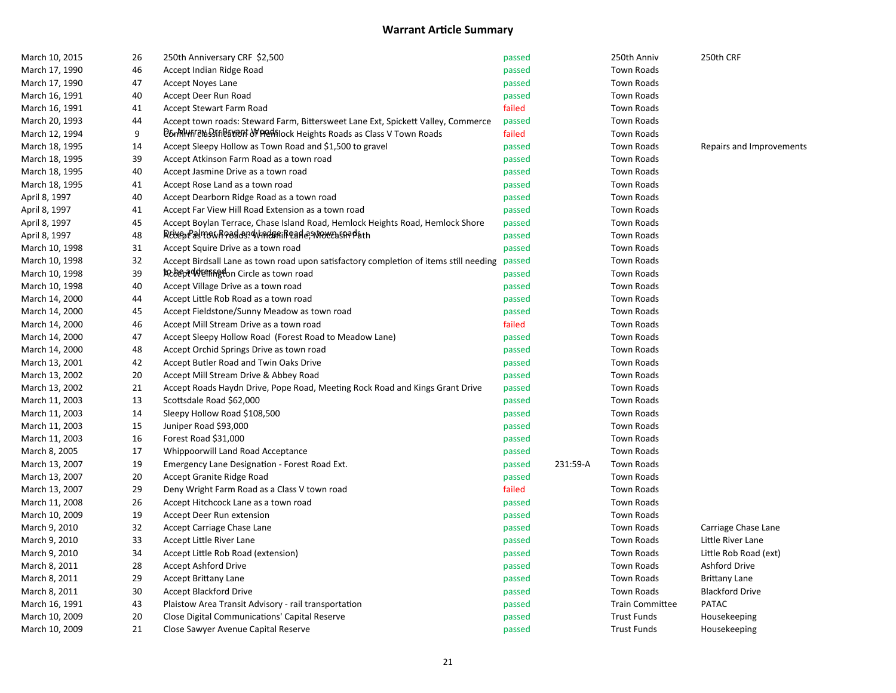| March 10, 2015 | 26 | 250th Anniversary CRF \$2,500                                                         | passed |          | 250th Anniv            | 250th CRF                |
|----------------|----|---------------------------------------------------------------------------------------|--------|----------|------------------------|--------------------------|
| March 17, 1990 | 46 | Accept Indian Ridge Road                                                              | passed |          | <b>Town Roads</b>      |                          |
| March 17, 1990 | 47 | Accept Noyes Lane                                                                     | passed |          | <b>Town Roads</b>      |                          |
| March 16, 1991 | 40 | Accept Deer Run Road                                                                  | passed |          | <b>Town Roads</b>      |                          |
| March 16, 1991 | 41 | Accept Stewart Farm Road                                                              | failed |          | <b>Town Roads</b>      |                          |
| March 20, 1993 | 44 | Accept town roads: Steward Farm, Bittersweet Lane Ext, Spickett Valley, Commerce      | passed |          | <b>Town Roads</b>      |                          |
| March 12, 1994 | 9  | B6nMHHFelaSSIfiBaYRON OF PRENTIOCK Heights Roads as Class V Town Roads                | failed |          | <b>Town Roads</b>      |                          |
| March 18, 1995 | 14 | Accept Sleepy Hollow as Town Road and \$1,500 to gravel                               | passed |          | <b>Town Roads</b>      | Repairs and Improvements |
| March 18, 1995 | 39 | Accept Atkinson Farm Road as a town road                                              | passed |          | <b>Town Roads</b>      |                          |
| March 18, 1995 | 40 | Accept Jasmine Drive as a town road                                                   | passed |          | Town Roads             |                          |
| March 18, 1995 | 41 | Accept Rose Land as a town road                                                       | passed |          | Town Roads             |                          |
| April 8, 1997  | 40 | Accept Dearborn Ridge Road as a town road                                             | passed |          | <b>Town Roads</b>      |                          |
| April 8, 1997  | 41 | Accept Far View Hill Road Extension as a town road                                    | passed |          | <b>Town Roads</b>      |                          |
| April 8, 1997  | 45 | Accept Boylan Terrace, Chase Island Road, Hemlock Heights Road, Hemlock Shore         | passed |          | <b>Town Roads</b>      |                          |
| April 8, 1997  | 48 | RELGotPastRowRoad&B?WARdBRiRQaA@S\MOWEbSQRP&th                                        | passed |          | <b>Town Roads</b>      |                          |
| March 10, 1998 | 31 | Accept Squire Drive as a town road                                                    | passed |          | <b>Town Roads</b>      |                          |
| March 10, 1998 | 32 | Accept Birdsall Lane as town road upon satisfactory completion of items still needing | passed |          | <b>Town Roads</b>      |                          |
| March 10, 1998 | 39 | <b>KceepeddeenRedon Circle as town road</b>                                           | passed |          | <b>Town Roads</b>      |                          |
| March 10, 1998 | 40 | Accept Village Drive as a town road                                                   | passed |          | <b>Town Roads</b>      |                          |
| March 14, 2000 | 44 | Accept Little Rob Road as a town road                                                 | passed |          | <b>Town Roads</b>      |                          |
| March 14, 2000 | 45 | Accept Fieldstone/Sunny Meadow as town road                                           | passed |          | <b>Town Roads</b>      |                          |
| March 14, 2000 | 46 | Accept Mill Stream Drive as a town road                                               | failed |          | <b>Town Roads</b>      |                          |
| March 14, 2000 | 47 | Accept Sleepy Hollow Road (Forest Road to Meadow Lane)                                | passed |          | <b>Town Roads</b>      |                          |
| March 14, 2000 | 48 | Accept Orchid Springs Drive as town road                                              | passed |          | <b>Town Roads</b>      |                          |
| March 13, 2001 | 42 | Accept Butler Road and Twin Oaks Drive                                                | passed |          | Town Roads             |                          |
| March 13, 2002 | 20 | Accept Mill Stream Drive & Abbey Road                                                 | passed |          | <b>Town Roads</b>      |                          |
| March 13, 2002 | 21 | Accept Roads Haydn Drive, Pope Road, Meeting Rock Road and Kings Grant Drive          | passed |          | Town Roads             |                          |
| March 11, 2003 | 13 | Scottsdale Road \$62,000                                                              | passed |          | <b>Town Roads</b>      |                          |
| March 11, 2003 | 14 | Sleepy Hollow Road \$108,500                                                          | passed |          | <b>Town Roads</b>      |                          |
| March 11, 2003 | 15 | Juniper Road \$93,000                                                                 | passed |          | <b>Town Roads</b>      |                          |
| March 11, 2003 | 16 | Forest Road \$31,000                                                                  | passed |          | <b>Town Roads</b>      |                          |
| March 8, 2005  | 17 | Whippoorwill Land Road Acceptance                                                     | passed |          | <b>Town Roads</b>      |                          |
| March 13, 2007 | 19 | Emergency Lane Designation - Forest Road Ext.                                         | passed | 231:59-A | Town Roads             |                          |
| March 13, 2007 | 20 | Accept Granite Ridge Road                                                             | passed |          | <b>Town Roads</b>      |                          |
| March 13, 2007 | 29 | Deny Wright Farm Road as a Class V town road                                          | failed |          | <b>Town Roads</b>      |                          |
| March 11, 2008 | 26 | Accept Hitchcock Lane as a town road                                                  | passed |          | <b>Town Roads</b>      |                          |
| March 10, 2009 | 19 | Accept Deer Run extension                                                             | passed |          | <b>Town Roads</b>      |                          |
| March 9, 2010  | 32 | Accept Carriage Chase Lane                                                            | passed |          | <b>Town Roads</b>      | Carriage Chase Lane      |
| March 9, 2010  | 33 | Accept Little River Lane                                                              | passed |          | <b>Town Roads</b>      | Little River Lane        |
| March 9, 2010  | 34 | Accept Little Rob Road (extension)                                                    | passed |          | <b>Town Roads</b>      | Little Rob Road (ext)    |
| March 8, 2011  | 28 | <b>Accept Ashford Drive</b>                                                           | passed |          | <b>Town Roads</b>      | <b>Ashford Drive</b>     |
| March 8, 2011  | 29 | <b>Accept Brittany Lane</b>                                                           | passed |          | <b>Town Roads</b>      | <b>Brittany Lane</b>     |
| March 8, 2011  | 30 | Accept Blackford Drive                                                                | passed |          | <b>Town Roads</b>      | <b>Blackford Drive</b>   |
| March 16, 1991 | 43 | Plaistow Area Transit Advisory - rail transportation                                  | passed |          | <b>Train Committee</b> | <b>PATAC</b>             |
| March 10, 2009 | 20 | Close Digital Communications' Capital Reserve                                         | passed |          | <b>Trust Funds</b>     | Housekeeping             |
| March 10, 2009 | 21 | Close Sawyer Avenue Capital Reserve                                                   | passed |          | <b>Trust Funds</b>     | Housekeeping             |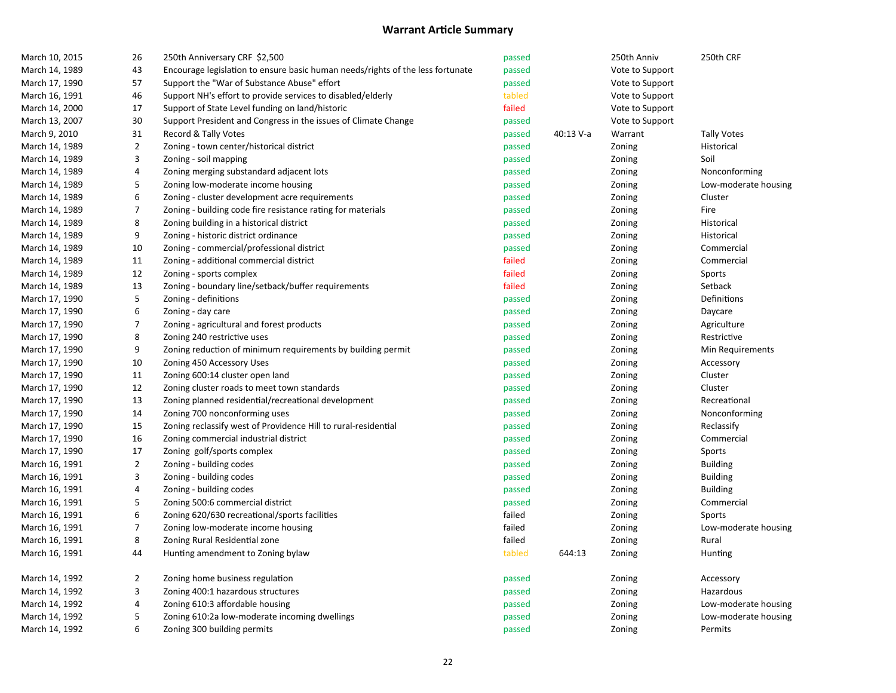| March 10, 2015 | 26               | 250th Anniversary CRF \$2,500                                                  | passed |           | 250th Anniv     | 250th CRF            |
|----------------|------------------|--------------------------------------------------------------------------------|--------|-----------|-----------------|----------------------|
| March 14, 1989 | 43               | Encourage legislation to ensure basic human needs/rights of the less fortunate | passed |           | Vote to Support |                      |
| March 17, 1990 | 57               | Support the "War of Substance Abuse" effort                                    | passed |           | Vote to Support |                      |
| March 16, 1991 | 46               | Support NH's effort to provide services to disabled/elderly                    | tabled |           | Vote to Support |                      |
| March 14, 2000 | 17               | Support of State Level funding on land/historic                                | failed |           | Vote to Support |                      |
| March 13, 2007 | 30               | Support President and Congress in the issues of Climate Change                 | passed |           | Vote to Support |                      |
| March 9, 2010  | 31               | Record & Tally Votes                                                           | passed | 40:13 V-a | Warrant         | <b>Tally Votes</b>   |
| March 14, 1989 | $\mathbf{2}$     | Zoning - town center/historical district                                       | passed |           | Zoning          | Historical           |
| March 14, 1989 | 3                | Zoning - soil mapping                                                          | passed |           | Zoning          | Soil                 |
| March 14, 1989 | 4                | Zoning merging substandard adjacent lots                                       | passed |           | Zoning          | Nonconforming        |
| March 14, 1989 | 5                | Zoning low-moderate income housing                                             | passed |           | Zoning          | Low-moderate housing |
| March 14, 1989 | 6                | Zoning - cluster development acre requirements                                 | passed |           | Zoning          | Cluster              |
| March 14, 1989 | $\boldsymbol{7}$ | Zoning - building code fire resistance rating for materials                    | passed |           | Zoning          | Fire                 |
| March 14, 1989 | 8                | Zoning building in a historical district                                       | passed |           | Zoning          | Historical           |
| March 14, 1989 | 9                | Zoning - historic district ordinance                                           | passed |           | Zoning          | Historical           |
| March 14, 1989 | 10               | Zoning - commercial/professional district                                      | passed |           | Zoning          | Commercial           |
| March 14, 1989 | 11               | Zoning - additional commercial district                                        | failed |           | Zoning          | Commercial           |
| March 14, 1989 | 12               | Zoning - sports complex                                                        | failed |           | Zoning          | Sports               |
| March 14, 1989 | 13               | Zoning - boundary line/setback/buffer requirements                             | failed |           | Zoning          | Setback              |
| March 17, 1990 | 5                | Zoning - definitions                                                           | passed |           | Zoning          | Definitions          |
| March 17, 1990 | 6                | Zoning - day care                                                              | passed |           | Zoning          | Daycare              |
| March 17, 1990 | 7                | Zoning - agricultural and forest products                                      | passed |           | Zoning          | Agriculture          |
| March 17, 1990 | 8                | Zoning 240 restrictive uses                                                    | passed |           | Zoning          | Restrictive          |
| March 17, 1990 | 9                | Zoning reduction of minimum requirements by building permit                    | passed |           | Zoning          | Min Requirements     |
| March 17, 1990 | 10               | Zoning 450 Accessory Uses                                                      | passed |           | Zoning          | Accessory            |
| March 17, 1990 | 11               | Zoning 600:14 cluster open land                                                | passed |           | Zoning          | Cluster              |
| March 17, 1990 | 12               | Zoning cluster roads to meet town standards                                    | passed |           | Zoning          | Cluster              |
| March 17, 1990 | 13               | Zoning planned residential/recreational development                            | passed |           | Zoning          | Recreational         |
| March 17, 1990 | 14               | Zoning 700 nonconforming uses                                                  | passed |           | Zoning          | Nonconforming        |
| March 17, 1990 | 15               | Zoning reclassify west of Providence Hill to rural-residential                 | passed |           | Zoning          | Reclassify           |
| March 17, 1990 | 16               | Zoning commercial industrial district                                          | passed |           | Zoning          | Commercial           |
| March 17, 1990 | 17               | Zoning golf/sports complex                                                     | passed |           | Zoning          | Sports               |
| March 16, 1991 | $\mathbf{2}$     | Zoning - building codes                                                        | passed |           | Zoning          | <b>Building</b>      |
| March 16, 1991 | 3                | Zoning - building codes                                                        | passed |           | Zoning          | <b>Building</b>      |
| March 16, 1991 | 4                | Zoning - building codes                                                        | passed |           | Zoning          | <b>Building</b>      |
| March 16, 1991 | 5                | Zoning 500:6 commercial district                                               | passed |           | Zoning          | Commercial           |
| March 16, 1991 | 6                | Zoning 620/630 recreational/sports facilities                                  | failed |           | Zoning          | Sports               |
| March 16, 1991 | $\boldsymbol{7}$ | Zoning low-moderate income housing                                             | failed |           | Zoning          | Low-moderate housing |
| March 16, 1991 | 8                | Zoning Rural Residential zone                                                  | failed |           | Zoning          | Rural                |
| March 16, 1991 | 44               | Hunting amendment to Zoning bylaw                                              | tabled | 644:13    | Zoning          | Hunting              |
| March 14, 1992 | $\mathbf{2}$     | Zoning home business regulation                                                | passed |           | Zoning          | Accessory            |
| March 14, 1992 | 3                | Zoning 400:1 hazardous structures                                              | passed |           | Zoning          | Hazardous            |
| March 14, 1992 | 4                | Zoning 610:3 affordable housing                                                | passed |           | Zoning          | Low-moderate housing |
| March 14, 1992 | 5                | Zoning 610:2a low-moderate incoming dwellings                                  | passed |           | Zoning          | Low-moderate housing |
| March 14, 1992 | 6                | Zoning 300 building permits                                                    | passed |           | Zoning          | Permits              |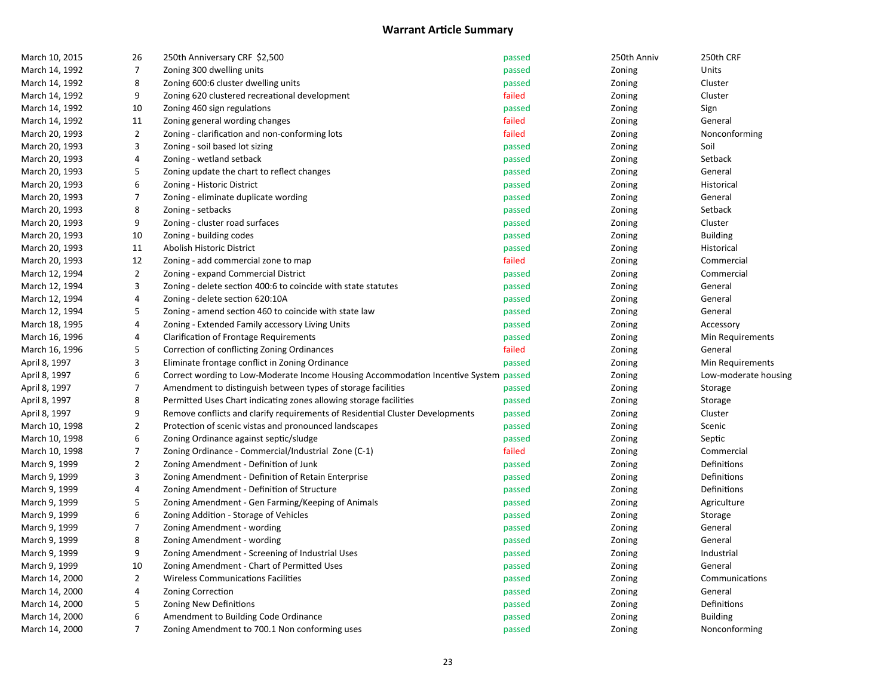| March 10, 2015 | 26               | 250th Anniversary CRF \$2,500                                                        | passed | 250th Anniv | 250th CRF            |
|----------------|------------------|--------------------------------------------------------------------------------------|--------|-------------|----------------------|
| March 14, 1992 | 7                | Zoning 300 dwelling units                                                            | passed | Zoning      | Units                |
| March 14, 1992 | 8                | Zoning 600:6 cluster dwelling units                                                  | passed | Zoning      | Cluster              |
| March 14, 1992 | 9                | Zoning 620 clustered recreational development                                        | failed | Zoning      | Cluster              |
| March 14, 1992 | 10               | Zoning 460 sign regulations                                                          | passed | Zoning      | Sign                 |
| March 14, 1992 | 11               | Zoning general wording changes                                                       | failed | Zoning      | General              |
| March 20, 1993 | $\overline{2}$   | Zoning - clarification and non-conforming lots                                       | failed | Zoning      | Nonconforming        |
| March 20, 1993 | 3                | Zoning - soil based lot sizing                                                       | passed | Zoning      | Soil                 |
| March 20, 1993 | 4                | Zoning - wetland setback                                                             | passed | Zoning      | Setback              |
| March 20, 1993 | 5                | Zoning update the chart to reflect changes                                           | passed | Zoning      | General              |
| March 20, 1993 | 6                | Zoning - Historic District                                                           | passed | Zoning      | Historical           |
| March 20, 1993 | $\overline{7}$   | Zoning - eliminate duplicate wording                                                 | passed | Zoning      | General              |
| March 20, 1993 | 8                | Zoning - setbacks                                                                    | passed | Zoning      | Setback              |
| March 20, 1993 | 9                | Zoning - cluster road surfaces                                                       | passed | Zoning      | Cluster              |
| March 20, 1993 | 10               | Zoning - building codes                                                              | passed | Zoning      | <b>Building</b>      |
| March 20, 1993 | 11               | Abolish Historic District                                                            | passed | Zoning      | Historical           |
| March 20, 1993 | 12               | Zoning - add commercial zone to map                                                  | failed | Zoning      | Commercial           |
| March 12, 1994 | $\overline{2}$   | Zoning - expand Commercial District                                                  | passed | Zoning      | Commercial           |
| March 12, 1994 | 3                | Zoning - delete section 400:6 to coincide with state statutes                        | passed | Zoning      | General              |
| March 12, 1994 | 4                | Zoning - delete section 620:10A                                                      | passed | Zoning      | General              |
| March 12, 1994 | 5                | Zoning - amend section 460 to coincide with state law                                | passed | Zoning      | General              |
| March 18, 1995 | 4                | Zoning - Extended Family accessory Living Units                                      | passed | Zoning      | Accessory            |
| March 16, 1996 | 4                | <b>Clarification of Frontage Requirements</b>                                        | passed | Zoning      | Min Requirements     |
| March 16, 1996 | 5                | Correction of conflicting Zoning Ordinances                                          | failed | Zoning      | General              |
| April 8, 1997  | 3                | Eliminate frontage conflict in Zoning Ordinance                                      | passed | Zoning      | Min Requirements     |
| April 8, 1997  | 6                | Correct wording to Low-Moderate Income Housing Accommodation Incentive System passed |        | Zoning      | Low-moderate housing |
| April 8, 1997  | 7                | Amendment to distinguish between types of storage facilities                         | passed | Zoning      | Storage              |
| April 8, 1997  | 8                | Permitted Uses Chart indicating zones allowing storage facilities                    | passed | Zoning      | Storage              |
| April 8, 1997  | 9                | Remove conflicts and clarify requirements of Residential Cluster Developments        | passed | Zoning      | Cluster              |
| March 10, 1998 | $\overline{2}$   | Protection of scenic vistas and pronounced landscapes                                | passed | Zoning      | Scenic               |
| March 10, 1998 | 6                | Zoning Ordinance against septic/sludge                                               | passed | Zoning      | Septic               |
| March 10, 1998 | $\overline{7}$   | Zoning Ordinance - Commercial/Industrial Zone (C-1)                                  | failed | Zoning      | Commercial           |
| March 9, 1999  | $\overline{2}$   | Zoning Amendment - Definition of Junk                                                | passed | Zoning      | Definitions          |
| March 9, 1999  | 3                | Zoning Amendment - Definition of Retain Enterprise                                   | passed | Zoning      | Definitions          |
| March 9, 1999  | 4                | Zoning Amendment - Definition of Structure                                           | passed | Zoning      | Definitions          |
| March 9, 1999  | 5                | Zoning Amendment - Gen Farming/Keeping of Animals                                    | passed | Zoning      | Agriculture          |
| March 9, 1999  | 6                | Zoning Addition - Storage of Vehicles                                                | passed | Zoning      | Storage              |
| March 9, 1999  | $\boldsymbol{7}$ | Zoning Amendment - wording                                                           | passed | Zoning      | General              |
| March 9, 1999  | 8                | Zoning Amendment - wording                                                           | passed | Zoning      | General              |
| March 9, 1999  | 9                | Zoning Amendment - Screening of Industrial Uses                                      | passed | Zoning      | Industrial           |
| March 9, 1999  | 10               | Zoning Amendment - Chart of Permitted Uses                                           | passed | Zoning      | General              |
| March 14, 2000 | $\overline{2}$   | <b>Wireless Communications Facilities</b>                                            | passed | Zoning      | Communications       |
| March 14, 2000 | 4                | <b>Zoning Correction</b>                                                             | passed | Zoning      | General              |
| March 14, 2000 | 5                | <b>Zoning New Definitions</b>                                                        | passed | Zoning      | Definitions          |
| March 14, 2000 | 6                | Amendment to Building Code Ordinance                                                 | passed | Zoning      | <b>Building</b>      |
| March 14, 2000 | $\overline{7}$   | Zoning Amendment to 700.1 Non conforming uses                                        | passed | Zoning      | Nonconforming        |